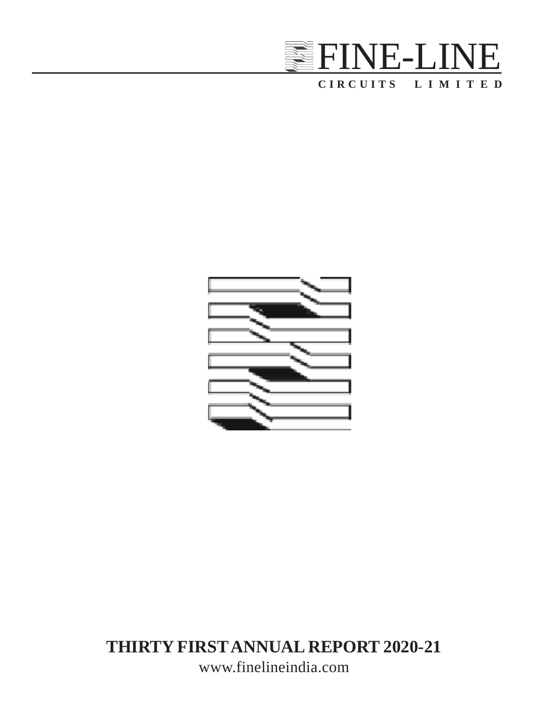



## **THIRTY FIRST ANNUAL REPORT 2020-21** www.finelineindia.com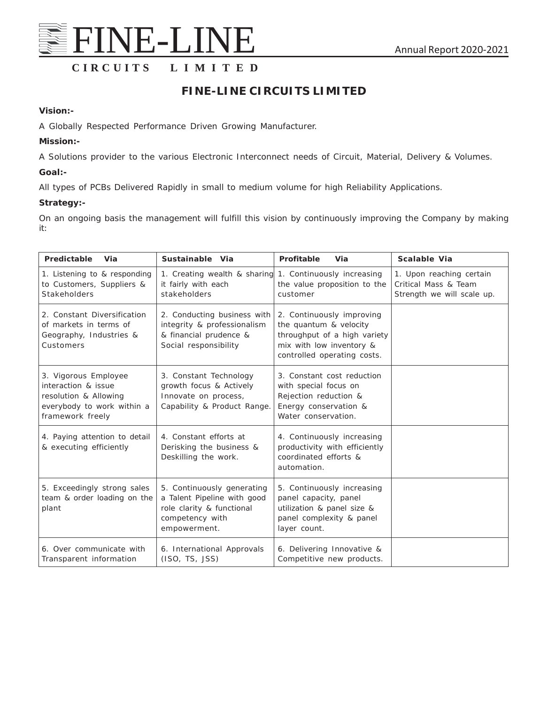

#### **FINE-LINE CIRCUITS LIMITED**

#### **Vision:-**

A Globally Respected Performance Driven Growing Manufacturer.

#### **Mission:-**

A Solutions provider to the various Electronic Interconnect needs of Circuit, Material, Delivery & Volumes.

#### **Goal:-**

All types of PCBs Delivered Rapidly in small to medium volume for high Reliability Applications.

#### **Strategy:-**

On an ongoing basis the management will fulfill this vision by continuously improving the Company by making it:

| Predictable<br>Via                                                                                                     | Sustainable Via                                                                                                           | Profitable<br>Via                                                                                                                              | Scalable Via                                                                   |
|------------------------------------------------------------------------------------------------------------------------|---------------------------------------------------------------------------------------------------------------------------|------------------------------------------------------------------------------------------------------------------------------------------------|--------------------------------------------------------------------------------|
| 1. Listening to & responding<br>to Customers, Suppliers &<br><b>Stakeholders</b>                                       | 1. Creating wealth & sharing<br>it fairly with each<br>stakeholders                                                       | 1. Continuously increasing<br>the value proposition to the<br>customer                                                                         | 1. Upon reaching certain<br>Critical Mass & Team<br>Strength we will scale up. |
| 2. Constant Diversification<br>of markets in terms of<br>Geography, Industries &<br>Customers                          | 2. Conducting business with<br>integrity & professionalism<br>& financial prudence &<br>Social responsibility             | 2. Continuously improving<br>the quantum & velocity<br>throughput of a high variety<br>mix with low inventory &<br>controlled operating costs. |                                                                                |
| 3. Vigorous Employee<br>interaction & issue<br>resolution & Allowing<br>everybody to work within a<br>framework freely | 3. Constant Technology<br>growth focus & Actively<br>Innovate on process,<br>Capability & Product Range.                  | 3. Constant cost reduction<br>with special focus on<br>Rejection reduction &<br>Energy conservation &<br>Water conservation.                   |                                                                                |
| 4. Paying attention to detail<br>& executing efficiently                                                               | 4. Constant efforts at<br>Derisking the business &<br>Deskilling the work.                                                | 4. Continuously increasing<br>productivity with efficiently<br>coordinated efforts &<br>automation.                                            |                                                                                |
| 5. Exceedingly strong sales<br>team & order loading on the<br>plant                                                    | 5. Continuously generating<br>a Talent Pipeline with good<br>role clarity & functional<br>competency with<br>empowerment. | 5. Continuously increasing<br>panel capacity, panel<br>utilization & panel size &<br>panel complexity & panel<br>layer count.                  |                                                                                |
| 6. Over communicate with<br>Transparent information                                                                    | 6. International Approvals<br>(ISO, TS, JSS)                                                                              | 6. Delivering Innovative &<br>Competitive new products.                                                                                        |                                                                                |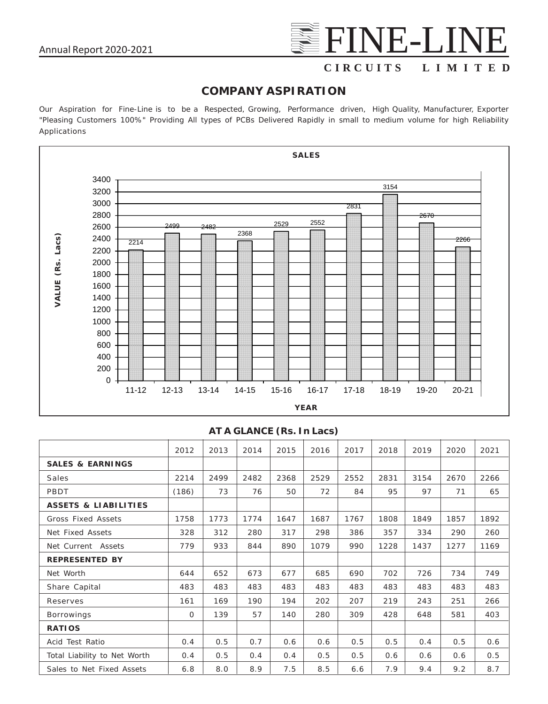

#### **COMPANY ASPIRATION**

Our Aspiration for Fine-Line is to be a Respected, Growing, Performance driven, High Quality, Manufacturer, Exporter "Pleasing Customers 100%" Providing All types of PCBs Delivered Rapidly in small to medium volume for high Reliability Applications



#### **AT A GLANCE (Rs. In Lacs)**

| Lacs)<br>2400<br>2214<br>2200<br>(Rs.<br>2000<br>1800<br>VALUE<br>1600<br>1400<br>1200<br>1000<br>800<br>600<br>400<br>200<br>0 |             |           | ∠∪ບບ      |           |                           |           |       |       | 2266      |      |
|---------------------------------------------------------------------------------------------------------------------------------|-------------|-----------|-----------|-----------|---------------------------|-----------|-------|-------|-----------|------|
| $11 - 12$                                                                                                                       | $12 - 13$   | $13 - 14$ | $14 - 15$ | $15 - 16$ | $16-17$                   | $17 - 18$ | 18-19 | 19-20 | $20 - 21$ |      |
|                                                                                                                                 |             |           |           |           | <b>YEAR</b>               |           |       |       |           |      |
|                                                                                                                                 |             |           |           |           | AT A GLANCE (Rs. In Lacs) |           |       |       |           |      |
|                                                                                                                                 | 2012        | 2013      | 2014      | 2015      | 2016                      | 2017      | 2018  | 2019  | 2020      | 2021 |
| <b>SALES &amp; EARNINGS</b>                                                                                                     |             |           |           |           |                           |           |       |       |           |      |
| Sales                                                                                                                           | 2214        | 2499      | 2482      | 2368      | 2529                      | 2552      | 2831  | 3154  | 2670      | 2266 |
| PBDT                                                                                                                            | (186)       | 73        | 76        | 50        | 72                        | 84        | 95    | 97    | 71        | 65   |
| <b>ASSETS &amp; LIABILITIES</b>                                                                                                 |             |           |           |           |                           |           |       |       |           |      |
| <b>Gross Fixed Assets</b>                                                                                                       | 1758        | 1773      | 1774      | 1647      | 1687                      | 1767      | 1808  | 1849  | 1857      | 1892 |
| Net Fixed Assets                                                                                                                | 328         | 312       | 280       | 317       | 298                       | 386       | 357   | 334   | 290       | 260  |
| Net Current Assets                                                                                                              | 779         | 933       | 844       | 890       | 1079                      | 990       | 1228  | 1437  | 1277      | 1169 |
| <b>REPRESENTED BY</b>                                                                                                           |             |           |           |           |                           |           |       |       |           |      |
| Net Worth                                                                                                                       | 644         | 652       | 673       | 677       | 685                       | 690       | 702   | 726   | 734       | 749  |
| Share Capital                                                                                                                   | 483         | 483       | 483       | 483       | 483                       | 483       | 483   | 483   | 483       | 483  |
| Reserves                                                                                                                        | 161         | 169       | 190       | 194       | 202                       | 207       | 219   | 243   | 251       | 266  |
| Borrowings                                                                                                                      | $\mathbf 0$ | 139       | 57        | 140       | 280                       | 309       | 428   | 648   | 581       | 403  |
| <b>RATIOS</b>                                                                                                                   |             |           |           |           |                           |           |       |       |           |      |
| Acid Test Ratio                                                                                                                 | 0.4         | 0.5       | 0.7       | 0.6       | 0.6                       | 0.5       | 0.5   | 0.4   | 0.5       | 0.6  |
| Total Liability to Net Worth                                                                                                    | 0.4         | 0.5       | 0.4       | 0.4       | 0.5                       | 0.5       | 0.6   | 0.6   | 0.6       | 0.5  |
| Sales to Net Fixed Assets                                                                                                       | 6.8         | 8.0       | 8.9       | 7.5       | 8.5                       | 6.6       | 7.9   | 9.4   | 9.2       | 8.7  |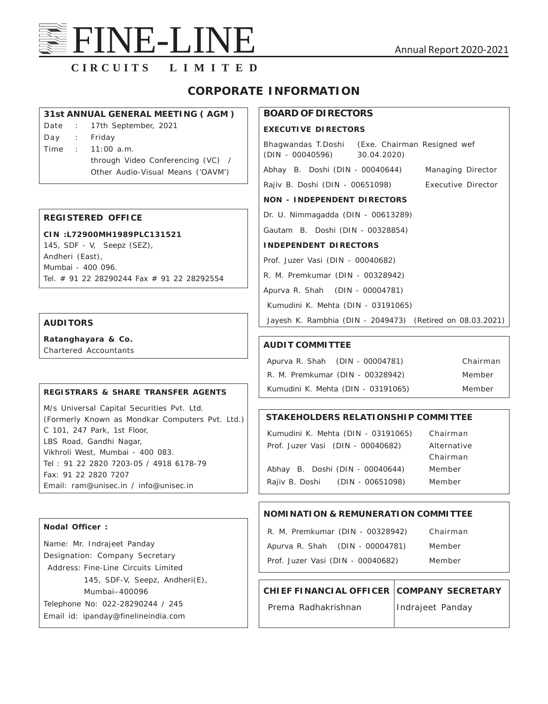

#### **CORPORATE INFORMATION**

#### **31st ANNUAL GENERAL MEETING ( AGM )**

- Date : 17th September, 2021
- Day : Friday
- Time : 11:00 a.m.
	- through Video Conferencing (VC) / Other Audio-Visual Means ('OAVM')

#### **REGISTERED OFFICE**

#### **CIN :L72900MH1989PLC131521** 145, SDF - V, Seepz (SEZ),

Andheri (East), Mumbai - 400 096. Tel. # 91 22 28290244 Fax # 91 22 28292554

#### **AUDITORS**

**Ratanghayara & Co.** Chartered Accountants

#### **REGISTRARS & SHARE TRANSFER AGENTS**

M/s Universal Capital Securities Pvt. Ltd. (Formerly Known as Mondkar Computers Pvt. Ltd.) C 101, 247 Park, 1st Floor, LBS Road, Gandhi Nagar, Vikhroli West, Mumbai - 400 083. Tel : 91 22 2820 7203-05 / 4918 6178-79 Fax: 91 22 2820 7207 Email: ram@unisec.in / info@unisec.in

#### **Nodal Officer :**

Name: Mr. Indrajeet Panday Designation: Company Secretary Address: Fine-Line Circuits Limited 145, SDF-V, Seepz, Andheri(E), Mumbai–400096 Telephone No: 022-28290244 / 245 Email id: ipanday@finelineindia.com

### **BOARD OF DIRECTORS**

#### **EXECUTIVE DIRECTORS**

Bhagwandas T.Doshi (Exe. Chairman Resigned wef (DIN - 00040596) 30.04.2020)

Abhay B. Doshi (DIN - 00040644) Managing Director

Rajiv B. Doshi (DIN - 00651098) Executive Director

#### **NON - INDEPENDENT DIRECTORS**

Dr. U. Nimmagadda (DIN - 00613289)

Gautam B. Doshi (DIN - 00328854)

#### **INDEPENDENT DIRECTORS**

Prof. Juzer Vasi (DIN - 00040682)

R. M. Premkumar (DIN - 00328942)

Apurva R. Shah (DIN - 00004781)

Kumudini K. Mehta (DIN - 03191065)

Jayesh K. Rambhia (DIN - 2049473) (Retired on 08.03.2021)

#### **AUDIT COMMITTEE**

| Apurva R. Shah (DIN - 00004781)    | Chairman |
|------------------------------------|----------|
| R. M. Premkumar (DIN - 00328942)   | Member   |
| Kumudini K. Mehta (DIN - 03191065) | Member   |

#### **STAKEHOLDERS RELATIONSHIP COMMITTEE**

| Kumudini K. Mehta (DIN - 03191065) | Chairman    |
|------------------------------------|-------------|
| Prof. Juzer Vasi (DIN - 00040682)  | Alternative |
|                                    | Chairman    |
| Abhay B. Doshi (DIN - 00040644)    | Member      |
| (DIN - 00651098)<br>Rajiv B. Doshi | Member      |
|                                    |             |

#### **NOMINATION & REMUNERATION COMMITTEE**

|                                   | R. M. Premkumar (DIN - 00328942) |
|-----------------------------------|----------------------------------|
|                                   | Apurva R. Shah (DIN - 00004781)  |
| Prof. Juzer Vasi (DIN - 00040682) |                                  |

Chairman **Member Member** 

## **CHIEF FINANCIAL OFFICER COMPANY SECRETARY**

Prema Radhakrishnan | Indrajeet Panday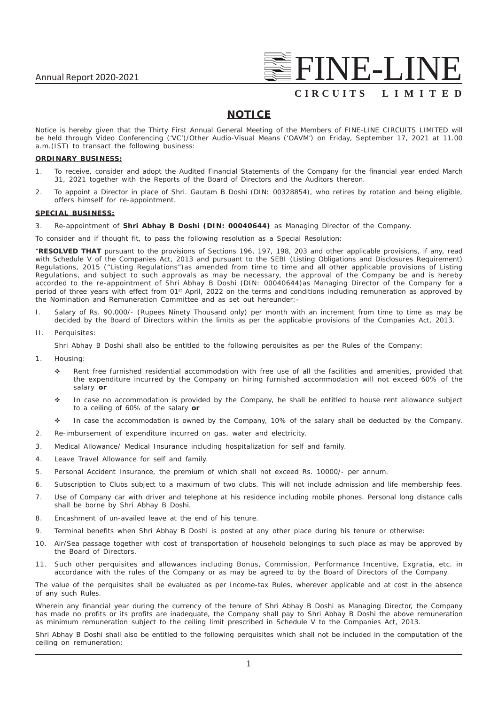

### **NOTICE**

Notice is hereby given that the Thirty First Annual General Meeting of the Members of FINE-LINE CIRCUITS LIMITED will be held through Video Conferencing ('VC')/Other Audio-Visual Means ('OAVM') on Friday, September 17, 2021 at 11.00 a.m.(IST) to transact the following business:

#### **ORDINARY BUSINESS:**

- 1. To receive, consider and adopt the Audited Financial Statements of the Company for the financial year ended March 31, 2021 together with the Reports of the Board of Directors and the Auditors thereon.
- 2. To appoint a Director in place of Shri. Gautam B Doshi (DIN: 00328854), who retires by rotation and being eligible, offers himself for re-appointment.

#### **SPECIAL BUSINESS:**

3. Re-appointment of **Shri Abhay B Doshi (DIN: 00040644)** as Managing Director of the Company.

To consider and if thought fit, to pass the following resolution as a Special Resolution:

"**RESOLVED THAT** pursuant to the provisions of Sections 196, 197, 198, 203 and other applicable provisions, if any, read with Schedule V of the Companies Act, 2013 and pursuant to the SEBI (Listing Obligations and Disclosures Requirement) Regulations, 2015 ("Listing Regulations")as amended from time to time and all other applicable provisions of Listing Regulations, and subject to such approvals as may be necessary, the approval of the Company be and is hereby accorded to the re-appointment of Shri Abhay B Doshi (DIN: 00040644)as Managing Director of the Company for a period of three years with effect from 01<sup>st</sup> April, 2022 on the terms and conditions including remuneration as approved by the Nomination and Remuneration Committee and as set out hereunder:-

- I. Salary of Rs. 90,000/- (Rupees Ninety Thousand only) per month with an increment from time to time as may be decided by the Board of Directors within the limits as per the applicable provisions of the Companies Act, 2013.
- II. Perquisites:

Shri Abhay B Doshi shall also be entitled to the following perquisites as per the Rules of the Company:

- 1. Housing:
	- Rent free furnished residential accommodation with free use of all the facilities and amenities, provided that the expenditure incurred by the Company on hiring furnished accommodation will not exceed 60% of the salary **or**
	- In case no accommodation is provided by the Company, he shall be entitled to house rent allowance subject to a ceiling of 60% of the salary **or**
	- In case the accommodation is owned by the Company, 10% of the salary shall be deducted by the Company.
- 2. Re-imbursement of expenditure incurred on gas, water and electricity.
- 3. Medical Allowance/ Medical Insurance including hospitalization for self and family.
- 4. Leave Travel Allowance for self and family.
- 5. Personal Accident Insurance, the premium of which shall not exceed Rs. 10000/- per annum.
- 6. Subscription to Clubs subject to a maximum of two clubs. This will not include admission and life membership fees.
- 7. Use of Company car with driver and telephone at his residence including mobile phones. Personal long distance calls shall be borne by Shri Abhay B Doshi.
- 8. Encashment of un-availed leave at the end of his tenure.
- 9. Terminal benefits when Shri Abhay B Doshi is posted at any other place during his tenure or otherwise:
- 10. Air/Sea passage together with cost of transportation of household belongings to such place as may be approved by the Board of Directors.
- 11. Such other perquisites and allowances including Bonus, Commission, Performance Incentive, Exgratia, etc. in accordance with the rules of the Company or as may be agreed to by the Board of Directors of the Company.

The value of the perquisites shall be evaluated as per Income-tax Rules, wherever applicable and at cost in the absence of any such Rules.

Wherein any financial year during the currency of the tenure of Shri Abhay B Doshi as Managing Director, the Company has made no profits or its profits are inadequate, the Company shall pay to Shri Abhay B Doshi the above remuneration as minimum remuneration subject to the ceiling limit prescribed in Schedule V to the Companies Act, 2013.

Shri Abhay B Doshi shall also be entitled to the following perquisites which shall not be included in the computation of the ceiling on remuneration: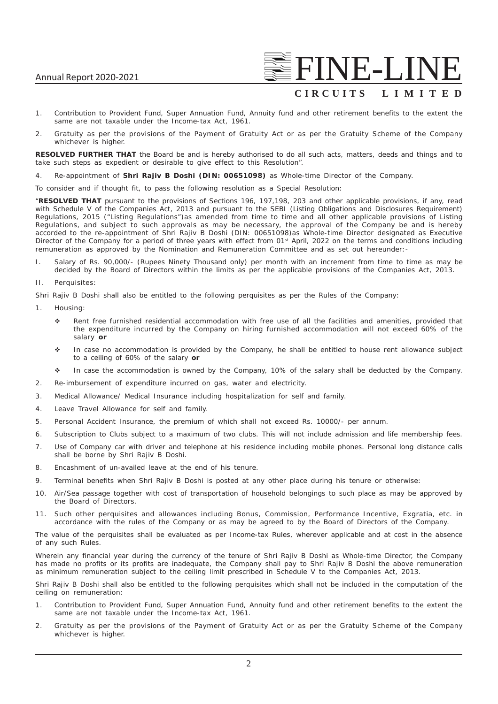# Annual Report 2020-2021  $\blacksquare$

### **CIRCUITS LIMITED**

- 1. Contribution to Provident Fund, Super Annuation Fund, Annuity fund and other retirement benefits to the extent the same are not taxable under the Income-tax Act, 1961.
- 2. Gratuity as per the provisions of the Payment of Gratuity Act or as per the Gratuity Scheme of the Company whichever is higher.

**RESOLVED FURTHER THAT** the Board be and is hereby authorised to do all such acts, matters, deeds and things and to take such steps as expedient or desirable to give effect to this Resolution".

4. Re-appointment of **Shri Rajiv B Doshi (DIN: 00651098)** as Whole-time Director of the Company.

To consider and if thought fit, to pass the following resolution as a Special Resolution:

"**RESOLVED THAT** pursuant to the provisions of Sections 196, 197,198, 203 and other applicable provisions, if any, read with Schedule V of the Companies Act, 2013 and pursuant to the SEBI (Listing Obligations and Disclosures Requirement) Regulations, 2015 ("Listing Regulations")as amended from time to time and all other applicable provisions of Listing Regulations, and subject to such approvals as may be necessary, the approval of the Company be and is hereby accorded to the re-appointment of Shri Rajiv B Doshi (DIN: 00651098)as Whole-time Director designated as Executive Director of the Company for a period of three years with effect from 01<sup>st</sup> April, 2022 on the terms and conditions including remuneration as approved by the Nomination and Remuneration Committee and as set out hereunder:-

I. Salary of Rs. 90,000/- (Rupees Ninety Thousand only) per month with an increment from time to time as may be decided by the Board of Directors within the limits as per the applicable provisions of the Companies Act, 2013.

#### II. Perquisites:

Shri Rajiv B Doshi shall also be entitled to the following perquisites as per the Rules of the Company:

- 1. Housing:
	- Rent free furnished residential accommodation with free use of all the facilities and amenities, provided that the expenditure incurred by the Company on hiring furnished accommodation will not exceed 60% of the salary **or**
	- In case no accommodation is provided by the Company, he shall be entitled to house rent allowance subject to a ceiling of 60% of the salary **or**
	- In case the accommodation is owned by the Company, 10% of the salary shall be deducted by the Company.
- 2. Re-imbursement of expenditure incurred on gas, water and electricity.
- 3. Medical Allowance/ Medical Insurance including hospitalization for self and family.
- 4. Leave Travel Allowance for self and family.
- 5. Personal Accident Insurance, the premium of which shall not exceed Rs. 10000/- per annum.
- 6. Subscription to Clubs subject to a maximum of two clubs. This will not include admission and life membership fees.
- 7. Use of Company car with driver and telephone at his residence including mobile phones. Personal long distance calls shall be borne by Shri Rajiv B Doshi.
- 8. Encashment of un-availed leave at the end of his tenure.
- 9. Terminal benefits when Shri Rajiv B Doshi is posted at any other place during his tenure or otherwise:
- 10. Air/Sea passage together with cost of transportation of household belongings to such place as may be approved by the Board of Directors.
- 11. Such other perquisites and allowances including Bonus, Commission, Performance Incentive, Exgratia, etc. in accordance with the rules of the Company or as may be agreed to by the Board of Directors of the Company.

The value of the perquisites shall be evaluated as per Income-tax Rules, wherever applicable and at cost in the absence of any such Rules.

Wherein any financial year during the currency of the tenure of Shri Rajiv B Doshi as Whole-time Director, the Company has made no profits or its profits are inadequate, the Company shall pay to Shri Rajiv B Doshi the above remuneration as minimum remuneration subject to the ceiling limit prescribed in Schedule V to the Companies Act, 2013.

Shri Rajiv B Doshi shall also be entitled to the following perquisites which shall not be included in the computation of the ceiling on remuneration:

- 1. Contribution to Provident Fund, Super Annuation Fund, Annuity fund and other retirement benefits to the extent the same are not taxable under the Income-tax Act, 1961.
- 2. Gratuity as per the provisions of the Payment of Gratuity Act or as per the Gratuity Scheme of the Company whichever is higher.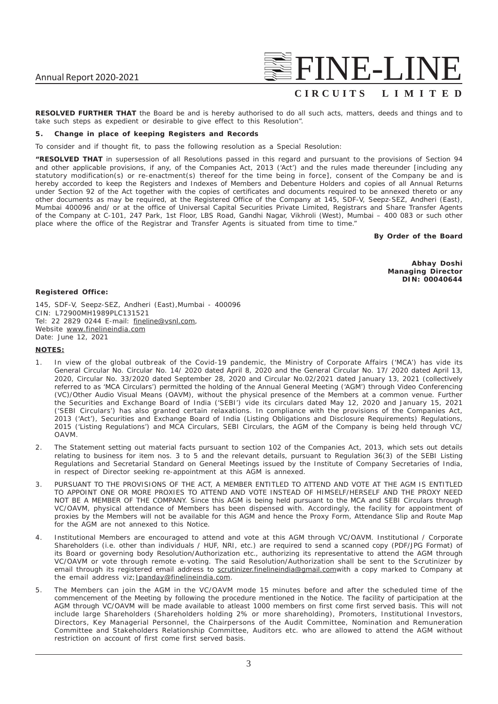

**RESOLVED FURTHER THAT** the Board be and is hereby authorised to do all such acts, matters, deeds and things and to take such steps as expedient or desirable to give effect to this Resolution".

#### **5. Change in place of keeping Registers and Records**

To consider and if thought fit, to pass the following resolution as a Special Resolution:

**"RESOLVED THAT** in supersession of all Resolutions passed in this regard and pursuant to the provisions of Section 94 and other applicable provisions, if any, of the Companies Act, 2013 ('Act') and the rules made thereunder [including any statutory modification(s) or re-enactment(s) thereof for the time being in force], consent of the Company be and is hereby accorded to keep the Registers and Indexes of Members and Debenture Holders and copies of all Annual Returns under Section 92 of the Act together with the copies of certificates and documents required to be annexed thereto or any other documents as may be required, at the Registered Office of the Company at 145, SDF-V, Seepz-SEZ, Andheri (East), Mumbai 400096 and/ or at the office of Universal Capital Securities Private Limited, Registrars and Share Transfer Agents of the Company at C-101, 247 Park, 1st Floor, LBS Road, Gandhi Nagar, Vikhroli (West), Mumbai – 400 083 or such other place where the office of the Registrar and Transfer Agents is situated from time to time."

**By Order of the Board**

**Abhay Doshi Managing Director DIN: 00040644**

#### **Registered Office:**

145, SDF-V, Seepz-SEZ, Andheri (East),Mumbai - 400096 CIN: L72900MH1989PLC131521 Tel: 22 2829 0244 E-mail: fineline@vsnl.com, Website www.finelineindia.com Date: June 12, 2021

#### **NOTES:**

- 1. In view of the global outbreak of the Covid-19 pandemic, the Ministry of Corporate Affairs ('MCA') has vide its General Circular No. Circular No. 14/ 2020 dated April 8, 2020 and the General Circular No. 17/ 2020 dated April 13, 2020, Circular No. 33/2020 dated September 28, 2020 and Circular No.02/2021 dated January 13, 2021 (collectively referred to as 'MCA Circulars') permitted the holding of the Annual General Meeting ('AGM') through Video Conferencing (VC)/Other Audio Visual Means (OAVM), without the physical presence of the Members at a common venue. Further the Securities and Exchange Board of India ('SEBI') vide its circulars dated May 12, 2020 and January 15, 2021 ('SEBI Circulars') has also granted certain relaxations. In compliance with the provisions of the Companies Act, 2013 ('Act'), Securities and Exchange Board of India (Listing Obligations and Disclosure Requirements) Regulations, 2015 ('Listing Regulations') and MCA Circulars, SEBI Circulars, the AGM of the Company is being held through VC/ OAVM.
- 2. The Statement setting out material facts pursuant to section 102 of the Companies Act, 2013, which sets out details relating to business for item nos. 3 to 5 and the relevant details, pursuant to Regulation 36(3) of the SEBI Listing Regulations and Secretarial Standard on General Meetings issued by the Institute of Company Secretaries of India, in respect of Director seeking re-appointment at this AGM is annexed.
- 3. PURSUANT TO THE PROVISIONS OF THE ACT, A MEMBER ENTITLED TO ATTEND AND VOTE AT THE AGM IS ENTITLED TO APPOINT ONE OR MORE PROXIES TO ATTEND AND VOTE INSTEAD OF HIMSELF/HERSELF AND THE PROXY NEED NOT BE A MEMBER OF THE COMPANY. Since this AGM is being held pursuant to the MCA and SEBI Circulars through VC/OAVM, physical attendance of Members has been dispensed with. Accordingly, the facility for appointment of proxies by the Members will not be available for this AGM and hence the Proxy Form, Attendance Slip and Route Map for the AGM are not annexed to this Notice.
- 4. Institutional Members are encouraged to attend and vote at this AGM through VC/OAVM. Institutional / Corporate Shareholders (i.e. other than individuals / HUF, NRI, etc.) are required to send a scanned copy (PDF/JPG Format) of its Board or governing body Resolution/Authorization etc., authorizing its representative to attend the AGM through VC/OAVM or vote through remote e-voting. The said Resolution/Authorization shall be sent to the Scrutinizer by email through its registered email address to scrutinizer.finelineindia@gmail.comwith a copy marked to Company at the email address viz; lpanday@finelineindia.com.
- 5. The Members can join the AGM in the VC/OAVM mode 15 minutes before and after the scheduled time of the commencement of the Meeting by following the procedure mentioned in the Notice. The facility of participation at the AGM through VC/OAVM will be made available to atleast 1000 members on first come first served basis. This will not include large Shareholders (Shareholders holding 2% or more shareholding), Promoters, Institutional Investors, Directors, Key Managerial Personnel, the Chairpersons of the Audit Committee, Nomination and Remuneration Committee and Stakeholders Relationship Committee, Auditors etc. who are allowed to attend the AGM without restriction on account of first come first served basis.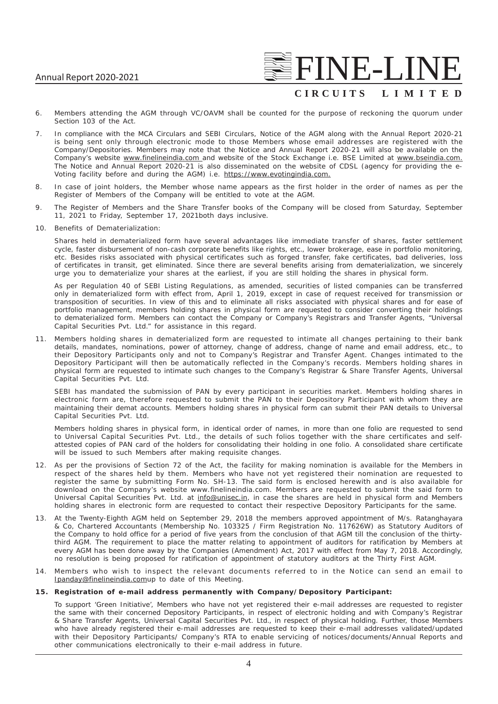# Annual Report 2020-2021  $\blacksquare$

#### **CIRCUITS LIMITED**

- 6. Members attending the AGM through VC/OAVM shall be counted for the purpose of reckoning the quorum under Section 103 of the Act.
- 7. In compliance with the MCA Circulars and SEBI Circulars, Notice of the AGM along with the Annual Report 2020-21 is being sent only through electronic mode to those Members whose email addresses are registered with the Company/Depositories. Members may note that the Notice and Annual Report 2020-21 will also be available on the Company's website www.finelineindia.com and website of the Stock Exchange i.e. BSE Limited at www.bseindia.com. The Notice and Annual Report 2020-21 is also disseminated on the website of CDSL (agency for providing the e-Voting facility before and during the AGM) i.e. https://www.evotingindia.com.
- 8. In case of joint holders, the Member whose name appears as the first holder in the order of names as per the Register of Members of the Company will be entitled to vote at the AGM.
- 9. The Register of Members and the Share Transfer books of the Company will be closed from Saturday, September 11, 2021 to Friday, September 17, 2021both days inclusive.
- 10. Benefits of Dematerialization:

Shares held in dematerialized form have several advantages like immediate transfer of shares, faster settlement cycle, faster disbursement of non-cash corporate benefits like rights, etc., lower brokerage, ease in portfolio monitoring, etc. Besides risks associated with physical certificates such as forged transfer, fake certificates, bad deliveries, loss of certificates in transit, get eliminated. Since there are several benefits arising from dematerialization, we sincerely urge you to dematerialize your shares at the earliest, if you are still holding the shares in physical form.

As per Regulation 40 of SEBI Listing Regulations, as amended, securities of listed companies can be transferred only in dematerialized form with effect from, April 1, 2019, except in case of request received for transmission or transposition of securities. In view of this and to eliminate all risks associated with physical shares and for ease of portfolio management, members holding shares in physical form are requested to consider converting their holdings to dematerialized form. Members can contact the Company or Company's Registrars and Transfer Agents, "Universal Capital Securities Pvt. Ltd." for assistance in this regard.

11. Members holding shares in dematerialized form are requested to intimate all changes pertaining to their bank details, mandates, nominations, power of attorney, change of address, change of name and email address, etc., to their Depository Participants only and not to Company's Registrar and Transfer Agent. Changes intimated to the Depository Participant will then be automatically reflected in the Company's records. Members holding shares in physical form are requested to intimate such changes to the Company's Registrar & Share Transfer Agents, Universal Capital Securities Pvt. Ltd.

SEBI has mandated the submission of PAN by every participant in securities market. Members holding shares in electronic form are, therefore requested to submit the PAN to their Depository Participant with whom they are maintaining their demat accounts. Members holding shares in physical form can submit their PAN details to Universal Capital Securities Pvt. Ltd.

Members holding shares in physical form, in identical order of names, in more than one folio are requested to send to Universal Capital Securities Pvt. Ltd., the details of such folios together with the share certificates and selfattested copies of PAN card of the holders for consolidating their holding in one folio. A consolidated share certificate will be issued to such Members after making requisite changes.

- 12. As per the provisions of Section 72 of the Act, the facility for making nomination is available for the Members in respect of the shares held by them. Members who have not yet registered their nomination are requested to register the same by submitting Form No. SH-13. The said form is enclosed herewith and is also available for download on the Company's website www.finelineindia.com. Members are requested to submit the said form to Universal Capital Securities Pvt. Ltd. at info@unisec.in, in case the shares are held in physical form and Members holding shares in electronic form are requested to contact their respective Depository Participants for the same.
- 13. At the Twenty-Eighth AGM held on September 29, 2018 the members approved appointment of M/s. Ratanghayara & Co, Chartered Accountants (Membership No. 103325 / Firm Registration No. 117626W) as Statutory Auditors of the Company to hold office for a period of five years from the conclusion of that AGM till the conclusion of the thirtythird AGM. The requirement to place the matter relating to appointment of auditors for ratification by Members at every AGM has been done away by the Companies (Amendment) Act, 2017 with effect from May 7, 2018. Accordingly, no resolution is being proposed for ratification of appointment of statutory auditors at the Thirty First AGM.
- 14. Members who wish to inspect the relevant documents referred to in the Notice can send an email to Ipanday@finelineindia.comup to date of this Meeting.

#### **15. Registration of e-mail address permanently with Company/Depository Participant:**

To support 'Green Initiative', Members who have not yet registered their e-mail addresses are requested to register the same with their concerned Depository Participants, in respect of electronic holding and with Company's Registrar & Share Transfer Agents, Universal Capital Securities Pvt. Ltd., in respect of physical holding. Further, those Members who have already registered their e-mail addresses are requested to keep their e-mail addresses validated/updated with their Depository Participants/ Company's RTA to enable servicing of notices/documents/Annual Reports and other communications electronically to their e-mail address in future.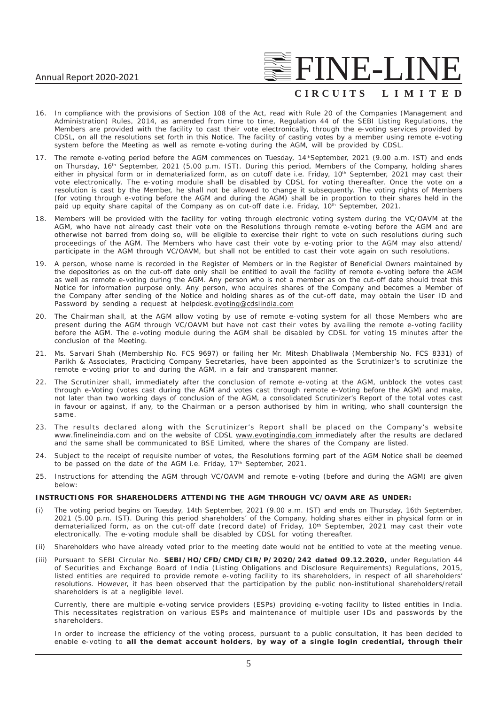# Annual Report 2020-2021  $\mathbb{E}[\mathbf{N}\mathbf{E}\mathbf{-L}]$

#### **CIRCUITS LIMITED**

- 16. In compliance with the provisions of Section 108 of the Act, read with Rule 20 of the Companies (Management and Administration) Rules, 2014, as amended from time to time, Regulation 44 of the SEBI Listing Regulations, the Members are provided with the facility to cast their vote electronically, through the e-voting services provided by CDSL, on all the resolutions set forth in this Notice. The facility of casting votes by a member using remote e-voting system before the Meeting as well as remote e-voting during the AGM, will be provided by CDSL.
- 17. The remote e-voting period before the AGM commences on Tuesday, 14thSeptember, 2021 (9.00 a.m. IST) and ends on Thursday, 16th September, 2021 (5.00 p.m. IST). During this period, Members of the Company, holding shares either in physical form or in dematerialized form, as on cutoff date i.e. Friday, 10<sup>th</sup> September, 2021 may cast their vote electronically. The e-voting module shall be disabled by CDSL for voting thereafter. Once the vote on a resolution is cast by the Member, he shall not be allowed to change it subsequently. The voting rights of Members (for voting through e-voting before the AGM and during the AGM) shall be in proportion to their shares held in the paid up equity share capital of the Company as on cut-off date i.e. Friday, 10<sup>th</sup> September, 2021.
- 18. Members will be provided with the facility for voting through electronic voting system during the VC/OAVM at the AGM, who have not already cast their vote on the Resolutions through remote e-voting before the AGM and are otherwise not barred from doing so, will be eligible to exercise their right to vote on such resolutions during such proceedings of the AGM. The Members who have cast their vote by e-voting prior to the AGM may also attend/ participate in the AGM through VC/OAVM, but shall not be entitled to cast their vote again on such resolutions.
- 19. A person, whose name is recorded in the Register of Members or in the Register of Beneficial Owners maintained by the depositories as on the cut-off date only shall be entitled to avail the facility of remote e-voting before the AGM as well as remote e-voting during the AGM. Any person who is not a member as on the cut-off date should treat this Notice for information purpose only. Any person, who acquires shares of the Company and becomes a Member of the Company after sending of the Notice and holding shares as of the cut-off date, may obtain the User ID and Password by sending a request at helpdesk.evoting@cdslindia.com
- 20. The Chairman shall, at the AGM allow voting by use of remote e-voting system for all those Members who are present during the AGM through VC/OAVM but have not cast their votes by availing the remote e-voting facility before the AGM. The e-voting module during the AGM shall be disabled by CDSL for voting 15 minutes after the conclusion of the Meeting.
- 21. Ms. Sarvari Shah (Membership No. FCS 9697) or failing her Mr. Mitesh Dhabliwala (Membership No. FCS 8331) of Parikh & Associates, Practicing Company Secretaries, have been appointed as the Scrutinizer's to scrutinize the remote e-voting prior to and during the AGM, in a fair and transparent manner.
- 22. The Scrutinizer shall, immediately after the conclusion of remote e-voting at the AGM, unblock the votes cast through e-Voting (votes cast during the AGM and votes cast through remote e-Voting before the AGM) and make, not later than two working days of conclusion of the AGM, a consolidated Scrutinizer's Report of the total votes cast in favour or against, if any, to the Chairman or a person authorised by him in writing, who shall countersign the same.
- 23. The results declared along with the Scrutinizer's Report shall be placed on the Company's website www.finelineindia.com and on the website of CDSL www.evotingindia.com immediately after the results are declared and the same shall be communicated to BSE Limited, where the shares of the Company are listed.
- 24. Subject to the receipt of requisite number of votes, the Resolutions forming part of the AGM Notice shall be deemed to be passed on the date of the AGM i.e. Friday, 17<sup>th</sup> September, 2021.
- 25. Instructions for attending the AGM through VC/OAVM and remote e-voting (before and during the AGM) are given below:

#### **INSTRUCTIONS FOR SHAREHOLDERS ATTENDING THE AGM THROUGH VC/OAVM ARE AS UNDER:**

- (i) The voting period begins on Tuesday, 14th September, 2021 (9.00 a.m. IST) and ends on Thursday, 16th September, 2021 (5.00 p.m. IST). During this period shareholders' of the Company, holding shares either in physical form or in dematerialized form, as on the cut-off date (record date) of Friday, 10<sup>th</sup> September, 2021 may cast their vote electronically. The e-voting module shall be disabled by CDSL for voting thereafter.
- (ii) Shareholders who have already voted prior to the meeting date would not be entitled to vote at the meeting venue.
- (iii) Pursuant to SEBI Circular No. **SEBI/HO/CFD/CMD/CIR/P/2020/242 dated 09.12.2020,** under Regulation 44 of Securities and Exchange Board of India (Listing Obligations and Disclosure Requirements) Regulations, 2015, listed entities are required to provide remote e-voting facility to its shareholders, in respect of all shareholders' resolutions. However, it has been observed that the participation by the public non-institutional shareholders/retail shareholders is at a negligible level.

Currently, there are multiple e-voting service providers (ESPs) providing e-voting facility to listed entities in India. This necessitates registration on various ESPs and maintenance of multiple user IDs and passwords by the shareholders.

In order to increase the efficiency of the voting process, pursuant to a public consultation, it has been decided to enable e-voting to **all the demat account holders**, **by way of a single login credential, through their**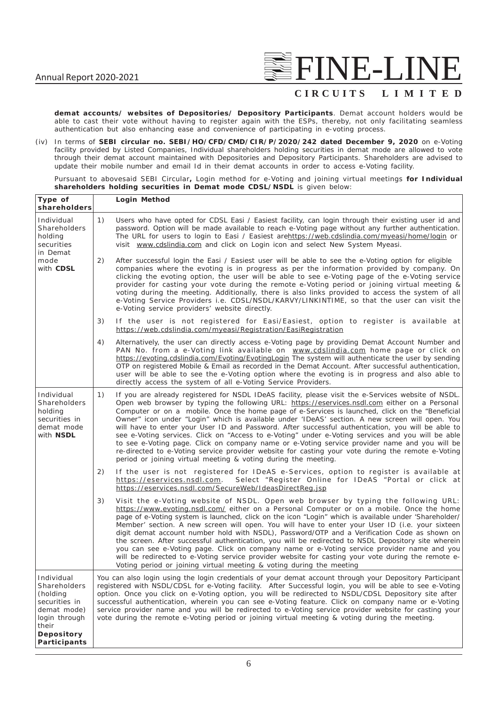#### **CIRCUITS LIMITED**

**demat accounts/ websites of Depositories/ Depository Participants**. Demat account holders would be able to cast their vote without having to register again with the ESPs, thereby, not only facilitating seamless authentication but also enhancing ease and convenience of participating in e-voting process.

(iv) In terms of **SEBI circular no. SEBI/HO/CFD/CMD/CIR/P/2020/242 dated December 9, 2020** on e-Voting facility provided by Listed Companies, Individual shareholders holding securities in demat mode are allowed to vote through their demat account maintained with Depositories and Depository Participants. Shareholders are advised to update their mobile number and email Id in their demat accounts in order to access e-Voting facility.

Pursuant to abovesaid SEBI Circular**,** Login method for e-Voting and joining virtual meetings **for Individual shareholders holding securities in Demat mode CDSL/NSDL** is given below:

| Type of<br>shareholders                                                                                                        | Login Method                                                                                                                                                                                                                                                                                                                                                                                                                                                                                                                                                                                                                                                                                                                                                                                                                                                                                        |
|--------------------------------------------------------------------------------------------------------------------------------|-----------------------------------------------------------------------------------------------------------------------------------------------------------------------------------------------------------------------------------------------------------------------------------------------------------------------------------------------------------------------------------------------------------------------------------------------------------------------------------------------------------------------------------------------------------------------------------------------------------------------------------------------------------------------------------------------------------------------------------------------------------------------------------------------------------------------------------------------------------------------------------------------------|
| Individual<br>Shareholders<br>holding<br>securities<br>in Demat                                                                | Users who have opted for CDSL Easi / Easiest facility, can login through their existing user id and<br>1)<br>password. Option will be made available to reach e-Voting page without any further authentication.<br>The URL for users to login to Easi / Easiest arehttps://web.cdslindia.com/myeasi/home/login or<br>visit www.cdslindia.com and click on Login icon and select New System Myeasi.                                                                                                                                                                                                                                                                                                                                                                                                                                                                                                  |
| mode<br>with CDSL                                                                                                              | After successful login the Easi / Easiest user will be able to see the e-Voting option for eligible<br>2)<br>companies where the evoting is in progress as per the information provided by company. On<br>clicking the evoting option, the user will be able to see e-Voting page of the e-Voting service<br>provider for casting your vote during the remote e-Voting period or joining virtual meeting &<br>voting during the meeting. Additionally, there is also links provided to access the system of all<br>e-Voting Service Providers i.e. CDSL/NSDL/KARVY/LINKINTIME, so that the user can visit the<br>e-Voting service providers' website directly.                                                                                                                                                                                                                                      |
|                                                                                                                                | If the user is not registered for Easi/Easiest, option to register is available at<br>3)<br>https://web.cdslindia.com/myeasi/Registration/EasiRegistration                                                                                                                                                                                                                                                                                                                                                                                                                                                                                                                                                                                                                                                                                                                                          |
|                                                                                                                                | Alternatively, the user can directly access e-Voting page by providing Demat Account Number and<br>4)<br>PAN No. from a e-Voting link available on www.cdslindia.com home page or click on<br>https://evoting.cdslindia.com/Evoting/EvotingLogin The system will authenticate the user by sending<br>OTP on registered Mobile & Email as recorded in the Demat Account. After successful authentication,<br>user will be able to see the e-Voting option where the evoting is in progress and also able to<br>directly access the system of all e-Voting Service Providers.                                                                                                                                                                                                                                                                                                                         |
| Individual<br>Shareholders<br>holding<br>securities in<br>demat mode<br>with NSDL                                              | If you are already registered for NSDL IDeAS facility, please visit the e-Services website of NSDL.<br>1)<br>Open web browser by typing the following URL: https://eservices.nsdl.com either on a Personal<br>Computer or on a mobile. Once the home page of e-Services is launched, click on the "Beneficial<br>Owner" icon under "Login" which is available under 'IDeAS' section. A new screen will open. You<br>will have to enter your User ID and Password. After successful authentication, you will be able to<br>see e-Voting services. Click on "Access to e-Voting" under e-Voting services and you will be able<br>to see e-Voting page. Click on company name or e-Voting service provider name and you will be<br>re-directed to e-Voting service provider website for casting your vote during the remote e-Voting<br>period or joining virtual meeting & voting during the meeting. |
|                                                                                                                                | If the user is not registered for IDeAS e-Services, option to register is available at<br>2)<br>https://eservices.nsdl.com. Select "Register Online for IDeAS "Portal or click at<br>https://eservices.nsdl.com/SecureWeb/IdeasDirectReg.jsp                                                                                                                                                                                                                                                                                                                                                                                                                                                                                                                                                                                                                                                        |
|                                                                                                                                | Visit the e-Voting website of NSDL. Open web browser by typing the following URL:<br>3)<br>https://www.evoting.nsdl.com/ either on a Personal Computer or on a mobile. Once the home<br>page of e-Voting system is launched, click on the icon "Login" which is available under 'Shareholder/<br>Member' section. A new screen will open. You will have to enter your User ID (i.e. your sixteen<br>digit demat account number hold with NSDL), Password/OTP and a Verification Code as shown on<br>the screen. After successful authentication, you will be redirected to NSDL Depository site wherein<br>you can see e-Voting page. Click on company name or e-Voting service provider name and you<br>will be redirected to e-Voting service provider website for casting your vote during the remote e-<br>Voting period or joining virtual meeting & voting during the meeting                 |
| Individual<br>Shareholders<br>(holding<br>securities in<br>demat mode)<br>login through<br>their<br>Depository<br>Participants | You can also login using the login credentials of your demat account through your Depository Participant<br>registered with NSDL/CDSL for e-Voting facility. After Successful login, you will be able to see e-Voting<br>option. Once you click on e-Voting option, you will be redirected to NSDL/CDSL Depository site after<br>successful authentication, wherein you can see e-Voting feature. Click on company name or e-Voting<br>service provider name and you will be redirected to e-Voting service provider website for casting your<br>vote during the remote e-Voting period or joining virtual meeting & voting during the meeting.                                                                                                                                                                                                                                                     |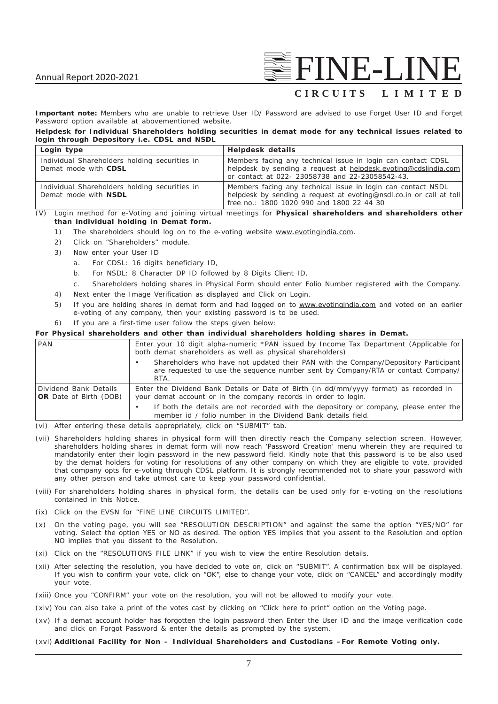### **CIRCUITS LIMITED**

**Important note:** Members who are unable to retrieve User ID/ Password are advised to use Forget User ID and Forget Password option available at abovementioned website.

#### **Helpdesk for Individual Shareholders holding securities in demat mode for any technical issues related to login through Depository i.e. CDSL and NSDL**

| Login type                                                            | Helpdesk details                                                                                                                                                                   |
|-----------------------------------------------------------------------|------------------------------------------------------------------------------------------------------------------------------------------------------------------------------------|
| Individual Shareholders holding securities in<br>Demat mode with CDSL | Members facing any technical issue in login can contact CDSL<br>helpdesk by sending a request at helpdesk.evoting@cdslindia.com<br>or contact at 022- 23058738 and 22-23058542-43. |
| Individual Shareholders holding securities in<br>Demat mode with NSDL | Members facing any technical issue in login can contact NSDL<br>helpdesk by sending a request at evoting@nsdl.co.in or call at toll<br>free no.: 1800 1020 990 and 1800 22 44 30   |

(V) Login method for e-Voting and joining virtual meetings for **Physical shareholders and shareholders other than individual holding in Demat form.**

- 1) The shareholders should log on to the e-voting website www.evotingindia.com.
- 2) Click on "Shareholders" module.
- 3) Now enter your User ID
	- a. For CDSL: 16 digits beneficiary ID,
	- b. For NSDL: 8 Character DP ID followed by 8 Digits Client ID,
	- c. Shareholders holding shares in Physical Form should enter Folio Number registered with the Company.
- 4) Next enter the Image Verification as displayed and Click on Login.
- 5) If you are holding shares in demat form and had logged on to www.evotingindia.com and voted on an earlier e-voting of any company, then your existing password is to be used.
- 6) If you are a first-time user follow the steps given below:

#### **For Physical shareholders and other than individual shareholders holding shares in Demat.**

| PAN                                                    | Enter your 10 digit alpha-numeric *PAN issued by Income Tax Department (Applicable for<br>both demat shareholders as well as physical shareholders)                             |
|--------------------------------------------------------|---------------------------------------------------------------------------------------------------------------------------------------------------------------------------------|
|                                                        | Shareholders who have not updated their PAN with the Company/Depository Participant<br>are requested to use the sequence number sent by Company/RTA or contact Company/<br>RTA. |
| Dividend Bank Details<br><b>OR</b> Date of Birth (DOB) | Enter the Dividend Bank Details or Date of Birth (in dd/mm/yyyy format) as recorded in<br>your demat account or in the company records in order to login.                       |
|                                                        | If both the details are not recorded with the depository or company, please enter the<br>member id / folio number in the Dividend Bank details field.                           |

(vi) After entering these details appropriately, click on "SUBMIT" tab.

- (vii) Shareholders holding shares in physical form will then directly reach the Company selection screen. However, shareholders holding shares in demat form will now reach 'Password Creation' menu wherein they are required to mandatorily enter their login password in the new password field. Kindly note that this password is to be also used by the demat holders for voting for resolutions of any other company on which they are eligible to vote, provided that company opts for e-voting through CDSL platform. It is strongly recommended not to share your password with any other person and take utmost care to keep your password confidential.
- (viii) For shareholders holding shares in physical form, the details can be used only for e-voting on the resolutions contained in this Notice.
- (ix) Click on the EVSN for "FINE LINE CIRCUITS LIMITED".
- (x) On the voting page, you will see "RESOLUTION DESCRIPTION" and against the same the option "YES/NO" for voting. Select the option YES or NO as desired. The option YES implies that you assent to the Resolution and option NO implies that you dissent to the Resolution.
- (xi) Click on the "RESOLUTIONS FILE LINK" if you wish to view the entire Resolution details.
- (xii) After selecting the resolution, you have decided to vote on, click on "SUBMIT". A confirmation box will be displayed. If you wish to confirm your vote, click on "OK", else to change your vote, click on "CANCEL" and accordingly modify your vote.
- (xiii) Once you "CONFIRM" your vote on the resolution, you will not be allowed to modify your vote.
- (xiv) You can also take a print of the votes cast by clicking on "Click here to print" option on the Voting page.
- (xv) If a demat account holder has forgotten the login password then Enter the User ID and the image verification code and click on Forgot Password & enter the details as prompted by the system.
- (xvi) **Additional Facility for Non Individual Shareholders and Custodians –For Remote Voting only.**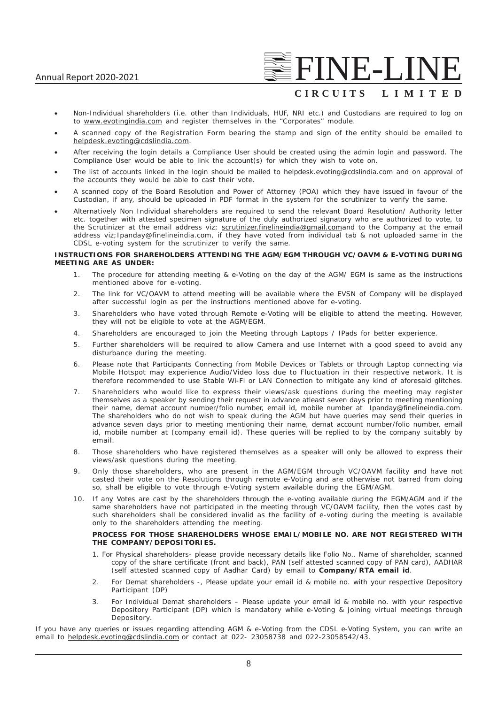# Annual Report 2020-2021  $\blacksquare$

### **CIRCUITS LIMITED**

- Non-Individual shareholders (i.e. other than Individuals, HUF, NRI etc.) and Custodians are required to log on to www.evotingindia.com and register themselves in the "Corporates" module.
- A scanned copy of the Registration Form bearing the stamp and sign of the entity should be emailed to helpdesk.evoting@cdslindia.com.
- After receiving the login details a Compliance User should be created using the admin login and password. The Compliance User would be able to link the account(s) for which they wish to vote on.
- The list of accounts linked in the login should be mailed to helpdesk.evoting@cdslindia.com and on approval of the accounts they would be able to cast their vote.
- A scanned copy of the Board Resolution and Power of Attorney (POA) which they have issued in favour of the Custodian, if any, should be uploaded in PDF format in the system for the scrutinizer to verify the same.
- Alternatively Non Individual shareholders are required to send the relevant Board Resolution/ Authority letter etc. together with attested specimen signature of the duly authorized signatory who are authorized to vote, to the Scrutinizer at the email address viz; scrutinizer.finelineindia@gmail.comand to the Company at the email address viz;Ipanday@finelineindia.com, if they have voted from individual tab & not uploaded same in the CDSL e-voting system for the scrutinizer to verify the same.

#### **INSTRUCTIONS FOR SHAREHOLDERS ATTENDING THE AGM/EGM THROUGH VC/OAVM & E-VOTING DURING MEETING ARE AS UNDER:**

- 1. The procedure for attending meeting & e-Voting on the day of the AGM/ EGM is same as the instructions mentioned above for e-voting.
- 2. The link for VC/OAVM to attend meeting will be available where the EVSN of Company will be displayed after successful login as per the instructions mentioned above for e-voting.
- 3. Shareholders who have voted through Remote e-Voting will be eligible to attend the meeting. However, they will not be eligible to vote at the AGM/EGM.
- 4. Shareholders are encouraged to join the Meeting through Laptops / IPads for better experience.
- 5. Further shareholders will be required to allow Camera and use Internet with a good speed to avoid any disturbance during the meeting.
- 6. Please note that Participants Connecting from Mobile Devices or Tablets or through Laptop connecting via Mobile Hotspot may experience Audio/Video loss due to Fluctuation in their respective network. It is therefore recommended to use Stable Wi-Fi or LAN Connection to mitigate any kind of aforesaid glitches.
- 7. Shareholders who would like to express their views/ask questions during the meeting may register themselves as a speaker by sending their request in advance atleast seven days prior to meeting mentioning their name, demat account number/folio number, email id, mobile number at Ipanday@finelineindia.com. The shareholders who do not wish to speak during the AGM but have queries may send their queries in advance seven days prior to meeting mentioning their name, demat account number/folio number, email id, mobile number at (company email id). These queries will be replied to by the company suitably by email.
- 8. Those shareholders who have registered themselves as a speaker will only be allowed to express their views/ask questions during the meeting.
- 9. Only those shareholders, who are present in the AGM/EGM through VC/OAVM facility and have not casted their vote on the Resolutions through remote e-Voting and are otherwise not barred from doing so, shall be eligible to vote through e-Voting system available during the EGM/AGM.
- 10. If any Votes are cast by the shareholders through the e-voting available during the EGM/AGM and if the same shareholders have not participated in the meeting through VC/OAVM facility, then the votes cast by such shareholders shall be considered invalid as the facility of e-voting during the meeting is available only to the shareholders attending the meeting.

#### **PROCESS FOR THOSE SHAREHOLDERS WHOSE EMAIL/MOBILE NO. ARE NOT REGISTERED WITH THE COMPANY/DEPOSITORIES.**

- 1. For Physical shareholders- please provide necessary details like Folio No., Name of shareholder, scanned copy of the share certificate (front and back), PAN (self attested scanned copy of PAN card), AADHAR (self attested scanned copy of Aadhar Card) by email to **Company/RTA email id**.
- 2. For Demat shareholders -, Please update your email id & mobile no. with your respective Depository Participant (DP)
- 3. For Individual Demat shareholders Please update your email id & mobile no. with your respective Depository Participant (DP) which is mandatory while e-Voting & joining virtual meetings through Depository.

If you have any queries or issues regarding attending AGM & e-Voting from the CDSL e-Voting System, you can write an email to helpdesk.evoting@cdslindia.com or contact at 022- 23058738 and 022-23058542/43.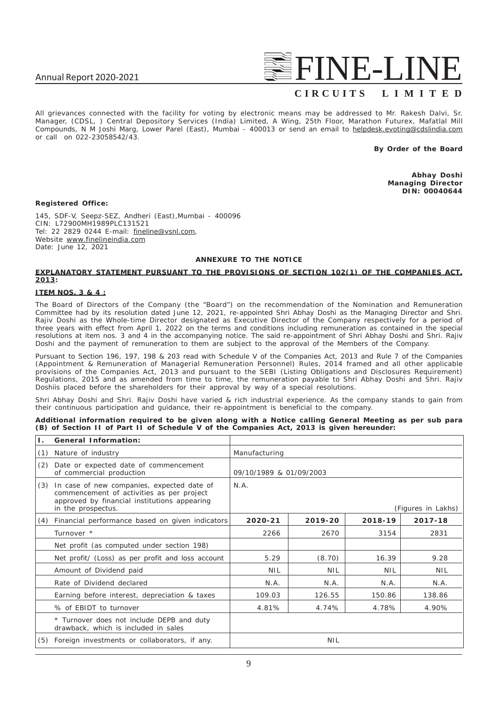#### **CIRCUITS LIMITED**

All grievances connected with the facility for voting by electronic means may be addressed to Mr. Rakesh Dalvi, Sr. Manager, (CDSL, ) Central Depository Services (India) Limited, A Wing, 25th Floor, Marathon Futurex, Mafatlal Mill Compounds, N M Joshi Marg, Lower Parel (East), Mumbai - 400013 or send an email to helpdesk.evoting@cdslindia.com or call on 022-23058542/43.

**By Order of the Board**

**Abhay Doshi Managing Director DIN: 00040644**

#### **Registered Office:**

145, SDF-V, Seepz-SEZ, Andheri (East),Mumbai - 400096 CIN: L72900MH1989PLC131521 Tel: 22 2829 0244 E-mail: fineline@vsnl.com, Website www.finelineindia.com Date: June 12, 2021

#### **ANNEXURE TO THE NOTICE**

#### **EXPLANATORY STATEMENT PURSUANT TO THE PROVISIONS OF SECTION 102(1) OF THE COMPANIES ACT, 2013:**

#### **ITEM NOS. 3 & 4 :**

The Board of Directors of the Company (the "Board") on the recommendation of the Nomination and Remuneration Committee had by its resolution dated June 12, 2021, re-appointed Shri Abhay Doshi as the Managing Director and Shri. Rajiv Doshi as the Whole-time Director designated as Executive Director of the Company respectively for a period of three years with effect from April 1, 2022 on the terms and conditions including remuneration as contained in the special resolutions at item nos. 3 and 4 in the accompanying notice. The said re-appointment of Shri Abhay Doshi and Shri. Rajiv Doshi and the payment of remuneration to them are subject to the approval of the Members of the Company.

Pursuant to Section 196, 197, 198 & 203 read with Schedule V of the Companies Act, 2013 and Rule 7 of the Companies (Appointment & Remuneration of Managerial Remuneration Personnel) Rules, 2014 framed and all other applicable provisions of the Companies Act, 2013 and pursuant to the SEBI (Listing Obligations and Disclosures Requirement) Regulations, 2015 and as amended from time to time, the remuneration payable to Shri Abhay Doshi and Shri. Rajiv Doshiis placed before the shareholders for their approval by way of a special resolutions.

Shri Abhay Doshi and Shri. Rajiv Doshi have varied & rich industrial experience. As the company stands to gain from their continuous participation and guidance, their re-appointment is beneficial to the company.

#### **Additional information required to be given along with a Notice calling General Meeting as per sub para (B) of Section II of Part II of Schedule V of the Companies Act, 2013 is given hereunder:**

| Ι.  | <b>General Information:</b>                                                                                                                                   |                                          |                         |            |                    |
|-----|---------------------------------------------------------------------------------------------------------------------------------------------------------------|------------------------------------------|-------------------------|------------|--------------------|
| (1) | Nature of industry                                                                                                                                            | Manufacturing                            |                         |            |                    |
| (2) | Date or expected date of commencement<br>of commercial production                                                                                             |                                          | 09/10/1989 & 01/09/2003 |            |                    |
| (3) | In case of new companies, expected date of<br>commencement of activities as per project<br>approved by financial institutions appearing<br>in the prospectus. | N.A.                                     |                         |            | (Figures in Lakhs) |
| (4) | Financial performance based on given indicators                                                                                                               | 2020-21<br>2019-20<br>2017-18<br>2018-19 |                         |            |                    |
|     | Turnover *                                                                                                                                                    | 2266                                     | 2670                    | 3154       | 2831               |
|     | Net profit (as computed under section 198)                                                                                                                    |                                          |                         |            |                    |
|     | Net profit/ (Loss) as per profit and loss account                                                                                                             | 5.29<br>(8.70)                           |                         | 16.39      | 9.28               |
|     | Amount of Dividend paid                                                                                                                                       | <b>NIL</b>                               | <b>NIL</b>              | <b>NIL</b> | <b>NIL</b>         |
|     | Rate of Dividend declared                                                                                                                                     | N.A.                                     | N.A.                    | N.A.       | N.A.               |
|     | Earning before interest, depreciation & taxes                                                                                                                 | 109.03                                   | 126.55                  | 150.86     | 138.86             |
|     | % of EBIDT to turnover                                                                                                                                        | 4.81%                                    | 4.74%                   | 4.78%      | 4.90%              |
|     | * Turnover does not include DEPB and duty<br>drawback, which is included in sales                                                                             |                                          |                         |            |                    |
| (5) | Foreign investments or collaborators, if any.                                                                                                                 | <b>NIL</b>                               |                         |            |                    |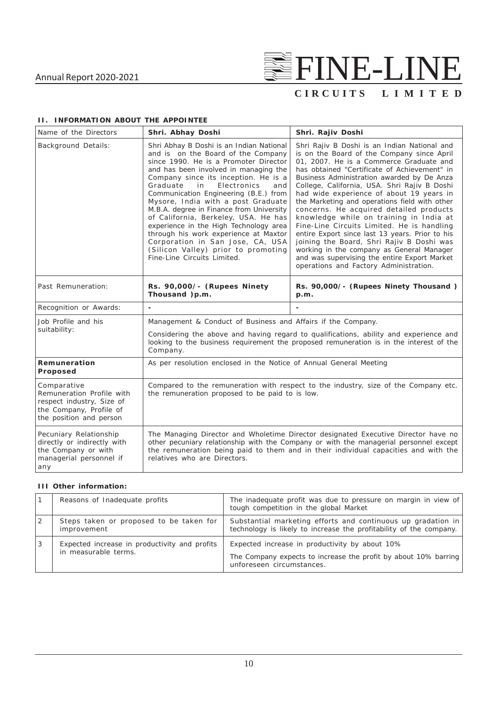## **CIRCUITS LIMITED**

#### **II. INFORMATION ABOUT THE APPOINTEE**

| Name of the Directors                                                                                                       | Shri. Abhay Doshi                                                                                                                                                                                                                                                                                                                                                                                                                                                                                                                                                                                             | Shri. Rajiv Doshi                                                                                                                                                                                                                                                                                                                                                                                                                                                                                                                                                                                                                                                                                                                                           |  |  |
|-----------------------------------------------------------------------------------------------------------------------------|---------------------------------------------------------------------------------------------------------------------------------------------------------------------------------------------------------------------------------------------------------------------------------------------------------------------------------------------------------------------------------------------------------------------------------------------------------------------------------------------------------------------------------------------------------------------------------------------------------------|-------------------------------------------------------------------------------------------------------------------------------------------------------------------------------------------------------------------------------------------------------------------------------------------------------------------------------------------------------------------------------------------------------------------------------------------------------------------------------------------------------------------------------------------------------------------------------------------------------------------------------------------------------------------------------------------------------------------------------------------------------------|--|--|
| <b>Background Details:</b>                                                                                                  | Shri Abhay B Doshi is an Indian National<br>and is on the Board of the Company<br>since 1990. He is a Promoter Director<br>and has been involved in managing the<br>Company since its inception. He is a<br>Electronics<br>Graduate in<br>and<br>Communication Engineering (B.E.) from<br>Mysore, India with a post Graduate<br>M.B.A. degree in Finance from University<br>of California, Berkeley, USA. He has<br>experience in the High Technology area<br>through his work experience at Maxtor<br>Corporation in San Jose, CA, USA<br>(Silicon Valley) prior to promoting<br>Fine-Line Circuits Limited. | Shri Rajiv B Doshi is an Indian National and<br>is on the Board of the Company since April<br>01, 2007. He is a Commerce Graduate and<br>has obtained "Certificate of Achievement" in<br>Business Administration awarded by De Anza<br>College, California, USA. Shri Rajiv B Doshi<br>had wide experience of about 19 years in<br>the Marketing and operations field with other<br>concerns. He acquired detailed products<br>knowledge while on training in India at<br>Fine-Line Circuits Limited. He is handling<br>entire Export since last 13 years. Prior to his<br>joining the Board, Shri Rajiv B Doshi was<br>working in the company as General Manager<br>and was supervising the entire Export Market<br>operations and Factory Administration. |  |  |
| Past Remuneration:                                                                                                          | Rs. 90,000/- (Rupees Ninety<br>Thousand )p.m.                                                                                                                                                                                                                                                                                                                                                                                                                                                                                                                                                                 | Rs. 90,000/- (Rupees Ninety Thousand)<br>p.m.                                                                                                                                                                                                                                                                                                                                                                                                                                                                                                                                                                                                                                                                                                               |  |  |
| Recognition or Awards:                                                                                                      | ٠                                                                                                                                                                                                                                                                                                                                                                                                                                                                                                                                                                                                             |                                                                                                                                                                                                                                                                                                                                                                                                                                                                                                                                                                                                                                                                                                                                                             |  |  |
| Job Profile and his                                                                                                         | Management & Conduct of Business and Affairs if the Company.                                                                                                                                                                                                                                                                                                                                                                                                                                                                                                                                                  |                                                                                                                                                                                                                                                                                                                                                                                                                                                                                                                                                                                                                                                                                                                                                             |  |  |
| suitability:                                                                                                                | Company.                                                                                                                                                                                                                                                                                                                                                                                                                                                                                                                                                                                                      | Considering the above and having regard to qualifications, ability and experience and<br>looking to the business requirement the proposed remuneration is in the interest of the                                                                                                                                                                                                                                                                                                                                                                                                                                                                                                                                                                            |  |  |
| Remuneration<br>Proposed                                                                                                    | As per resolution enclosed in the Notice of Annual General Meeting                                                                                                                                                                                                                                                                                                                                                                                                                                                                                                                                            |                                                                                                                                                                                                                                                                                                                                                                                                                                                                                                                                                                                                                                                                                                                                                             |  |  |
| Comparative<br>Remuneration Profile with<br>respect industry, Size of<br>the Company, Profile of<br>the position and person | Compared to the remuneration with respect to the industry, size of the Company etc.<br>the remuneration proposed to be paid to is low.                                                                                                                                                                                                                                                                                                                                                                                                                                                                        |                                                                                                                                                                                                                                                                                                                                                                                                                                                                                                                                                                                                                                                                                                                                                             |  |  |
| Pecuniary Relationship<br>directly or indirectly with<br>the Company or with<br>managerial personnel if<br>any              | The Managing Director and Wholetime Director designated Executive Director have no<br>other pecuniary relationship with the Company or with the managerial personnel except<br>the remuneration being paid to them and in their individual capacities and with the<br>relatives who are Directors.                                                                                                                                                                                                                                                                                                            |                                                                                                                                                                                                                                                                                                                                                                                                                                                                                                                                                                                                                                                                                                                                                             |  |  |

#### **III Other information:**

| Reasons of Inadequate profits                                         | The inadequate profit was due to pressure on margin in view of<br>tough competition in the global Market                                       |
|-----------------------------------------------------------------------|------------------------------------------------------------------------------------------------------------------------------------------------|
| Steps taken or proposed to be taken for<br>improvement                | Substantial marketing efforts and continuous up gradation in<br>technology is likely to increase the profitability of the company.             |
| Expected increase in productivity and profits<br>in measurable terms. | Expected increase in productivity by about 10%<br>The Company expects to increase the profit by about 10% barring<br>unforeseen circumstances. |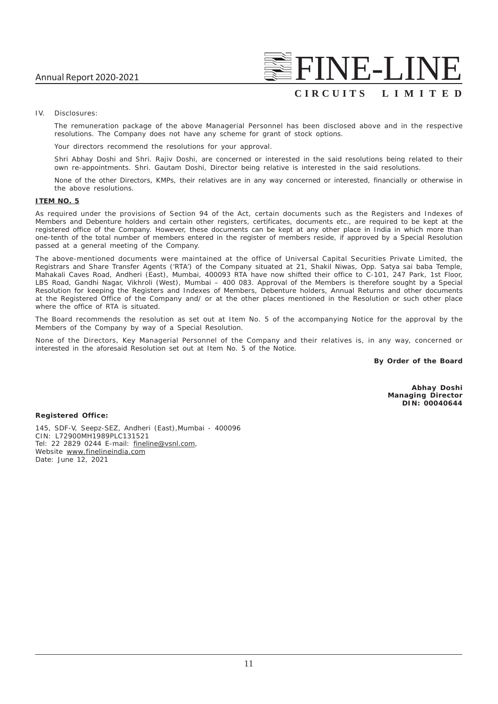## Annual Report 2020-2021 **FINE-LINE CIRCUITS LIMITED**

#### IV. Disclosures:

The remuneration package of the above Managerial Personnel has been disclosed above and in the respective resolutions. The Company does not have any scheme for grant of stock options.

Your directors recommend the resolutions for your approval.

Shri Abhay Doshi and Shri. Rajiv Doshi, are concerned or interested in the said resolutions being related to their own re-appointments. Shri. Gautam Doshi, Director being relative is interested in the said resolutions.

None of the other Directors, KMPs, their relatives are in any way concerned or interested, financially or otherwise in the above resolutions.

#### **ITEM NO. 5**

As required under the provisions of Section 94 of the Act, certain documents such as the Registers and Indexes of Members and Debenture holders and certain other registers, certificates, documents etc., are required to be kept at the registered office of the Company. However, these documents can be kept at any other place in India in which more than one-tenth of the total number of members entered in the register of members reside, if approved by a Special Resolution passed at a general meeting of the Company.

The above-mentioned documents were maintained at the office of Universal Capital Securities Private Limited, the Registrars and Share Transfer Agents ('RTA') of the Company situated at 21, Shakil Niwas, Opp. Satya sai baba Temple, Mahakali Caves Road, Andheri (East), Mumbai, 400093 RTA have now shifted their office to C-101, 247 Park, 1st Floor, LBS Road, Gandhi Nagar, Vikhroli (West), Mumbai – 400 083. Approval of the Members is therefore sought by a Special Resolution for keeping the Registers and Indexes of Members, Debenture holders, Annual Returns and other documents at the Registered Office of the Company and/ or at the other places mentioned in the Resolution or such other place where the office of RTA is situated.

The Board recommends the resolution as set out at Item No. 5 of the accompanying Notice for the approval by the Members of the Company by way of a Special Resolution.

None of the Directors, Key Managerial Personnel of the Company and their relatives is, in any way, concerned or interested in the aforesaid Resolution set out at Item No. 5 of the Notice.

**By Order of the Board**

**Abhay Doshi Managing Director DIN: 00040644**

#### **Registered Office:**

145, SDF-V, Seepz-SEZ, Andheri (East),Mumbai - 400096 CIN: L72900MH1989PLC131521 Tel: 22 2829 0244 E-mail: fineline@vsnl.com, Website www.finelineindia.com Date: June 12, 2021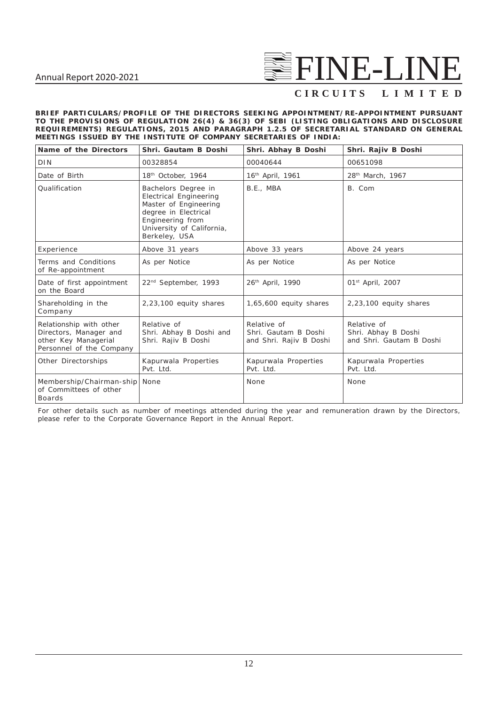#### **CIRCUITS LIMITED**

#### **BRIEF PARTICULARS/PROFILE OF THE DIRECTORS SEEKING APPOINTMENT/RE-APPOINTMENT PURSUANT TO THE PROVISIONS OF REGULATION 26(4) & 36(3) OF SEBI (LISTING OBLIGATIONS AND DISCLOSURE REQUIREMENTS) REGULATIONS, 2015 AND PARAGRAPH 1.2.5 OF SECRETARIAL STANDARD ON GENERAL MEETINGS ISSUED BY THE INSTITUTE OF COMPANY SECRETARIES OF INDIA:**

| Name of the Directors                                                                                 | Shri. Gautam B Doshi                                                                                                                                                    | Shri. Abhay B Doshi                                            | Shri. Rajiv B Doshi                                            |
|-------------------------------------------------------------------------------------------------------|-------------------------------------------------------------------------------------------------------------------------------------------------------------------------|----------------------------------------------------------------|----------------------------------------------------------------|
| <b>DIN</b>                                                                                            | 00328854                                                                                                                                                                | 00040644                                                       | 00651098                                                       |
| Date of Birth                                                                                         | 18th October, 1964                                                                                                                                                      | 16th April, 1961                                               | 28 <sup>th</sup> March, 1967                                   |
| Qualification                                                                                         | Bachelors Degree in<br><b>Electrical Engineering</b><br>Master of Engineering<br>degree in Electrical<br>Engineering from<br>University of California,<br>Berkeley, USA | B.E., MBA                                                      | B. Com                                                         |
| Experience                                                                                            | Above 31 years                                                                                                                                                          | Above 33 years                                                 | Above 24 years                                                 |
| Terms and Conditions<br>of Re-appointment                                                             | As per Notice                                                                                                                                                           | As per Notice                                                  | As per Notice                                                  |
| Date of first appointment<br>on the Board                                                             | 22 <sup>nd</sup> September, 1993                                                                                                                                        | 26th April, 1990                                               | 01 <sup>st</sup> April, 2007                                   |
| Shareholding in the<br>Company                                                                        | 2,23,100 equity shares                                                                                                                                                  | 1,65,600 equity shares                                         | 2,23,100 equity shares                                         |
| Relationship with other<br>Directors, Manager and<br>other Key Managerial<br>Personnel of the Company | Relative of<br>Shri. Abhay B Doshi and<br>Shri. Rajiv B Doshi                                                                                                           | Relative of<br>Shri. Gautam B Doshi<br>and Shri. Rajiv B Doshi | Relative of<br>Shri. Abhay B Doshi<br>and Shri. Gautam B Doshi |
| Other Directorships                                                                                   | Kapurwala Properties<br>Pvt. Ltd.                                                                                                                                       | Kapurwala Properties<br>Pvt. Ltd.                              | Kapurwala Properties<br>Pvt. Ltd.                              |
| Membership/Chairman-ship<br>of Committees of other<br><b>Boards</b>                                   | None                                                                                                                                                                    | None                                                           | None                                                           |

For other details such as number of meetings attended during the year and remuneration drawn by the Directors, please refer to the Corporate Governance Report in the Annual Report.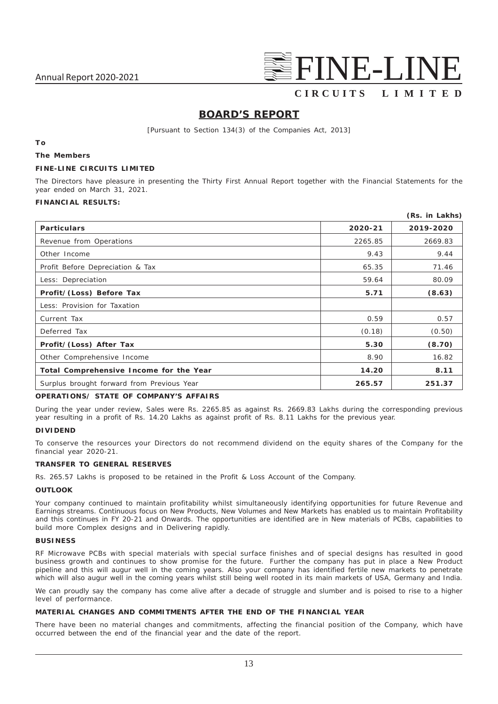### **CIRCUITS LIMITED**

### **BOARD'S REPORT**

*[Pursuant to Section 134(3) of the Companies Act, 2013]*

#### **To**

#### **The Members**

#### **FINE-LINE CIRCUITS LIMITED**

The Directors have pleasure in presenting the Thirty First Annual Report together with the Financial Statements for the year ended on March 31, 2021.

#### **FINANCIAL RESULTS:**

|                                            |         | (Rs. in Lakhs) |
|--------------------------------------------|---------|----------------|
| <b>Particulars</b>                         | 2020-21 | 2019-2020      |
| Revenue from Operations                    | 2265.85 | 2669.83        |
| Other Income                               | 9.43    | 9.44           |
| Profit Before Depreciation & Tax           | 65.35   | 71.46          |
| Less: Depreciation                         | 59.64   | 80.09          |
| Profit/(Loss) Before Tax                   | 5.71    | (8.63)         |
| Less: Provision for Taxation               |         |                |
| Current Tax                                | 0.59    | 0.57           |
| Deferred Tax                               | (0.18)  | (0.50)         |
| Profit/(Loss) After Tax                    | 5.30    | (8.70)         |
| Other Comprehensive Income                 | 8.90    | 16.82          |
| Total Comprehensive Income for the Year    | 14.20   | 8.11           |
| Surplus brought forward from Previous Year | 265.57  | 251.37         |

#### **OPERATIONS/ STATE OF COMPANY'S AFFAIRS**

During the year under review, Sales were Rs. 2265.85 as against Rs. 2669.83 Lakhs during the corresponding previous year resulting in a profit of Rs. 14.20 Lakhs as against profit of Rs. 8.11 Lakhs for the previous year.

#### **DIVIDEND**

To conserve the resources your Directors do not recommend dividend on the equity shares of the Company for the financial year 2020-21.

#### **TRANSFER TO GENERAL RESERVES**

Rs. 265.57 Lakhs is proposed to be retained in the Profit & Loss Account of the Company.

#### **OUTLOOK**

Your company continued to maintain profitability whilst simultaneously identifying opportunities for future Revenue and Earnings streams. Continuous focus on New Products, New Volumes and New Markets has enabled us to maintain Profitability and this continues in FY 20-21 and Onwards. The opportunities are identified are in New materials of PCBs, capabilities to build more Complex designs and in Delivering rapidly.

#### **BUSINESS**

RF Microwave PCBs with special materials with special surface finishes and of special designs has resulted in good business growth and continues to show promise for the future. Further the company has put in place a New Product pipeline and this will augur well in the coming years. Also your company has identified fertile new markets to penetrate which will also augur well in the coming years whilst still being well rooted in its main markets of USA, Germany and India.

We can proudly say the company has come alive after a decade of struggle and slumber and is poised to rise to a higher level of performance.

#### **MATERIAL CHANGES AND COMMITMENTS AFTER THE END OF THE FINANCIAL YEAR**

There have been no material changes and commitments, affecting the financial position of the Company, which have occurred between the end of the financial year and the date of the report.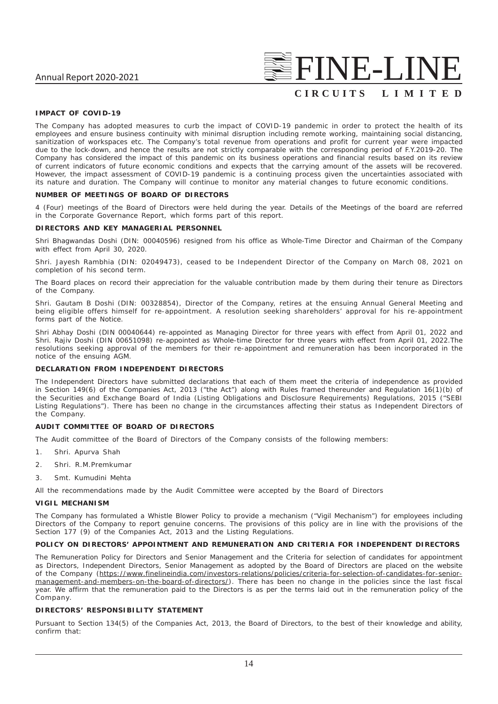Annual Report 2020-2021  $\blacksquare$ **CIRCUITS LIMITED**

#### **IMPACT OF COVID-19**

The Company has adopted measures to curb the impact of COVID-19 pandemic in order to protect the health of its employees and ensure business continuity with minimal disruption including remote working, maintaining social distancing, sanitization of workspaces etc. The Company's total revenue from operations and profit for current year were impacted due to the lock-down, and hence the results are not strictly comparable with the corresponding period of F.Y.2019-20. The Company has considered the impact of this pandemic on its business operations and financial results based on its review of current indicators of future economic conditions and expects that the carrying amount of the assets will be recovered. However, the impact assessment of COVID-19 pandemic is a continuing process given the uncertainties associated with its nature and duration. The Company will continue to monitor any material changes to future economic conditions.

#### **NUMBER OF MEETINGS OF BOARD OF DIRECTORS**

4 (Four) meetings of the Board of Directors were held during the year. Details of the Meetings of the board are referred in the Corporate Governance Report, which forms part of this report.

#### **DIRECTORS AND KEY MANAGERIAL PERSONNEL**

Shri Bhagwandas Doshi (DIN: 00040596) resigned from his office as Whole-Time Director and Chairman of the Company with effect from April 30, 2020.

Shri. Jayesh Rambhia (DIN: 02049473), ceased to be Independent Director of the Company on March 08, 2021 on completion of his second term.

The Board places on record their appreciation for the valuable contribution made by them during their tenure as Directors of the Company.

Shri. Gautam B Doshi (DIN: 00328854), Director of the Company, retires at the ensuing Annual General Meeting and being eligible offers himself for re-appointment. A resolution seeking shareholders' approval for his re-appointment forms part of the Notice.

Shri Abhay Doshi (DIN 00040644) re-appointed as Managing Director for three years with effect from April 01, 2022 and Shri. Rajiv Doshi (DIN 00651098) re-appointed as Whole-time Director for three years with effect from April 01, 2022.The resolutions seeking approval of the members for their re-appointment and remuneration has been incorporated in the notice of the ensuing AGM.

#### **DECLARATION FROM INDEPENDENT DIRECTORS**

The Independent Directors have submitted declarations that each of them meet the criteria of independence as provided in Section 149(6) of the Companies Act, 2013 ("the Act") along with Rules framed thereunder and Regulation 16(1)(b) of the Securities and Exchange Board of India (Listing Obligations and Disclosure Requirements) Regulations, 2015 ("SEBI Listing Regulations"). There has been no change in the circumstances affecting their status as Independent Directors of the Company.

#### **AUDIT COMMITTEE OF BOARD OF DIRECTORS**

The Audit committee of the Board of Directors of the Company consists of the following members:

- 1. Shri. Apurva Shah
- 2. Shri. R.M.Premkumar
- 3. Smt. Kumudini Mehta

All the recommendations made by the Audit Committee were accepted by the Board of Directors

#### **VIGIL MECHANISM**

The Company has formulated a Whistle Blower Policy to provide a mechanism ("Vigil Mechanism") for employees including Directors of the Company to report genuine concerns. The provisions of this policy are in line with the provisions of the Section 177 (9) of the Companies Act, 2013 and the Listing Regulations.

#### **POLICY ON DIRECTORS' APPOINTMENT AND REMUNERATION AND CRITERIA FOR INDEPENDENT DIRECTORS**

The Remuneration Policy for Directors and Senior Management and the Criteria for selection of candidates for appointment as Directors, Independent Directors, Senior Management as adopted by the Board of Directors are placed on the website of the Company (https://www.finelineindia.com/investors-relations/policies/criteria-for-selection-of-candidates-for-seniormanagement-and-members-on-the-board-of-directors/). There has been no change in the policies since the last fiscal year. We affirm that the remuneration paid to the Directors is as per the terms laid out in the remuneration policy of the Company.

#### **DIRECTORS' RESPONSIBILITY STATEMENT**

Pursuant to Section 134(5) of the Companies Act, 2013, the Board of Directors, to the best of their knowledge and ability, confirm that: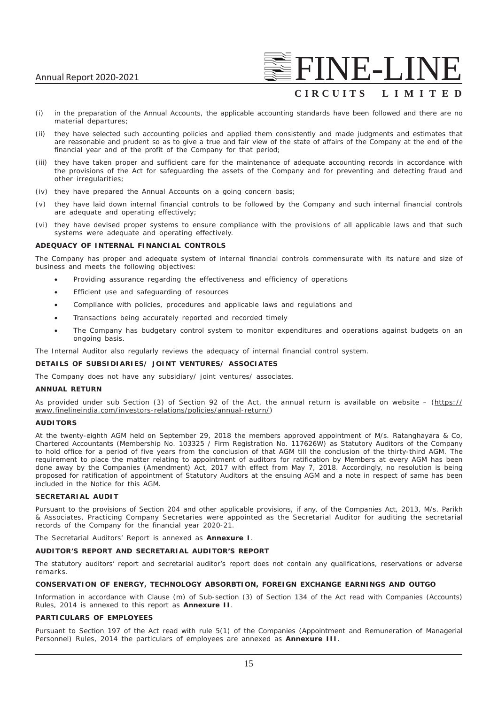# Annual Report 2020-2021  $\equiv$   $\equiv$   $\sim$   $\sim$

### **CIRCUITS LIMITED**

- (i) in the preparation of the Annual Accounts, the applicable accounting standards have been followed and there are no material departures;
- (ii) they have selected such accounting policies and applied them consistently and made judgments and estimates that are reasonable and prudent so as to give a true and fair view of the state of affairs of the Company at the end of the financial year and of the profit of the Company for that period;
- (iii) they have taken proper and sufficient care for the maintenance of adequate accounting records in accordance with the provisions of the Act for safeguarding the assets of the Company and for preventing and detecting fraud and other irregularities;
- (iv) they have prepared the Annual Accounts on a going concern basis;
- (v) they have laid down internal financial controls to be followed by the Company and such internal financial controls are adequate and operating effectively;
- (vi) they have devised proper systems to ensure compliance with the provisions of all applicable laws and that such systems were adequate and operating effectively.

#### **ADEQUACY OF INTERNAL FINANCIAL CONTROLS**

The Company has proper and adequate system of internal financial controls commensurate with its nature and size of business and meets the following objectives:

- Providing assurance regarding the effectiveness and efficiency of operations
- Efficient use and safeguarding of resources
- Compliance with policies, procedures and applicable laws and regulations and
- Transactions being accurately reported and recorded timely
- The Company has budgetary control system to monitor expenditures and operations against budgets on an ongoing basis.
- The Internal Auditor also regularly reviews the adequacy of internal financial control system.

#### **DETAILS OF SUBSIDIARIES/ JOINT VENTURES/ ASSOCIATES**

The Company does not have any subsidiary/ joint ventures/ associates.

#### **ANNUAL RETURN**

As provided under sub Section (3) of Section 92 of the Act, the annual return is available on website – (https:// www.finelineindia.com/investors-relations/policies/annual-return/)

#### **AUDITORS**

At the twenty-eighth AGM held on September 29, 2018 the members approved appointment of M/s. Ratanghayara & Co, Chartered Accountants (Membership No. 103325 / Firm Registration No. 117626W) as Statutory Auditors of the Company to hold office for a period of five years from the conclusion of that AGM till the conclusion of the thirty-third AGM. The requirement to place the matter relating to appointment of auditors for ratification by Members at every AGM has been done away by the Companies (Amendment) Act, 2017 with effect from May 7, 2018. Accordingly, no resolution is being proposed for ratification of appointment of Statutory Auditors at the ensuing AGM and a note in respect of same has been included in the Notice for this AGM.

#### **SECRETARIAL AUDIT**

Pursuant to the provisions of Section 204 and other applicable provisions, if any, of the Companies Act, 2013, M/s. Parikh & Associates, Practicing Company Secretaries were appointed as the Secretarial Auditor for auditing the secretarial records of the Company for the financial year 2020-21.

The Secretarial Auditors' Report is annexed as **Annexure I**.

#### **AUDITOR'S REPORT AND SECRETARIAL AUDITOR'S REPORT**

The statutory auditors' report and secretarial auditor's report does not contain any qualifications, reservations or adverse remarks.

#### **CONSERVATION OF ENERGY, TECHNOLOGY ABSORBTION, FOREIGN EXCHANGE EARNINGS AND OUTGO**

Information in accordance with Clause (m) of Sub-section (3) of Section 134 of the Act read with Companies (Accounts) Rules, 2014 is annexed to this report as **Annexure II**.

#### **PARTICULARS OF EMPLOYEES**

Pursuant to Section 197 of the Act read with rule 5(1) of the Companies (Appointment and Remuneration of Managerial Personnel) Rules, 2014 the particulars of employees are annexed as **Annexure III**.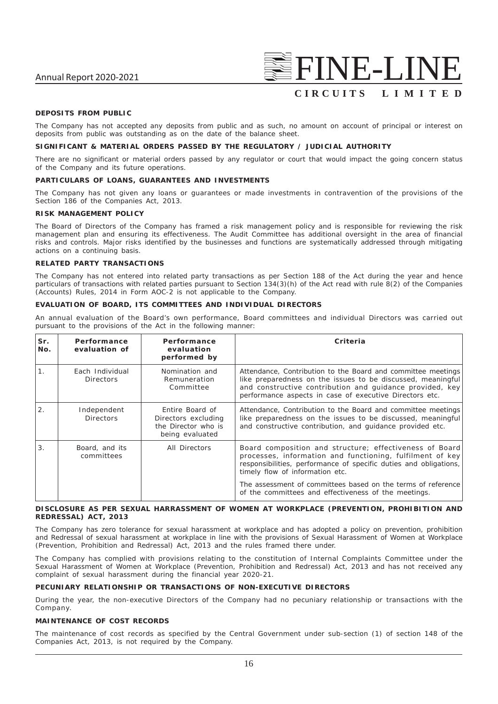# Annual Report 2020-2021 **FINE-LINE CIRCUITS LIMITED**

#### **DEPOSITS FROM PUBLIC**

The Company has not accepted any deposits from public and as such, no amount on account of principal or interest on deposits from public was outstanding as on the date of the balance sheet.

#### **SIGNIFICANT & MATERIAL ORDERS PASSED BY THE REGULATORY / JUDICIAL AUTHORITY**

There are no significant or material orders passed by any regulator or court that would impact the going concern status of the Company and its future operations.

#### **PARTICULARS OF LOANS, GUARANTEES AND INVESTMENTS**

The Company has not given any loans or guarantees or made investments in contravention of the provisions of the Section 186 of the Companies Act, 2013.

#### **RISK MANAGEMENT POLICY**

The Board of Directors of the Company has framed a risk management policy and is responsible for reviewing the risk management plan and ensuring its effectiveness. The Audit Committee has additional oversight in the area of financial risks and controls. Major risks identified by the businesses and functions are systematically addressed through mitigating actions on a continuing basis.

#### **RELATED PARTY TRANSACTIONS**

The Company has not entered into related party transactions as per Section 188 of the Act during the year and hence particulars of transactions with related parties pursuant to Section 134(3)(h) of the Act read with rule 8(2) of the Companies (Accounts) Rules, 2014 in Form AOC-2 is not applicable to the Company.

#### **EVALUATION OF BOARD, ITS COMMITTEES AND INDIVIDUAL DIRECTORS**

An annual evaluation of the Board's own performance, Board committees and individual Directors was carried out pursuant to the provisions of the Act in the following manner:

| Sr.<br>No. | Performance<br>evaluation of        | Performance<br>evaluation<br>performed by                                        | Criteria                                                                                                                                                                                                                                           |
|------------|-------------------------------------|----------------------------------------------------------------------------------|----------------------------------------------------------------------------------------------------------------------------------------------------------------------------------------------------------------------------------------------------|
| 1.         | Each Individual<br><b>Directors</b> | Nomination and<br>Remuneration<br>Committee                                      | Attendance, Contribution to the Board and committee meetings<br>like preparedness on the issues to be discussed, meaningful<br>and constructive contribution and quidance provided, key<br>performance aspects in case of executive Directors etc. |
| 2.         | Independent<br><b>Directors</b>     | Entire Board of<br>Directors excluding<br>the Director who is<br>being evaluated | Attendance, Contribution to the Board and committee meetings<br>like preparedness on the issues to be discussed, meaningful<br>and constructive contribution, and quidance provided etc.                                                           |
| 3.         | Board, and its<br>committees        | All Directors                                                                    | Board composition and structure; effectiveness of Board<br>processes, information and functioning, fulfilment of key<br>responsibilities, performance of specific duties and obligations,<br>timely flow of information etc.                       |
|            |                                     |                                                                                  | The assessment of committees based on the terms of reference<br>of the committees and effectiveness of the meetings.                                                                                                                               |

#### **DISCLOSURE AS PER SEXUAL HARRASSMENT OF WOMEN AT WORKPLACE (PREVENTION, PROHIBITION AND REDRESSAL) ACT, 2013**

The Company has zero tolerance for sexual harassment at workplace and has adopted a policy on prevention, prohibition and Redressal of sexual harassment at workplace in line with the provisions of Sexual Harassment of Women at Workplace (Prevention, Prohibition and Redressal) Act, 2013 and the rules framed there under.

The Company has complied with provisions relating to the constitution of Internal Complaints Committee under the Sexual Harassment of Women at Workplace (Prevention, Prohibition and Redressal) Act, 2013 and has not received any complaint of sexual harassment during the financial year 2020-21.

#### **PECUNIARY RELATIONSHIP OR TRANSACTIONS OF NON-EXECUTIVE DIRECTORS**

During the year, the non-executive Directors of the Company had no pecuniary relationship or transactions with the Company.

#### **MAINTENANCE OF COST RECORDS**

The maintenance of cost records as specified by the Central Government under sub-section (1) of section 148 of the Companies Act, 2013, is not required by the Company.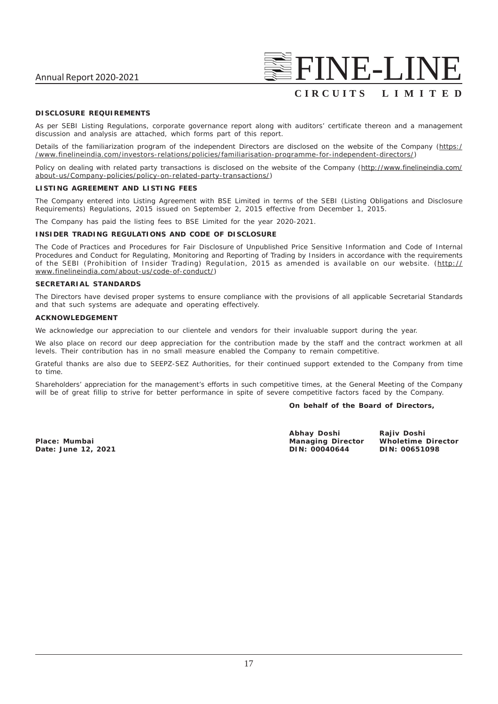## **CIRCUITS LIMITED**

#### **DISCLOSURE REQUIREMENTS**

As per SEBI Listing Regulations, corporate governance report along with auditors' certificate thereon and a management discussion and analysis are attached, which forms part of this report.

Details of the familiarization program of the independent Directors are disclosed on the website of the Company (https:/ /www.finelineindia.com/investors-relations/policies/familiarisation-programme-for-independent-directors/)

Policy on dealing with related party transactions is disclosed on the website of the Company (http://www.finelineindia.com/ about-us/Company-policies/policy-on-related-party-transactions/)

#### **LISTING AGREEMENT AND LISTING FEES**

The Company entered into Listing Agreement with BSE Limited in terms of the SEBI (Listing Obligations and Disclosure Requirements) Regulations, 2015 issued on September 2, 2015 effective from December 1, 2015.

The Company has paid the listing fees to BSE Limited for the year 2020-2021.

#### **INSIDER TRADING REGULATIONS AND CODE OF DISCLOSURE**

The Code of Practices and Procedures for Fair Disclosure of Unpublished Price Sensitive Information and Code of Internal Procedures and Conduct for Regulating, Monitoring and Reporting of Trading by Insiders in accordance with the requirements of the SEBI (Prohibition of Insider Trading) Regulation, 2015 as amended is available on our website. (http:// www.finelineindia.com/about-us/code-of-conduct/)

#### **SECRETARIAL STANDARDS**

The Directors have devised proper systems to ensure compliance with the provisions of all applicable Secretarial Standards and that such systems are adequate and operating effectively.

#### **ACKNOWLEDGEMENT**

We acknowledge our appreciation to our clientele and vendors for their invaluable support during the year.

We also place on record our deep appreciation for the contribution made by the staff and the contract workmen at all levels. Their contribution has in no small measure enabled the Company to remain competitive.

Grateful thanks are also due to SEEPZ-SEZ Authorities, for their continued support extended to the Company from time to time.

Shareholders' appreciation for the management's efforts in such competitive times, at the General Meeting of the Company will be of great fillip to strive for better performance in spite of severe competitive factors faced by the Company.

#### **On behalf of the Board of Directors,**

**Date: June 12, 2021 Din: DIN: 00040644** 

**Abhay Doshi Rajiv Doshi Place: Mumbai Managing Director Wholetime Director**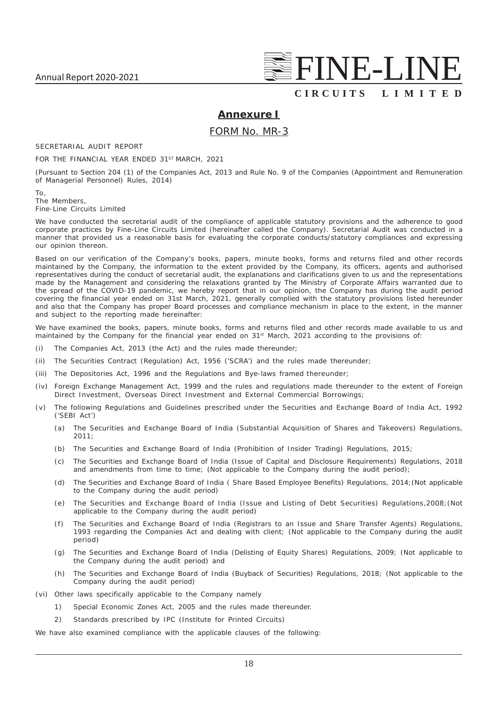

#### **Annexure I**

FORM No. MR-3

SECRETARIAL AUDIT REPORT

FOR THE FINANCIAL YEAR ENDED 31ST MARCH, 2021

(Pursuant to Section 204 (1) of the Companies Act, 2013 and Rule No. 9 of the Companies (Appointment and Remuneration of Managerial Personnel) Rules, 2014)

To, The Members, Fine-Line Circuits Limited

We have conducted the secretarial audit of the compliance of applicable statutory provisions and the adherence to good corporate practices by Fine-Line Circuits Limited (hereinafter called the Company). Secretarial Audit was conducted in a manner that provided us a reasonable basis for evaluating the corporate conducts/statutory compliances and expressing our opinion thereon.

Based on our verification of the Company's books, papers, minute books, forms and returns filed and other records maintained by the Company, the information to the extent provided by the Company, its officers, agents and authorised representatives during the conduct of secretarial audit, the explanations and clarifications given to us and the representations made by the Management and considering the relaxations granted by The Ministry of Corporate Affairs warranted due to the spread of the COVID-19 pandemic, we hereby report that in our opinion, the Company has during the audit period covering the financial year ended on 31st March, 2021, generally complied with the statutory provisions listed hereunder and also that the Company has proper Board processes and compliance mechanism in place to the extent, in the manner and subject to the reporting made hereinafter:

We have examined the books, papers, minute books, forms and returns filed and other records made available to us and maintained by the Company for the financial year ended on 31<sup>st</sup> March, 2021 according to the provisions of:

- (i) The Companies Act, 2013 (the Act) and the rules made thereunder;
- (ii) The Securities Contract (Regulation) Act, 1956 ('SCRA') and the rules made thereunder;
- (iii) The Depositories Act, 1996 and the Regulations and Bye-laws framed thereunder;
- (iv) Foreign Exchange Management Act, 1999 and the rules and regulations made thereunder to the extent of Foreign Direct Investment, Overseas Direct Investment and External Commercial Borrowings;
- (v) The following Regulations and Guidelines prescribed under the Securities and Exchange Board of India Act, 1992 ('SEBI Act')
	- (a) The Securities and Exchange Board of India (Substantial Acquisition of Shares and Takeovers) Regulations, 2011;
	- (b) The Securities and Exchange Board of India (Prohibition of Insider Trading) Regulations, 2015;
	- (c) The Securities and Exchange Board of India (Issue of Capital and Disclosure Requirements) Regulations, 2018 and amendments from time to time; (Not applicable to the Company during the audit period);
	- (d) The Securities and Exchange Board of India ( Share Based Employee Benefits) Regulations, 2014;(Not applicable to the Company during the audit period)
	- (e) The Securities and Exchange Board of India (Issue and Listing of Debt Securities) Regulations,2008;(Not applicable to the Company during the audit period)
	- (f) The Securities and Exchange Board of India (Registrars to an Issue and Share Transfer Agents) Regulations, 1993 regarding the Companies Act and dealing with client; (Not applicable to the Company during the audit period)
	- (g) The Securities and Exchange Board of India (Delisting of Equity Shares) Regulations, 2009; (Not applicable to the Company during the audit period) and
	- (h) The Securities and Exchange Board of India (Buyback of Securities) Regulations, 2018; (Not applicable to the Company during the audit period)
- (vi) Other laws specifically applicable to the Company namely
	- 1) Special Economic Zones Act, 2005 and the rules made thereunder.
	- 2) Standards prescribed by IPC (Institute for Printed Circuits)

We have also examined compliance with the applicable clauses of the following: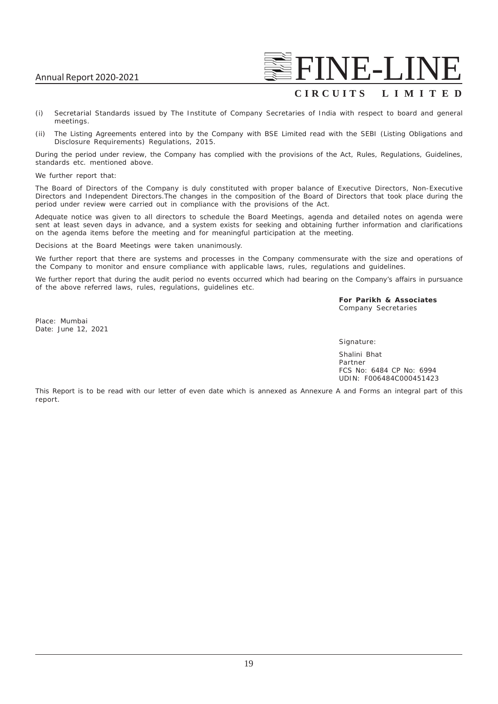## Annual Report 2020-2021 **FINE-LINE CIRCUITS LIMITED**

#### (i) Secretarial Standards issued by The Institute of Company Secretaries of India with respect to board and general meetings.

(ii) The Listing Agreements entered into by the Company with BSE Limited read with the SEBI (Listing Obligations and Disclosure Requirements) Regulations, 2015.

During the period under review, the Company has complied with the provisions of the Act, Rules, Regulations, Guidelines, standards etc. mentioned above.

We further report that:

The Board of Directors of the Company is duly constituted with proper balance of Executive Directors, Non-Executive Directors and Independent Directors.The changes in the composition of the Board of Directors that took place during the period under review were carried out in compliance with the provisions of the Act.

Adequate notice was given to all directors to schedule the Board Meetings, agenda and detailed notes on agenda were sent at least seven days in advance, and a system exists for seeking and obtaining further information and clarifications on the agenda items before the meeting and for meaningful participation at the meeting.

Decisions at the Board Meetings were taken unanimously.

We further report that there are systems and processes in the Company commensurate with the size and operations of the Company to monitor and ensure compliance with applicable laws, rules, regulations and guidelines.

We further report that during the audit period no events occurred which had bearing on the Company's affairs in pursuance of the above referred laws, rules, regulations, guidelines etc.

> **For Parikh & Associates** Company Secretaries

Place: Mumbai Date: June 12, 2021

Signature:

Shalini Bhat Partner FCS No: 6484 CP No: 6994 UDIN: F006484C000451423

*This Report is to be read with our letter of even date which is annexed as Annexure A and Forms an integral part of this report.*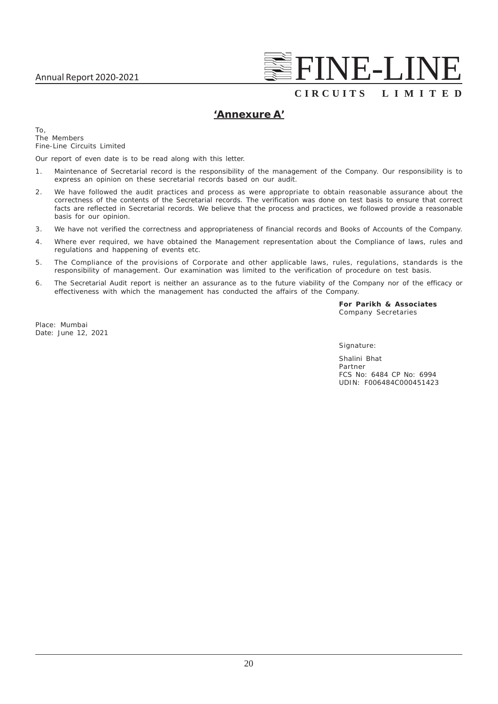

#### **'Annexure A'**

To, The Members Fine-Line Circuits Limited

Our report of even date is to be read along with this letter.

- 1. Maintenance of Secretarial record is the responsibility of the management of the Company. Our responsibility is to express an opinion on these secretarial records based on our audit.
- 2. We have followed the audit practices and process as were appropriate to obtain reasonable assurance about the correctness of the contents of the Secretarial records. The verification was done on test basis to ensure that correct facts are reflected in Secretarial records. We believe that the process and practices, we followed provide a reasonable basis for our opinion.
- 3. We have not verified the correctness and appropriateness of financial records and Books of Accounts of the Company.
- 4. Where ever required, we have obtained the Management representation about the Compliance of laws, rules and regulations and happening of events etc.
- 5. The Compliance of the provisions of Corporate and other applicable laws, rules, regulations, standards is the responsibility of management. Our examination was limited to the verification of procedure on test basis.
- 6. The Secretarial Audit report is neither an assurance as to the future viability of the Company nor of the efficacy or effectiveness with which the management has conducted the affairs of the Company.

**For Parikh & Associates** Company Secretaries

Place: Mumbai Date: June 12, 2021

Signature:

Shalini Bhat Partner FCS No: 6484 CP No: 6994 UDIN: F006484C000451423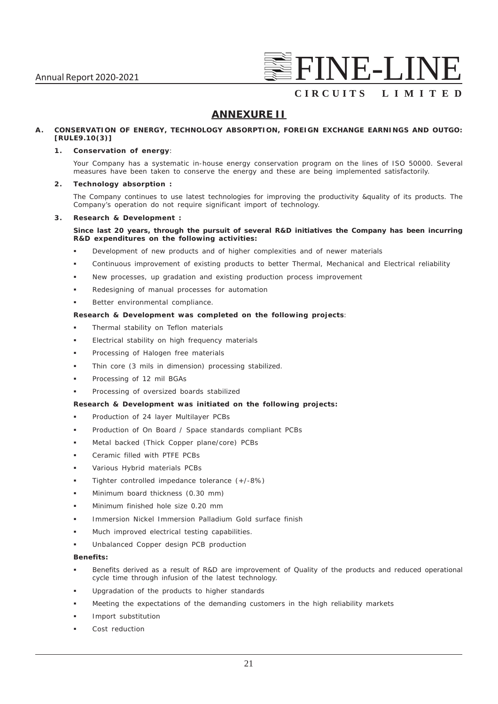

### **ANNEXURE II**

**A. CONSERVATION OF ENERGY, TECHNOLOGY ABSORPTION, FOREIGN EXCHANGE EARNINGS AND OUTGO: [RULE9.10(3)]**

#### **1. Conservation of energy**:

Your Company has a systematic in-house energy conservation program on the lines of ISO 50000. Several measures have been taken to conserve the energy and these are being implemented satisfactorily.

#### **2. Technology absorption :**

The Company continues to use latest technologies for improving the productivity &quality of its products. The Company's operation do not require significant import of technology.

#### **3. Research & Development :**

#### **Since last 20 years, through the pursuit of several R&D initiatives the Company has been incurring R&D expenditures on the following activities:**

- Development of new products and of higher complexities and of newer materials
- Continuous improvement of existing products to better Thermal, Mechanical and Electrical reliability
- New processes, up gradation and existing production process improvement
- Redesigning of manual processes for automation
- Better environmental compliance.

#### **Research & Development was completed on the following projects**:

- **Fall 1** Thermal stability on Teflon materials
- Electrical stability on high frequency materials
- Processing of Halogen free materials
- Thin core (3 mils in dimension) processing stabilized.
- Processing of 12 mil BGAs
- Processing of oversized boards stabilized

#### **Research & Development was initiated on the following projects:**

- **Production of 24 layer Multilayer PCBs**
- Production of On Board / Space standards compliant PCBs
- Metal backed (Thick Copper plane/core) PCBs
- Ceramic filled with PTFE PCBs
- Various Hybrid materials PCBs
- Tighter controlled impedance tolerance (+/-8%)
- Minimum board thickness (0.30 mm)
- Minimum finished hole size 0.20 mm
- Immersion Nickel Immersion Palladium Gold surface finish
- **Much improved electrical testing capabilities.**
- Unbalanced Copper design PCB production

#### **Benefits:**

- Benefits derived as a result of R&D are improvement of Quality of the products and reduced operational cycle time through infusion of the latest technology.
- Upgradation of the products to higher standards
- Meeting the expectations of the demanding customers in the high reliability markets
- Import substitution
- Cost reduction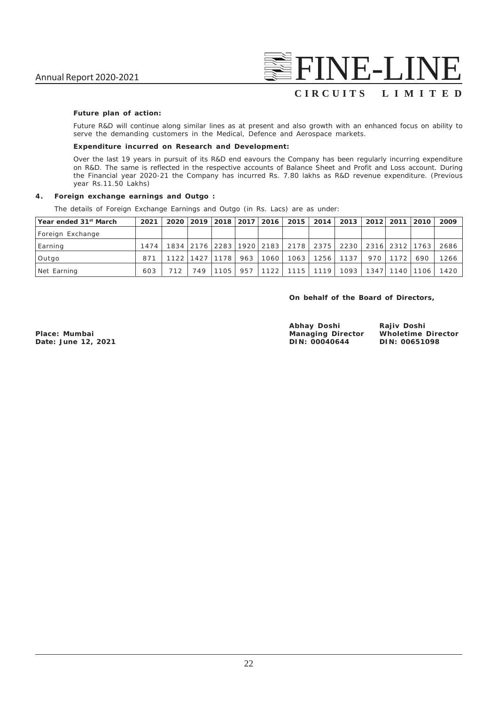## Annual Report 2020-2021 **FINE-LINE CIRCUITS LIMITED**

#### **Future plan of action:**

Future R&D will continue along similar lines as at present and also growth with an enhanced focus on ability to serve the demanding customers in the Medical, Defence and Aerospace markets.

#### **Expenditure incurred on Research and Development:**

Over the last 19 years in pursuit of its R&D end eavours the Company has been regularly incurring expenditure on R&D. The same is reflected in the respective accounts of Balance Sheet and Profit and Loss account. During the Financial year 2020-21 the Company has incurred Rs. 7.80 lakhs as R&D revenue expenditure. (Previous year Rs.11.50 Lakhs)

#### **4. Foreign exchange earnings and Outgo :**

The details of Foreign Exchange Earnings and Outgo (in Rs. Lacs) are as under:

| Year ended 31 <sup>st</sup> March | 2021 |                          |     |      |     | 2020   2019   2018   2017   2016 | 2015 | 2014                                                   | 2013 2012 2011 2010        |            |     | 2009 |
|-----------------------------------|------|--------------------------|-----|------|-----|----------------------------------|------|--------------------------------------------------------|----------------------------|------------|-----|------|
| Foreign Exchange                  |      |                          |     |      |     |                                  |      |                                                        |                            |            |     |      |
| Earning                           | 1474 |                          |     |      |     |                                  |      | 1834 2176 2283 1920 2183 2178 2375 2230 2316 2312 1763 |                            |            |     | 2686 |
| Outgo                             | 871  | 1122   1427   1178   963 |     |      |     | 1060                             | 1063 | 1256   1137                                            |                            | 970   1172 | 690 | 1266 |
| Net Earning                       | 603  | 712                      | 749 | 1105 | 957 |                                  |      | 1122   1115   1119                                     | │ 1093   1347  1140   1106 |            |     | 1420 |

#### **On behalf of the Board of Directors,**

|                     | Abhay Doshi              | Raiiv Doshi               |
|---------------------|--------------------------|---------------------------|
| Place: Mumbai       | <b>Managing Director</b> | <b>Wholetime Director</b> |
| Date: June 12, 2021 | DIN: 00040644            | DIN: 00651098             |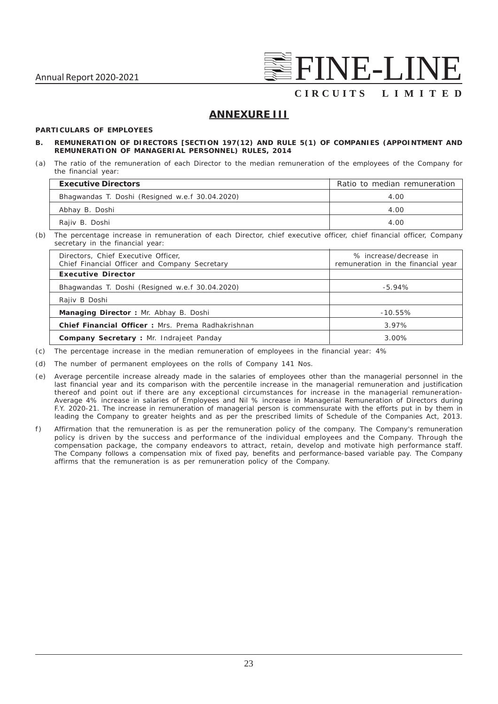

### **ANNEXURE III**

#### **PARTICULARS OF EMPLOYEES**

- **B. REMUNERATION OF DIRECTORS [SECTION 197(12) AND RULE 5(1) OF COMPANIES (APPOINTMENT AND REMUNERATION OF MANAGERIAL PERSONNEL) RULES, 2014**
- (a) The ratio of the remuneration of each Director to the median remuneration of the employees of the Company for the financial year:

| <b>Executive Directors</b>                      | Ratio to median remuneration |
|-------------------------------------------------|------------------------------|
| Bhagwandas T. Doshi (Resigned w.e.f 30.04.2020) | 4.00                         |
| Abhay B. Doshi                                  | 4.00                         |
| Rajiv B. Doshi                                  | 4.00                         |

(b) The percentage increase in remuneration of each Director, chief executive officer, chief financial officer, Company secretary in the financial year:

| Directors, Chief Executive Officer,<br>Chief Financial Officer and Company Secretary | % increase/decrease in<br>remuneration in the financial year |
|--------------------------------------------------------------------------------------|--------------------------------------------------------------|
| <b>Executive Director</b>                                                            |                                                              |
| Bhagwandas T. Doshi (Resigned w.e.f 30.04.2020)                                      | $-5.94%$                                                     |
| Rajiv B Doshi                                                                        |                                                              |
| Managing Director: Mr. Abhay B. Doshi                                                | $-10.55\%$                                                   |
| <b>Chief Financial Officer:</b> Mrs. Prema Radhakrishnan                             | 3.97%                                                        |
| Company Secretary : Mr. Indrajeet Panday                                             | 3.00%                                                        |

- (c) The percentage increase in the median remuneration of employees in the financial year: 4%
- (d) The number of permanent employees on the rolls of Company 141 Nos.
- (e) Average percentile increase already made in the salaries of employees other than the managerial personnel in the last financial year and its comparison with the percentile increase in the managerial remuneration and justification thereof and point out if there are any exceptional circumstances for increase in the managerial remuneration-Average 4% increase in salaries of Employees and Nil % increase in Managerial Remuneration of Directors during F.Y. 2020-21. The increase in remuneration of managerial person is commensurate with the efforts put in by them in leading the Company to greater heights and as per the prescribed limits of Schedule of the Companies Act, 2013.
- f ) Affirmation that the remuneration is as per the remuneration policy of the company. The Company's remuneration policy is driven by the success and performance of the individual employees and the Company. Through the compensation package, the company endeavors to attract, retain, develop and motivate high performance staff. The Company follows a compensation mix of fixed pay, benefits and performance-based variable pay. The Company affirms that the remuneration is as per remuneration policy of the Company.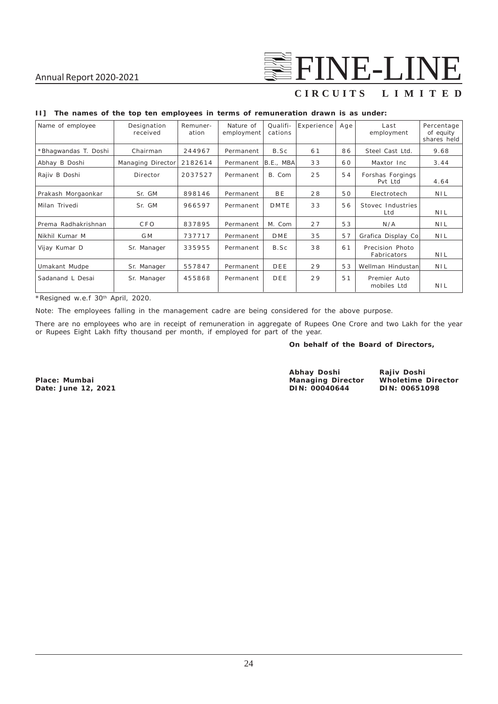### **CIRCUITS LIMITED**

#### **II] The names of the top ten employees in terms of remuneration drawn is as under:**

| Name of employee     | Designation<br>received | Remuner-<br>ation | Nature of<br>employment | Qualifi-<br>cations | Experience | Age            | Last<br>employment             | Percentage<br>of equity<br>shares held |
|----------------------|-------------------------|-------------------|-------------------------|---------------------|------------|----------------|--------------------------------|----------------------------------------|
| *Bhagwandas T. Doshi | Chairman                | 244967            | Permanent               | B.Sc                | 61         | 86             | Steel Cast Ltd.                | 9.68                                   |
| Abhay B Doshi        | Managing Director       | 2182614           | Permanent               | B.E., MBA           | 33         | 60             | Maxtor Inc                     | 3.44                                   |
| Rajiv B Doshi        | Director                | 2037527           | Permanent               | B. Com              | 25         | 54             | Forshas Forgings<br>Pvt Ltd    | 4.64                                   |
| Prakash Morgaonkar   | Sr. GM                  | 898146            | Permanent               | <b>BE</b>           | 28         | 50             | Electrotech                    | <b>NIL</b>                             |
| Milan Trivedi        | Sr. GM                  | 966597            | Permanent               | DMTE                | 33         | 56             | Stovec Industries<br>Ltd       | <b>NIL</b>                             |
| Prema Radhakrishnan  | <b>CFO</b>              | 837895            | Permanent               | M. Com              | 27         | 53             | N/A                            | <b>NIL</b>                             |
| Nikhil Kumar M       | G M                     | 737717            | Permanent               | DME                 | 35         | 57             | Grafica Display Col            | <b>NIL</b>                             |
| Vijay Kumar D        | Sr. Manager             | 335955            | Permanent               | B.Sc                | 38         | 61             | Precision Photo<br>Fabricators | <b>NIL</b>                             |
| Umakant Mudpe        | Sr. Manager             | 557847            | Permanent               | DEE                 | 29         | 53             | Wellman Hindustanl             | <b>NIL</b>                             |
| Sadanand L Desai     | Sr. Manager             | 455868            | Permanent               | DEE                 | 29         | 5 <sub>1</sub> | Premier Auto<br>mobiles Ltd    | <b>NIL</b>                             |

\*Resigned w.e.f 30th April, 2020.

Note: The employees falling in the management cadre are being considered for the above purpose.

There are no employees who are in receipt of remuneration in aggregate of Rupees One Crore and two Lakh for the year or Rupees Eight Lakh fifty thousand per month, if employed for part of the year.

#### **On behalf of the Board of Directors,**

Place: Mumbai<br> **Place: Mumbai Managing Director Wholetime Director**<br> **DIN: 00040644 DIN: 00651098** Date: June 12, 2021

**Abhay Doshi Rajiv Doshi**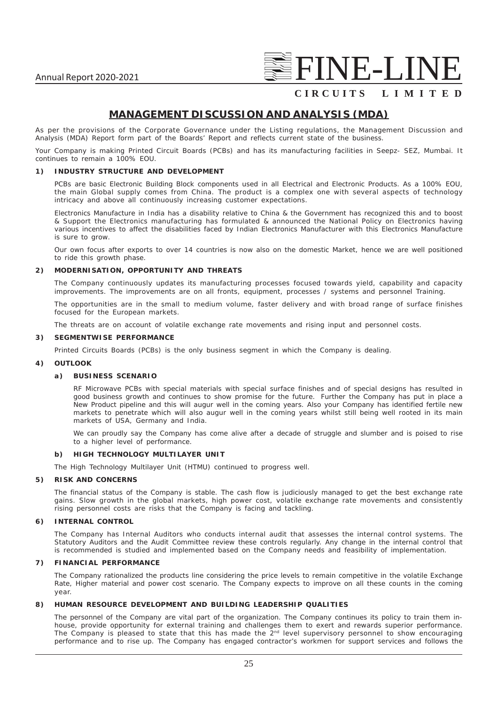# Annual Report 2020-2021  $\equiv$   $\equiv$   $\sim$   $\sim$

### **CIRCUITS LIMITED**

### **MANAGEMENT DISCUSSION AND ANALYSIS (MDA)**

As per the provisions of the Corporate Governance under the Listing regulations, the Management Discussion and Analysis (MDA) Report form part of the Boards' Report and reflects current state of the business.

Your Company is making Printed Circuit Boards (PCBs) and has its manufacturing facilities in Seepz- SEZ, Mumbai. It continues to remain a 100% EOU.

#### **1) INDUSTRY STRUCTURE AND DEVELOPMENT**

PCBs are basic Electronic Building Block components used in all Electrical and Electronic Products. As a 100% EOU, the main Global supply comes from China. The product is a complex one with several aspects of technology intricacy and above all continuously increasing customer expectations.

Electronics Manufacture in India has a disability relative to China & the Government has recognized this and to boost & Support the Electronics manufacturing has formulated & announced the National Policy on Electronics having various incentives to affect the disabilities faced by Indian Electronics Manufacturer with this Electronics Manufacture is sure to grow.

Our own focus after exports to over 14 countries is now also on the domestic Market, hence we are well positioned to ride this growth phase.

#### **2) MODERNISATION, OPPORTUNITY AND THREATS**

The Company continuously updates its manufacturing processes focused towards yield, capability and capacity improvements. The improvements are on all fronts, equipment, processes / systems and personnel Training.

The opportunities are in the small to medium volume, faster delivery and with broad range of surface finishes focused for the European markets.

The threats are on account of volatile exchange rate movements and rising input and personnel costs.

#### **3) SEGMENTWISE PERFORMANCE**

Printed Circuits Boards (PCBs) is the only business segment in which the Company is dealing.

#### **4) OUTLOOK**

#### **a) BUSINESS SCENARIO**

RF Microwave PCBs with special materials with special surface finishes and of special designs has resulted in good business growth and continues to show promise for the future. Further the Company has put in place a New Product pipeline and this will augur well in the coming years. Also your Company has identified fertile new markets to penetrate which will also augur well in the coming years whilst still being well rooted in its main markets of USA, Germany and India.

We can proudly say the Company has come alive after a decade of struggle and slumber and is poised to rise to a higher level of performance.

#### **b) HIGH TECHNOLOGY MULTILAYER UNIT**

The High Technology Multilayer Unit (HTMU) continued to progress well.

#### **5) RISK AND CONCERNS**

The financial status of the Company is stable. The cash flow is judiciously managed to get the best exchange rate gains. Slow growth in the global markets, high power cost, volatile exchange rate movements and consistently rising personnel costs are risks that the Company is facing and tackling.

#### **6) INTERNAL CONTROL**

The Company has Internal Auditors who conducts internal audit that assesses the internal control systems. The Statutory Auditors and the Audit Committee review these controls regularly. Any change in the internal control that is recommended is studied and implemented based on the Company needs and feasibility of implementation.

#### **7) FINANCIAL PERFORMANCE**

The Company rationalized the products line considering the price levels to remain competitive in the volatile Exchange Rate, Higher material and power cost scenario. The Company expects to improve on all these counts in the coming year.

#### **8) HUMAN RESOURCE DEVELOPMENT AND BUILDING LEADERSHIP QUALITIES**

The personnel of the Company are vital part of the organization. The Company continues its policy to train them inhouse, provide opportunity for external training and challenges them to exert and rewards superior performance. The Company is pleased to state that this has made the  $2<sup>nd</sup>$  level supervisory personnel to show encouraging performance and to rise up. The Company has engaged contractor's workmen for support services and follows the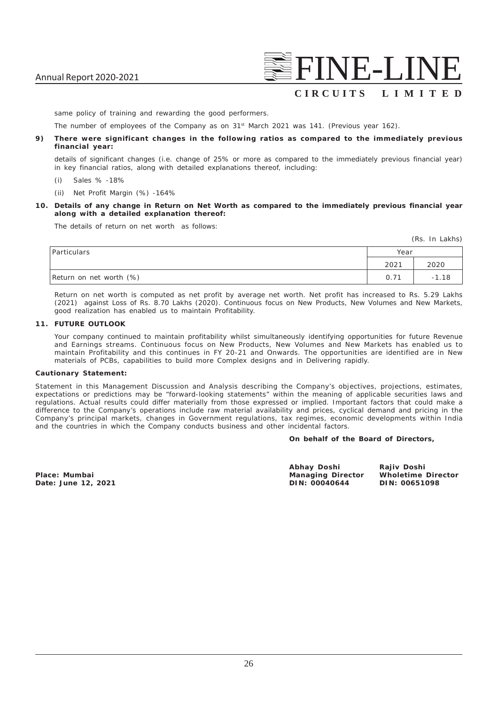### **CIRCUITS LIMITED**

same policy of training and rewarding the good performers.

The number of employees of the Company as on  $31^{st}$  March 2021 was 141. (Previous year 162).

**9) There were significant changes in the following ratios as compared to the immediately previous financial year:**

details of significant changes (i.e. change of 25% or more as compared to the immediately previous financial year) in key financial ratios, along with detailed explanations thereof, including:

- (i) Sales % -18%
- (ii) Net Profit Margin (%) -164%
- **10. Details of any change in Return on Net Worth as compared to the immediately previous financial year along with a detailed explanation thereof:**

The details of return on net worth as follows:

(Rs. In Lakhs)

| Particulars             |               |         |
|-------------------------|---------------|---------|
|                         | 2021          | 2020    |
| Return on net worth (%) | $0.7^{\circ}$ | $-1.18$ |

Return on net worth is computed as net profit by average net worth. Net profit has increased to Rs. 5.29 Lakhs (2021) against Loss of Rs. 8.70 Lakhs (2020). Continuous focus on New Products, New Volumes and New Markets, good realization has enabled us to maintain Profitability.

#### **11. FUTURE OUTLOOK**

Your company continued to maintain profitability whilst simultaneously identifying opportunities for future Revenue and Earnings streams. Continuous focus on New Products, New Volumes and New Markets has enabled us to maintain Profitability and this continues in FY 20-21 and Onwards. The opportunities are identified are in New materials of PCBs, capabilities to build more Complex designs and in Delivering rapidly.

#### **Cautionary Statement:**

Statement in this Management Discussion and Analysis describing the Company's objectives, projections, estimates, expectations or predictions may be "forward-looking statements" within the meaning of applicable securities laws and regulations. Actual results could differ materially from those expressed or implied. Important factors that could make a difference to the Company's operations include raw material availability and prices, cyclical demand and pricing in the Company's principal markets, changes in Government regulations, tax regimes, economic developments within India and the countries in which the Company conducts business and other incidental factors.

#### **On behalf of the Board of Directors,**

**Place: Mumbai Managing Director Managing Director** 

**Abhay Doshi Rajiv Doshi Date: June 12, 2021 DIN: 00040644 DIN: 00651098**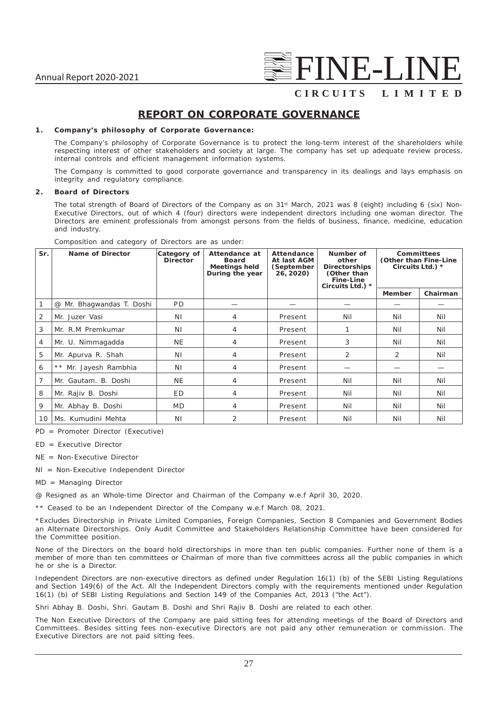#### **CIRCUITS LIMITED**

### **REPORT ON CORPORATE GOVERNANCE**

#### **1. Company's philosophy of Corporate Governance:**

The Company's philosophy of Corporate Governance is to protect the long-term interest of the shareholders while respecting interest of other stakeholders and society at large. The company has set up adequate review process, internal controls and efficient management information systems.

The Company is committed to good corporate governance and transparency in its dealings and lays emphasis on integrity and regulatory compliance.

#### **2. Board of Directors**

The total strength of Board of Directors of the Company as on 31st March, 2021 was 8 (eight) including 6 (six) Non-Executive Directors, out of which 4 (four) directors were independent directors including one woman director. The Directors are eminent professionals from amongst persons from the fields of business, finance, medicine, education and industry.

| Sr. | Name of Director          | Category of<br><b>Director</b> | Attendance at<br><b>Board</b><br>Meetings held<br>During the year | Attendance<br>At last AGM<br>(September<br>26, 2020) | Number of<br>Committees<br>(Other than Fine-Line<br>other<br>Circuits Ltd.) *<br><b>Directorships</b><br>(Other than<br>Fine-Line<br>Circuits Ltd.) * |               |          |
|-----|---------------------------|--------------------------------|-------------------------------------------------------------------|------------------------------------------------------|-------------------------------------------------------------------------------------------------------------------------------------------------------|---------------|----------|
|     |                           |                                |                                                                   |                                                      |                                                                                                                                                       | <b>Member</b> | Chairman |
| 1   | @ Mr. Bhagwandas T. Doshi | <b>PD</b>                      |                                                                   |                                                      |                                                                                                                                                       |               |          |
| 2   | Mr. Juzer Vasi            | ΝI                             | $\overline{4}$                                                    | Present                                              | Nil                                                                                                                                                   | Nil           | Nil      |
| 3   | Mr. R.M Premkumar         | ΝI.                            | $\overline{4}$                                                    | Present                                              |                                                                                                                                                       | Nil           | Nil      |
| 4   | Mr. U. Nimmagadda         | NE                             | 4                                                                 | Present                                              | 3                                                                                                                                                     | Nil           | Nil      |
| 5   | Mr. Apurva R. Shah        | ΝI                             | 4                                                                 | Present                                              | 2                                                                                                                                                     | $\mathcal{P}$ | Nil      |
| 6   | ** Mr. Jayesh Rambhia     | ΝI.                            | $\overline{4}$                                                    | Present                                              |                                                                                                                                                       |               |          |
| 7   | Mr. Gautam. B. Doshi      | NE                             | 4                                                                 | Present                                              | Nil                                                                                                                                                   | Nil           | Nil      |
| 8   | Mr. Rajiv B. Doshi        | ED.                            | 4                                                                 | Present                                              | Nil                                                                                                                                                   | Nil           | Nil      |
| 9   | Mr. Abhay B. Doshi        | <b>MD</b>                      | 4                                                                 | Present                                              | Nil                                                                                                                                                   | Nil           | Nil      |
| 10  | Ms. Kumudini Mehta        | ΝI.                            | 2                                                                 | Present                                              | Nil                                                                                                                                                   | Nil           | Nil      |

Composition and category of Directors are as under:

PD = Promoter Director (Executive)

ED = Executive Director

NE = Non-Executive Director

NI = Non-Executive Independent Director

MD = Managing Director

@ Resigned as an Whole-time Director and Chairman of the Company w.e.f April 30, 2020.

\*\* Ceased to be an Independent Director of the Company w.e.f March 08, 2021.

\*Excludes Directorship in Private Limited Companies, Foreign Companies, Section 8 Companies and Government Bodies an Alternate Directorships. Only Audit Committee and Stakeholders Relationship Committee have been considered for the Committee position.

None of the Directors on the board hold directorships in more than ten public companies. Further none of them is a member of more than ten committees or Chairman of more than five committees across all the public companies in which he or she is a Director.

Independent Directors are non-executive directors as defined under Regulation 16(1) (b) of the SEBI Listing Regulations and Section 149(6) of the Act. All the Independent Directors comply with the requirements mentioned under Regulation 16(1) (b) of SEBI Listing Regulations and Section 149 of the Companies Act, 2013 ("the Act").

Shri Abhay B. Doshi, Shri. Gautam B. Doshi and Shri Rajiv B. Doshi are related to each other.

The Non Executive Directors of the Company are paid sitting fees for attending meetings of the Board of Directors and Committees. Besides sitting fees non-executive Directors are not paid any other remuneration or commission. The Executive Directors are not paid sitting fees.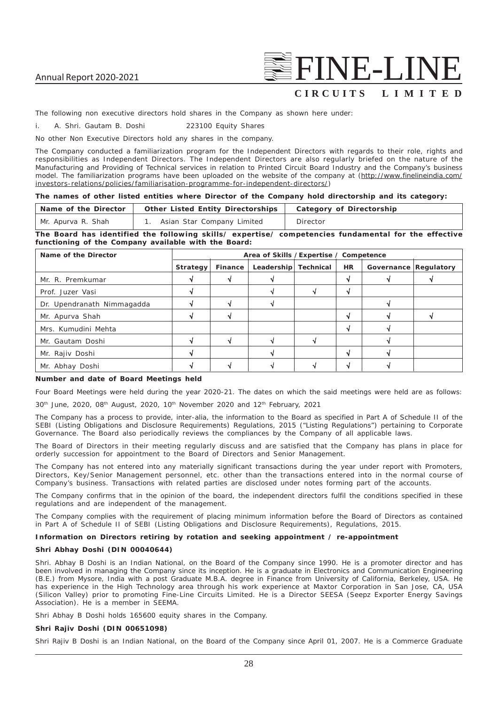

The following non executive directors hold shares in the Company as shown here under:

i. A. Shri. Gautam B. Doshi 223100 Equity Shares

No other Non Executive Directors hold any shares in the company.

The Company conducted a familiarization program for the Independent Directors with regards to their role, rights and responsibilities as Independent Directors. The Independent Directors are also regularly briefed on the nature of the Manufacturing and Providing of Technical services in relation to Printed Circuit Board Industry and the Company's business model. The familiarization programs have been uploaded on the website of the company at (http://www.finelineindia.com/ investors-relations/policies/familiarisation-programme-for-independent-directors/)

#### **The names of other listed entities where Director of the Company hold directorship and its category:**

| Name of the Director | <b>Other Listed Entity Directorships</b> | Category of Directorship |
|----------------------|------------------------------------------|--------------------------|
| Mr. Apurva R. Shah   | Asian Star Company Limited               | Director                 |

**The Board has identified the following skills/ expertise/ competencies fundamental for the effective functioning of the Company available with the Board:**

| Name of the Director       | Area of Skills / Expertise / Competence |         |            |           |           |                       |  |  |
|----------------------------|-----------------------------------------|---------|------------|-----------|-----------|-----------------------|--|--|
|                            | <b>Strategy</b>                         | Finance | Leadership | Technical | <b>HR</b> | Governance Regulatory |  |  |
| Mr. R. Premkumar           |                                         |         |            |           |           |                       |  |  |
| Prof. Juzer Vasi           |                                         |         |            |           |           |                       |  |  |
| Dr. Upendranath Nimmagadda |                                         |         |            |           |           |                       |  |  |
| Mr. Apurva Shah            |                                         |         |            |           |           |                       |  |  |
| Mrs. Kumudini Mehta        |                                         |         |            |           |           |                       |  |  |
| Mr. Gautam Doshi           |                                         |         |            |           |           |                       |  |  |
| Mr. Rajiv Doshi            |                                         |         |            |           |           |                       |  |  |
| Mr. Abhay Doshi            |                                         |         |            |           |           |                       |  |  |

#### **Number and date of Board Meetings held**

Four Board Meetings were held during the year 2020-21. The dates on which the said meetings were held are as follows:

30<sup>th</sup> June, 2020, 08<sup>th</sup> August, 2020, 10<sup>th</sup> November 2020 and 12<sup>th</sup> February, 2021

The Company has a process to provide, inter-alia, the information to the Board as specified in Part A of Schedule II of the SEBI (Listing Obligations and Disclosure Requirements) Regulations, 2015 ("Listing Regulations") pertaining to Corporate Governance. The Board also periodically reviews the compliances by the Company of all applicable laws.

The Board of Directors in their meeting regularly discuss and are satisfied that the Company has plans in place for orderly succession for appointment to the Board of Directors and Senior Management.

The Company has not entered into any materially significant transactions during the year under report with Promoters, Directors, Key/Senior Management personnel, etc. other than the transactions entered into in the normal course of Company's business. Transactions with related parties are disclosed under notes forming part of the accounts.

The Company confirms that in the opinion of the board, the independent directors fulfil the conditions specified in these regulations and are independent of the management.

The Company complies with the requirement of placing minimum information before the Board of Directors as contained in Part A of Schedule II of SEBI (Listing Obligations and Disclosure Requirements), Regulations, 2015.

#### **Information on Directors retiring by rotation and seeking appointment / re-appointment**

#### **Shri Abhay Doshi (DIN 00040644)**

Shri. Abhay B Doshi is an Indian National, on the Board of the Company since 1990. He is a promoter director and has been involved in managing the Company since its inception. He is a graduate in Electronics and Communication Engineering (B.E.) from Mysore, India with a post Graduate M.B.A. degree in Finance from University of California, Berkeley, USA. He has experience in the High Technology area through his work experience at Maxtor Corporation in San Jose, CA, USA (Silicon Valley) prior to promoting Fine-Line Circuits Limited. He is a Director SEESA (Seepz Exporter Energy Savings Association). He is a member in SEEMA.

Shri Abhay B Doshi holds 165600 equity shares in the Company.

#### **Shri Rajiv Doshi (DIN 00651098)**

Shri Rajiv B Doshi is an Indian National, on the Board of the Company since April 01, 2007. He is a Commerce Graduate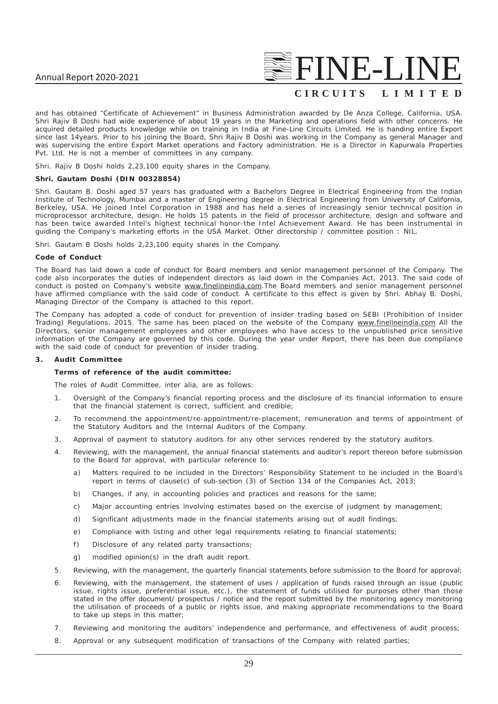# Annual Report 2020-2021  $\blacksquare$

#### **CIRCUITS LIMITED**

and has obtained "Certificate of Achievement" in Business Administration awarded by De Anza College, California, USA. Shri Rajiv B Doshi had wide experience of about 19 years in the Marketing and operations field with other concerns. He acquired detailed products knowledge while on training in India at Fine-Line Circuits Limited. He is handing entire Export since last 14years. Prior to his joining the Board, Shri Rajiv B Doshi was working in the Company as general Manager and was supervising the entire Export Market operations and Factory administration. He is a Director in Kapurwala Properties Pvt. Ltd. He is not a member of committees in any company.

Shri. Rajiv B Doshi holds 2,23,100 equity shares in the Company.

#### **Shri. Gautam Doshi (DIN 00328854)**

Shri. Gautam B. Doshi aged 57 years has graduated with a Bachelors Degree in Electrical Engineering from the Indian Institute of Technology, Mumbai and a master of Engineering degree in Electrical Engineering from University of California, Berkeley, USA. He joined Intel Corporation in 1988 and has held a series of increasingly senior technical position in microprocessor architecture, design. He holds 15 patents in the field of processor architecture, design and software and has been twice awarded Intel's highest technical honor-the Intel Achievement Award. He has been instrumental in guiding the Company's marketing efforts in the USA Market. Other directorship / committee position : NIL.

Shri. Gautam B Doshi holds 2,23,100 equity shares in the Company.

#### **Code of Conduct**

The Board has laid down a code of conduct for Board members and senior management personnel of the Company. The code also incorporates the duties of independent directors as laid down in the Companies Act, 2013. The said code of conduct is posted on Company's website www.finelineindia.com.The Board members and senior management personnel have affirmed compliance with the said code of conduct. A certificate to this effect is given by Shri. Abhay B. Doshi, Managing Director of the Company is attached to this report.

The Company has adopted a code of conduct for prevention of insider trading based on SEBI (Prohibition of Insider Trading) Regulations, 2015. The same has been placed on the website of the Company www.finelineindia.com All the Directors, senior management employees and other employees who have access to the unpublished price sensitive information of the Company are governed by this code. During the year under Report, there has been due compliance with the said code of conduct for prevention of insider trading.

#### **3. Audit Committee**

#### **Terms of reference of the audit committee:**

The roles of Audit Committee, inter alia, are as follows:

- 1. Oversight of the Company's financial reporting process and the disclosure of its financial information to ensure that the financial statement is correct, sufficient and credible;
- 2. To recommend the appointment/re-appointment/re-placement, remuneration and terms of appointment of the Statutory Auditors and the Internal Auditors of the Company.
- 3. Approval of payment to statutory auditors for any other services rendered by the statutory auditors.
- 4. Reviewing, with the management, the annual financial statements and auditor's report thereon before submission to the Board for approval, with particular reference to:
	- a) Matters required to be included in the Directors' Responsibility Statement to be included in the Board's report in terms of clause(c) of sub-section (3) of Section 134 of the Companies Act, 2013;
	- b) Changes, if any, in accounting policies and practices and reasons for the same;
	- c) Major accounting entries involving estimates based on the exercise of judgment by management;
	- d) Significant adjustments made in the financial statements arising out of audit findings;
	- e) Compliance with listing and other legal requirements relating to financial statements;
	- f) Disclosure of any related party transactions;
	- g) modified opinion(s) in the draft audit report.
- 5. Reviewing, with the management, the quarterly financial statements before submission to the Board for approval;
- 6. Reviewing, with the management, the statement of uses / application of funds raised through an issue (public issue, rights issue, preferential issue, etc.), the statement of funds utilised for purposes other than those stated in the offer document/ prospectus / notice and the report submitted by the monitoring agency monitoring the utilisation of proceeds of a public or rights issue, and making appropriate recommendations to the Board to take up steps in this matter;
- 7. Reviewing and monitoring the auditors' independence and performance, and effectiveness of audit process;
- 8. Approval or any subsequent modification of transactions of the Company with related parties;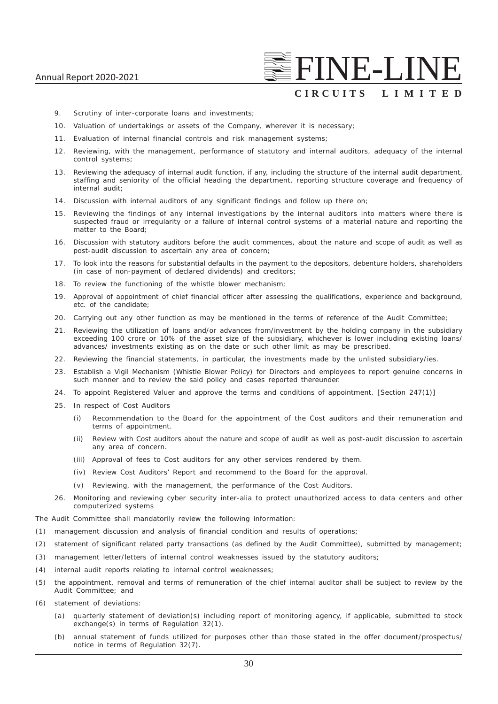## Annual Report 2020-2021  $\blacksquare$ **CIRCUITS LIMITED**

#### 9. Scrutiny of inter-corporate loans and investments;

- 10. Valuation of undertakings or assets of the Company, wherever it is necessary;
- 11. Evaluation of internal financial controls and risk management systems;
- 12. Reviewing, with the management, performance of statutory and internal auditors, adequacy of the internal control systems;
- 13. Reviewing the adequacy of internal audit function, if any, including the structure of the internal audit department, staffing and seniority of the official heading the department, reporting structure coverage and frequency of internal audit;
- 14. Discussion with internal auditors of any significant findings and follow up there on;
- 15. Reviewing the findings of any internal investigations by the internal auditors into matters where there is suspected fraud or irregularity or a failure of internal control systems of a material nature and reporting the matter to the Board;
- 16. Discussion with statutory auditors before the audit commences, about the nature and scope of audit as well as post-audit discussion to ascertain any area of concern;
- 17. To look into the reasons for substantial defaults in the payment to the depositors, debenture holders, shareholders (in case of non-payment of declared dividends) and creditors;
- 18. To review the functioning of the whistle blower mechanism;
- 19. Approval of appointment of chief financial officer after assessing the qualifications, experience and background, etc. of the candidate;
- 20. Carrying out any other function as may be mentioned in the terms of reference of the Audit Committee;
- 21. Reviewing the utilization of loans and/or advances from/investment by the holding company in the subsidiary exceeding 100 crore or 10% of the asset size of the subsidiary, whichever is lower including existing loans/ advances/ investments existing as on the date or such other limit as may be prescribed.
- 22. Reviewing the financial statements, in particular, the investments made by the unlisted subsidiary/ies.
- 23. Establish a Vigil Mechanism (Whistle Blower Policy) for Directors and employees to report genuine concerns in such manner and to review the said policy and cases reported thereunder.
- 24. To appoint Registered Valuer and approve the terms and conditions of appointment. [Section 247(1)]
- 25. In respect of Cost Auditors
	- (i) Recommendation to the Board for the appointment of the Cost auditors and their remuneration and terms of appointment.
	- (ii) Review with Cost auditors about the nature and scope of audit as well as post-audit discussion to ascertain any area of concern.
	- (iii) Approval of fees to Cost auditors for any other services rendered by them.
	- (iv) Review Cost Auditors' Report and recommend to the Board for the approval.
	- (v) Reviewing, with the management, the performance of the Cost Auditors.
- 26. Monitoring and reviewing cyber security inter-alia to protect unauthorized access to data centers and other computerized systems

The Audit Committee shall mandatorily review the following information:

- (1) management discussion and analysis of financial condition and results of operations;
- (2) statement of significant related party transactions (as defined by the Audit Committee), submitted by management;
- (3) management letter/letters of internal control weaknesses issued by the statutory auditors;
- (4) internal audit reports relating to internal control weaknesses;
- (5) the appointment, removal and terms of remuneration of the chief internal auditor shall be subject to review by the Audit Committee; and
- (6) statement of deviations:
	- (a) quarterly statement of deviation(s) including report of monitoring agency, if applicable, submitted to stock exchange(s) in terms of Regulation 32(1).
	- (b) annual statement of funds utilized for purposes other than those stated in the offer document/prospectus/ notice in terms of Regulation 32(7).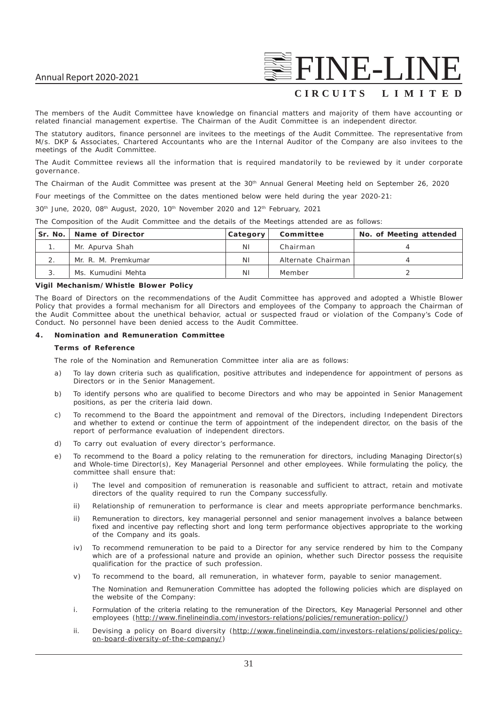#### **CIRCUITS LIMITED**

The members of the Audit Committee have knowledge on financial matters and majority of them have accounting or related financial management expertise. The Chairman of the Audit Committee is an independent director.

The statutory auditors, finance personnel are invitees to the meetings of the Audit Committee. The representative from M/s. DKP & Associates, Chartered Accountants who are the Internal Auditor of the Company are also invitees to the meetings of the Audit Committee.

The Audit Committee reviews all the information that is required mandatorily to be reviewed by it under corporate governance.

The Chairman of the Audit Committee was present at the 30<sup>th</sup> Annual General Meeting held on September 26, 2020

Four meetings of the Committee on the dates mentioned below were held during the year 2020-21:

 $30<sup>th</sup>$  June, 2020, 08<sup>th</sup> August, 2020, 10<sup>th</sup> November 2020 and 12<sup>th</sup> February, 2021

| $Sr.$ No. $\vert$ | Name of Director    | Category | Committee          | No. of Meeting attended |
|-------------------|---------------------|----------|--------------------|-------------------------|
|                   | Mr. Apurva Shah     | ΝI       | Chairman           |                         |
|                   | Mr. R. M. Premkumar | ΝI       | Alternate Chairman |                         |
|                   | Ms. Kumudini Mehta  | ΝI       | Member             |                         |

The Composition of the Audit Committee and the details of the Meetings attended are as follows:

#### **Vigil Mechanism/Whistle Blower Policy**

The Board of Directors on the recommendations of the Audit Committee has approved and adopted a Whistle Blower Policy that provides a formal mechanism for all Directors and employees of the Company to approach the Chairman of the Audit Committee about the unethical behavior, actual or suspected fraud or violation of the Company's Code of Conduct. No personnel have been denied access to the Audit Committee.

#### **4. Nomination and Remuneration Committee**

#### **Terms of Reference**

The role of the Nomination and Remuneration Committee inter alia are as follows:

- a) To lay down criteria such as qualification, positive attributes and independence for appointment of persons as Directors or in the Senior Management.
- b) To identify persons who are qualified to become Directors and who may be appointed in Senior Management positions, as per the criteria laid down.
- c) To recommend to the Board the appointment and removal of the Directors, including Independent Directors and whether to extend or continue the term of appointment of the independent director, on the basis of the report of performance evaluation of independent directors.
- d) To carry out evaluation of every director's performance.
- e) To recommend to the Board a policy relating to the remuneration for directors, including Managing Director(s) and Whole-time Director(s), Key Managerial Personnel and other employees. While formulating the policy, the committee shall ensure that:
	- i) The level and composition of remuneration is reasonable and sufficient to attract, retain and motivate directors of the quality required to run the Company successfully.
	- ii) Relationship of remuneration to performance is clear and meets appropriate performance benchmarks.
	- ii) Remuneration to directors, key managerial personnel and senior management involves a balance between fixed and incentive pay reflecting short and long term performance objectives appropriate to the working of the Company and its goals.
	- iv) To recommend remuneration to be paid to a Director for any service rendered by him to the Company which are of a professional nature and provide an opinion, whether such Director possess the requisite qualification for the practice of such profession.
	- v) To recommend to the board, all remuneration, in whatever form, payable to senior management.

The Nomination and Remuneration Committee has adopted the following policies which are displayed on the website of the Company:

- i. Formulation of the criteria relating to the remuneration of the Directors, Key Managerial Personnel and other employees (http://www.finelineindia.com/investors-relations/policies/remuneration-policy/)
- ii. Devising a policy on Board diversity (http://www.finelineindia.com/investors-relations/policies/policyon-board-diversity-of-the-company/)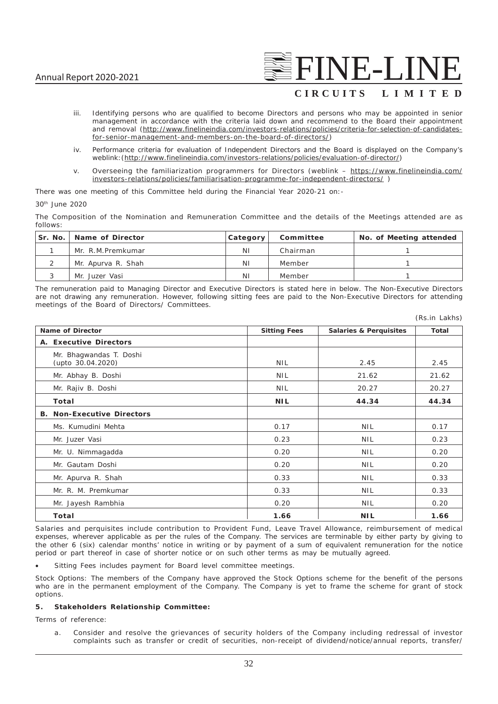### **CIRCUITS LIMITED**

(Rs.in Lakhs)

- iii. Identifying persons who are qualified to become Directors and persons who may be appointed in senior management in accordance with the criteria laid down and recommend to the Board their appointment and removal (http://www.finelineindia.com/investors-relations/policies/criteria-for-selection-of-candidatesfor-senior-management-and-members-on-the-board-of-directors/)
- iv. Performance criteria for evaluation of Independent Directors and the Board is displayed on the Company's weblink:(http://www.finelineindia.com/investors-relations/policies/evaluation-of-director/)
- v. Overseeing the familiarization programmers for Directors (weblink https://www.finelineindia.com/ investors-relations/policies/familiarisation-programme-for-independent-directors/ )

There was one meeting of this Committee held during the Financial Year 2020-21 on:-

30th June 2020

The Composition of the Nomination and Remuneration Committee and the details of the Meetings attended are as follows:

| Sr. No. | Name of Director   | Category | Committee | No. of Meeting attended |
|---------|--------------------|----------|-----------|-------------------------|
|         | Mr. R.M.Premkumar  | ΝI       | Chairman  |                         |
|         | Mr. Apurva R. Shah | ΝI       | Member    |                         |
|         | Mr. Juzer Vasi     | N1       | Member    |                         |

The remuneration paid to Managing Director and Executive Directors is stated here in below. The Non-Executive Directors are not drawing any remuneration. However, following sitting fees are paid to the Non-Executive Directors for attending meetings of the Board of Directors/ Committees.

| Name of Director                             | <b>Sitting Fees</b> | <b>Salaries &amp; Perquisites</b> | <b>Total</b> |
|----------------------------------------------|---------------------|-----------------------------------|--------------|
| A. Executive Directors                       |                     |                                   |              |
| Mr. Bhagwandas T. Doshi<br>(upto 30.04.2020) | NIL.                | 2.45                              | 2.45         |
| Mr. Abhay B. Doshi                           | <b>NIL</b>          | 21.62                             | 21.62        |
| Mr. Rajiv B. Doshi                           | <b>NIL</b>          | 20.27                             | 20.27        |
| Total                                        | <b>NIL</b>          | 44.34                             | 44.34        |
| <b>B.</b> Non-Executive Directors            |                     |                                   |              |
| Ms. Kumudini Mehta                           | 0.17                | <b>NIL</b>                        | 0.17         |
| Mr. Juzer Vasi                               | 0.23                | <b>NIL</b>                        | 0.23         |
| Mr. U. Nimmagadda                            | 0.20                | <b>NIL</b>                        | 0.20         |
| Mr. Gautam Doshi                             | 0.20                | <b>NIL</b>                        | 0.20         |
| Mr. Apurva R. Shah                           | 0.33                | <b>NIL</b>                        | 0.33         |
| Mr. R. M. Premkumar                          | 0.33                | <b>NIL</b>                        | 0.33         |
| Mr. Jayesh Rambhia                           | 0.20                | <b>NIL</b>                        | 0.20         |
| Total                                        | 1.66                | <b>NIL</b>                        | 1.66         |

Salaries and perquisites include contribution to Provident Fund, Leave Travel Allowance, reimbursement of medical expenses, wherever applicable as per the rules of the Company. The services are terminable by either party by giving to the other 6 (six) calendar months' notice in writing or by payment of a sum of equivalent remuneration for the notice period or part thereof in case of shorter notice or on such other terms as may be mutually agreed.

Sitting Fees includes payment for Board level committee meetings.

Stock Options: The members of the Company have approved the Stock Options scheme for the benefit of the persons who are in the permanent employment of the Company. The Company is yet to frame the scheme for grant of stock options.

#### **5. Stakeholders Relationship Committee:**

Terms of reference:

a. Consider and resolve the grievances of security holders of the Company including redressal of investor complaints such as transfer or credit of securities, non-receipt of dividend/notice/annual reports, transfer/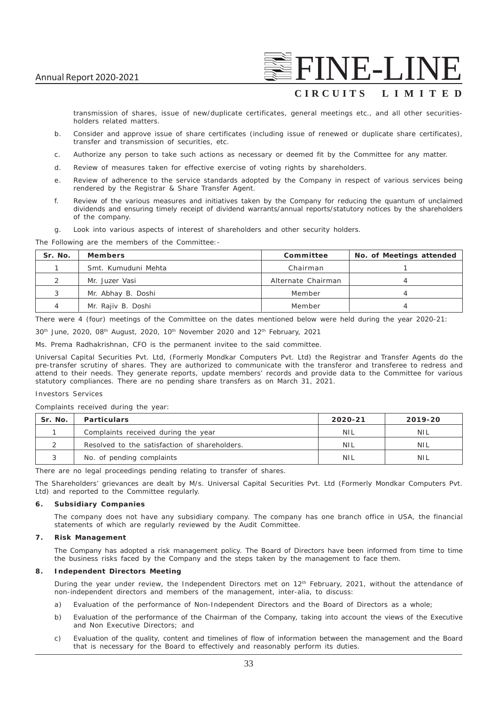## Annual Report 2020-2021 **FINE-LINE CIRCUITS LIMITED**

### transmission of shares, issue of new/duplicate certificates, general meetings etc., and all other securitiesholders related matters.

- b. Consider and approve issue of share certificates (including issue of renewed or duplicate share certificates), transfer and transmission of securities, etc.
- c. Authorize any person to take such actions as necessary or deemed fit by the Committee for any matter.
- d. Review of measures taken for effective exercise of voting rights by shareholders.
- e. Review of adherence to the service standards adopted by the Company in respect of various services being rendered by the Registrar & Share Transfer Agent.
- f. Review of the various measures and initiatives taken by the Company for reducing the quantum of unclaimed dividends and ensuring timely receipt of dividend warrants/annual reports/statutory notices by the shareholders of the company.
- g. Look into various aspects of interest of shareholders and other security holders.

The Following are the members of the Committee:-

| Sr. No. | <b>Members</b>      | Committee          | No. of Meetings attended |
|---------|---------------------|--------------------|--------------------------|
|         | Smt. Kumuduni Mehta | Chairman           |                          |
|         | Mr. Juzer Vasi      | Alternate Chairman |                          |
| ર       | Mr. Abhay B. Doshi  | Member             |                          |
|         | Mr. Rajiv B. Doshi  | Member             |                          |

There were 4 (four) meetings of the Committee on the dates mentioned below were held during the year 2020-21:

30<sup>th</sup> June, 2020, 08<sup>th</sup> August, 2020, 10<sup>th</sup> November 2020 and 12<sup>th</sup> February, 2021

Ms. Prema Radhakrishnan, CFO is the permanent invitee to the said committee.

Universal Capital Securities Pvt. Ltd, (Formerly Mondkar Computers Pvt. Ltd) the Registrar and Transfer Agents do the pre-transfer scrutiny of shares. They are authorized to communicate with the transferor and transferee to redress and attend to their needs. They generate reports, update members' records and provide data to the Committee for various statutory compliances. There are no pending share transfers as on March 31, 2021.

#### Investors Services

Complaints received during the year:

| Sr. No. | <b>Particulars</b>                            | 2020-21    | 2019-20 |
|---------|-----------------------------------------------|------------|---------|
|         | Complaints received during the year           | NIL        | NIL     |
|         | Resolved to the satisfaction of shareholders. | <b>NIL</b> | NIL     |
|         | No. of pending complaints                     | NIL        | NIL     |

There are no legal proceedings pending relating to transfer of shares.

The Shareholders' grievances are dealt by M/s. Universal Capital Securities Pvt. Ltd (Formerly Mondkar Computers Pvt. Ltd) and reported to the Committee regularly.

#### **6. Subsidiary Companies**

The company does not have any subsidiary company. The company has one branch office in USA, the financial statements of which are regularly reviewed by the Audit Committee.

#### **7. Risk Management**

The Company has adopted a risk management policy. The Board of Directors have been informed from time to time the business risks faced by the Company and the steps taken by the management to face them.

#### **8. Independent Directors Meeting**

During the year under review, the Independent Directors met on 12<sup>th</sup> February, 2021, without the attendance of non-independent directors and members of the management, inter-alia, to discuss:

- a) Evaluation of the performance of Non-Independent Directors and the Board of Directors as a whole;
- b) Evaluation of the performance of the Chairman of the Company, taking into account the views of the Executive and Non Executive Directors; and
- c) Evaluation of the quality, content and timelines of flow of information between the management and the Board that is necessary for the Board to effectively and reasonably perform its duties.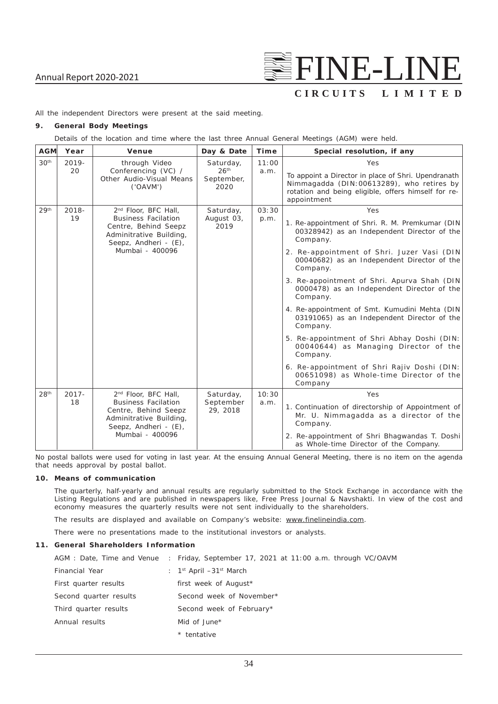## **CIRCUITS LIMITED**

All the independent Directors were present at the said meeting.

#### **9. General Body Meetings**

Details of the location and time where the last three Annual General Meetings (AGM) were held.

| <b>AGM</b>       | Year           | Venue                                                                                                                                                         | Day & Date                                          | <b>Time</b>   | Special resolution, if any                                                                                                                                                                                                                                                                                                                                                                                                                                                                                                                                                                                                                                |
|------------------|----------------|---------------------------------------------------------------------------------------------------------------------------------------------------------------|-----------------------------------------------------|---------------|-----------------------------------------------------------------------------------------------------------------------------------------------------------------------------------------------------------------------------------------------------------------------------------------------------------------------------------------------------------------------------------------------------------------------------------------------------------------------------------------------------------------------------------------------------------------------------------------------------------------------------------------------------------|
| 30 <sup>th</sup> | $2019 -$<br>20 | through Video<br>Conferencing (VC) /<br>Other Audio-Visual Means<br>('OAVM')                                                                                  | Saturday,<br>26 <sup>th</sup><br>September,<br>2020 | 11:00<br>a.m. | Yes<br>To appoint a Director in place of Shri. Upendranath<br>Nimmagadda (DIN: 00613289), who retires by<br>rotation and being eligible, offers himself for re-<br>appointment                                                                                                                                                                                                                                                                                                                                                                                                                                                                            |
| 29 <sup>th</sup> | 2018-<br>19    | 2 <sup>nd</sup> Floor, BFC Hall,<br><b>Business Facilation</b><br>Centre, Behind Seepz<br>Adminitrative Building,<br>Seepz, Andheri - (E),<br>Mumbai - 400096 | Saturday,<br>August 03,<br>2019                     | 03:30<br>p.m. | Yes<br>1. Re-appointment of Shri. R. M. Premkumar (DIN<br>00328942) as an Independent Director of the<br>Company.<br>2. Re-appointment of Shri. Juzer Vasi (DIN)<br>00040682) as an Independent Director of the<br>Company.<br>3. Re-appointment of Shri. Apurva Shah (DIN<br>0000478) as an Independent Director of the<br>Company.<br>4. Re-appointment of Smt. Kumudini Mehta (DIN<br>03191065) as an Independent Director of the<br>Company.<br>5. Re-appointment of Shri Abhay Doshi (DIN:<br>00040644) as Managing Director of the<br>Company.<br>6. Re-appointment of Shri Rajiv Doshi (DIN:<br>00651098) as Whole-time Director of the<br>Company |
| 28 <sup>th</sup> | $2017 -$<br>18 | 2 <sup>nd</sup> Floor, BFC Hall,<br><b>Business Facilation</b><br>Centre, Behind Seepz<br>Adminitrative Building,<br>Seepz, Andheri - (E),<br>Mumbai - 400096 | Saturday,<br>September<br>29, 2018                  | 10:30<br>a.m. | Yes<br>1. Continuation of directorship of Appointment of<br>Mr. U. Nimmagadda as a director of the<br>Company.<br>2. Re-appointment of Shri Bhagwandas T. Doshi<br>as Whole-time Director of the Company.                                                                                                                                                                                                                                                                                                                                                                                                                                                 |

No postal ballots were used for voting in last year. At the ensuing Annual General Meeting, there is no item on the agenda that needs approval by postal ballot.

#### **10. Means of communication**

The quarterly, half-yearly and annual results are regularly submitted to the Stock Exchange in accordance with the Listing Regulations and are published in newspapers like, Free Press Journal & Navshakti. In view of the cost and economy measures the quarterly results were not sent individually to the shareholders.

The results are displayed and available on Company's website: www.finelineindia.com.

There were no presentations made to the institutional investors or analysts.

### **11. General Shareholders Information**

|                        | AGM: Date, Time and Venue : Friday, September 17, 2021 at 11:00 a.m. through VC/OAVM |
|------------------------|--------------------------------------------------------------------------------------|
| Financial Year         | : $1st$ April $-31st$ March                                                          |
| First quarter results  | first week of August*                                                                |
| Second quarter results | Second week of November*                                                             |
| Third quarter results  | Second week of February*                                                             |
| Annual results         | Mid of June $*$                                                                      |
|                        | * tentative                                                                          |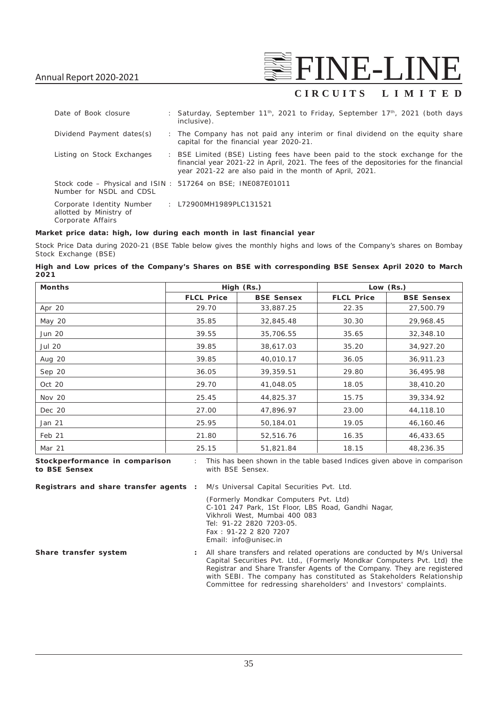

### **CIRCUITS LIMITED**

| Date of Book closure                                                      |                | Saturday, September 11 <sup>th</sup> , 2021 to Friday, September 17 <sup>th</sup> , 2021 (both days<br>inclusive).                                                                                                              |
|---------------------------------------------------------------------------|----------------|---------------------------------------------------------------------------------------------------------------------------------------------------------------------------------------------------------------------------------|
| Dividend Payment dates(s)                                                 |                | : The Company has not paid any interim or final dividend on the equity share<br>capital for the financial year 2020-21.                                                                                                         |
| Listing on Stock Exchanges                                                | $\mathbb{R}^n$ | BSE Limited (BSE) Listing fees have been paid to the stock exchange for the<br>financial year 2021-22 in April, 2021. The fees of the depositories for the financial<br>year 2021-22 are also paid in the month of April, 2021. |
| Number for NSDL and CDSL                                                  |                | Stock code - Physical and ISIN : 517264 on BSE; INE087E01011                                                                                                                                                                    |
| Corporate Identity Number<br>allotted by Ministry of<br>Corporate Affairs |                | : L72900MH1989PLC131521                                                                                                                                                                                                         |

#### **Market price data: high, low during each month in last financial year**

Stock Price Data during 2020-21 (BSE Table below gives the monthly highs and lows of the Company's shares on Bombay Stock Exchange (BSE)

|      |  |  |  |  |  | High and Low prices of the Company's Shares on BSE with corresponding BSE Sensex April 2020 to March |  |  |  |
|------|--|--|--|--|--|------------------------------------------------------------------------------------------------------|--|--|--|
| 2021 |  |  |  |  |  |                                                                                                      |  |  |  |

| <b>Months</b> | High (Rs.)        |                   | Low (Rs.)         |                   |  |
|---------------|-------------------|-------------------|-------------------|-------------------|--|
|               | <b>FLCL Price</b> | <b>BSE Sensex</b> | <b>FLCL Price</b> | <b>BSE Sensex</b> |  |
| Apr 20        | 29.70             | 33,887.25         | 22.35             | 27,500.79         |  |
| May 20        | 35.85             | 32,845.48         | 30.30             | 29,968.45         |  |
| <b>Jun 20</b> | 39.55             | 35,706.55         | 35.65             | 32,348.10         |  |
| <b>Jul 20</b> | 39.85             | 38,617.03         | 35.20             | 34,927.20         |  |
| Aug 20        | 39.85             | 40,010.17         | 36.05             | 36,911.23         |  |
| Sep 20        | 36.05             | 39,359.51         | 29.80             | 36,495.98         |  |
| Oct 20        | 29.70             | 41,048.05         | 18.05             | 38,410.20         |  |
| Nov 20        | 25.45             | 44,825.37         | 15.75             | 39,334.92         |  |
| Dec 20        | 27.00             | 47,896.97         | 23.00             | 44,118.10         |  |
| Jan 21        | 25.95             | 50,184.01         | 19.05             | 46,160.46         |  |
| Feb 21        | 21.80             | 52,516.76         | 16.35             | 46,433.65         |  |
| Mar 21        | 25.15             | 51,821.84         | 18.15             | 48,236.35         |  |

**Stockperformance in comparison** : This has been show to **BSE Sensex**.

: This has been shown in the table based Indices given above in comparison

**Registrars and share transfer agents :** M/s Universal Capital Securities Pvt. Ltd.

(Formerly Mondkar Computers Pvt. Ltd) C-101 247 Park, 1St Floor, LBS Road, Gandhi Nagar, Vikhroli West, Mumbai 400 083 Tel: 91-22 2820 7203-05. Fax : 91-22 2 820 7207 Email: info@unisec.in

**Share transfer system** : All share transfers and related operations are conducted by M/s Universal Capital Securities Pvt. Ltd., (Formerly Mondkar Computers Pvt. Ltd) the Registrar and Share Transfer Agents of the Company. They are registered with SEBI. The company has constituted as Stakeholders Relationship Committee for redressing shareholders' and Investors' complaints.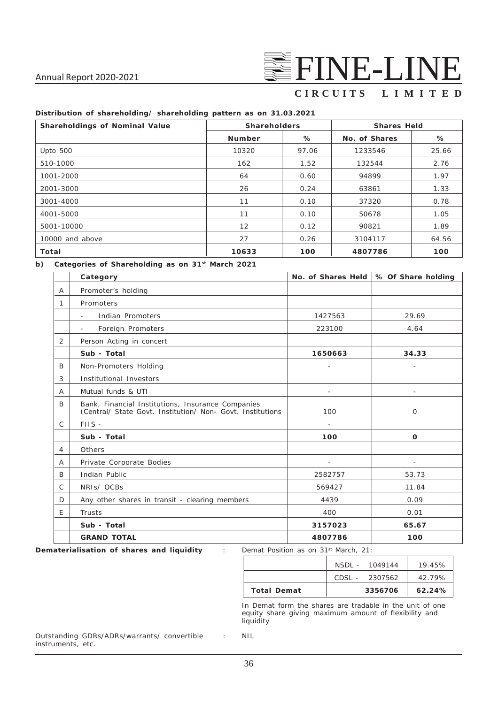# Annual Report 2020-2021  $\equiv$   $\equiv$   $\sim$   $\sim$   $\sim$   $\sim$   $\sim$   $\sim$

### **CIRCUITS LIMITED**

#### **Distribution of shareholding/ shareholding pattern as on 31.03.2021**

| Shareholdings of Nominal Value |                   | <b>Shareholders</b> |               | <b>Shares Held</b> |
|--------------------------------|-------------------|---------------------|---------------|--------------------|
|                                | <b>Number</b>     | ℅                   | No. of Shares | ℅                  |
| <b>Upto 500</b>                | 10320             | 97.06               | 1233546       | 25.66              |
| 510-1000                       | 162               | 1.52                | 132544        | 2.76               |
| 1001-2000                      | 64                | 0.60                | 94899         | 1.97               |
| 2001-3000                      | 26                | 0.24                | 63861         | 1.33               |
| 3001-4000                      | 11                | 0.10                | 37320         | 0.78               |
| 4001-5000                      | 11                | 0.10                | 50678         | 1.05               |
| 5001-10000                     | $12 \overline{ }$ | 0.12                | 90821         | 1.89               |
| 10000 and above                | 27                | 0.26                | 3104117       | 64.56              |
| Total                          | 10633             | 100                 | 4807786       | 100                |

#### **b) Categories of Shareholding as on 31st March 2021**

|               | Category                                                                                                        | No. of Shares Held       | % Of Share holding       |
|---------------|-----------------------------------------------------------------------------------------------------------------|--------------------------|--------------------------|
| A             | Promoter's holding                                                                                              |                          |                          |
| 1             | Promoters                                                                                                       |                          |                          |
|               | <b>Indian Promoters</b><br>$\overline{\phantom{a}}$                                                             | 1427563                  | 29.69                    |
|               | Foreign Promoters<br>$\sim$                                                                                     | 223100                   | 4.64                     |
| 2             | Person Acting in concert                                                                                        |                          |                          |
|               | Sub - Total                                                                                                     | 1650663                  | 34.33                    |
| B             | Non-Promoters Holding                                                                                           |                          |                          |
| 3             | Institutional Investors                                                                                         |                          |                          |
| A             | Mutual funds & UTI                                                                                              | $\overline{\phantom{a}}$ | $\blacksquare$           |
| B             | Bank, Financial Institutions, Insurance Companies<br>(Central/ State Govt. Institution/ Non- Govt. Institutions | 100                      | $\circ$                  |
| $\mathcal{C}$ | FIIS -                                                                                                          |                          |                          |
|               | Sub - Total                                                                                                     | 100                      | $\mathbf{o}$             |
| 4             | Others                                                                                                          |                          |                          |
| A             | Private Corporate Bodies                                                                                        | $\overline{\phantom{a}}$ | $\overline{\phantom{a}}$ |
| B             | Indian Public                                                                                                   | 2582757                  | 53.73                    |
| $\mathcal{C}$ | NRIS/ OCBS                                                                                                      | 569427                   | 11.84                    |
| D             | Any other shares in transit - clearing members                                                                  | 4439                     | 0.09                     |
| E             | Trusts                                                                                                          | 400                      | 0.01                     |
|               | Sub - Total                                                                                                     | 3157023                  | 65.67                    |
|               | <b>GRAND TOTAL</b>                                                                                              | 4807786                  | 100                      |

**Dematerialisation of shares and liquidity** : Demat Position as on 31<sup>st</sup> March, 21:

|                    | NSDI - 1049144 | 19.45% |
|--------------------|----------------|--------|
|                    | CDSL - 2307562 | 42.79% |
| <b>Total Demat</b> | 3356706        | 62.24% |

In Demat form the shares are tradable in the unit of one equity share giving maximum amount of flexibility and liquidity

Outstanding GDRs/ADRs/warrants/ convertible : NIL instruments, etc.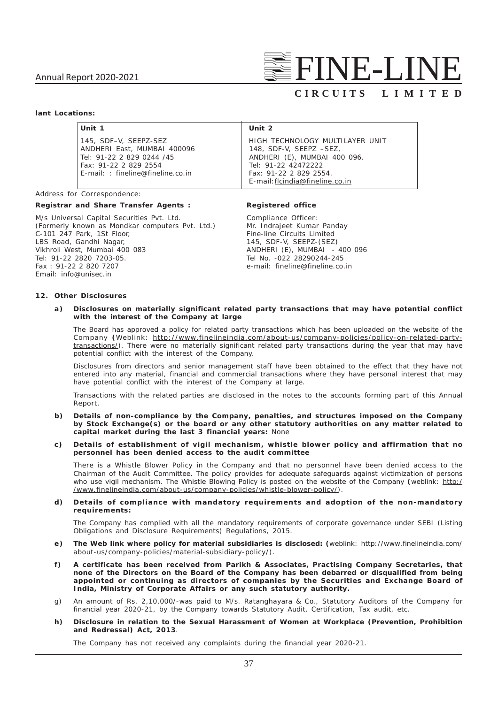

### **CIRCUITS LIMITED**

#### **lant Locations:**

**Unit 1 Unit 2** 145, SDF–V, SEEPZ-SEZ<br>ANDHERI East, MUMBAI 400096 | 148, SDF-V, SEEPZ –SEZ, ANDHERI East, MUMBAI 400096 Tel: 91-22 2 829 0244 /45 <br>Fax: 91-22 2 829 2554 <br>Fel: 91-22 42472222  $E$ -mail: : fineline@fineline.co.in

Address for Correspondence:

#### **Registrar and Share Transfer Agents :**

M/s Universal Capital Securities Pvt. Ltd. (Formerly known as Mondkar computers Pvt. Ltd.) C-101 247 Park, 1St Floor, LBS Road, Gandhi Nagar, Vikhroli West, Mumbai 400 083 Tel: 91-22 2820 7203-05. Fax : 91-22 2 820 7207 Email: info@unisec.in

## **Registered office**

Tel: 91-22 42472222<br>Fax: 91-22 2 829 2554.

E-mail:flcindia@fineline.co.in

Compliance Officer: Mr. Indrajeet Kumar Panday Fine-line Circuits Limited 145, SDF-V, SEEPZ-(SEZ) ANDHERI (E), MUMBAI - 400 096 Tel No. -022 28290244-245 e-mail: fineline@fineline.co.in

#### **12. Other Disclosures**

#### **a) Disclosures on materially significant related party transactions that may have potential conflict with the interest of the Company at large**

The Board has approved a policy for related party transactions which has been uploaded on the website of the Company **(**Weblink: http://www.finelineindia.com/about-us/company-policies/policy-on-related-partytransactions/). There were no materially significant related party transactions during the year that may have potential conflict with the interest of the Company.

Disclosures from directors and senior management staff have been obtained to the effect that they have not entered into any material, financial and commercial transactions where they have personal interest that may have potential conflict with the interest of the Company at large.

Transactions with the related parties are disclosed in the notes to the accounts forming part of this Annual Report.

- **b) Details of non-compliance by the Company, penalties, and structures imposed on the Company by Stock Exchange(s) or the board or any other statutory authorities on any matter related to capital market during the last 3 financial years:** None
- **c) Details of establishment of vigil mechanism, whistle blower policy and affirmation that no personnel has been denied access to the audit committee**

There is a Whistle Blower Policy in the Company and that no personnel have been denied access to the Chairman of the Audit Committee. The policy provides for adequate safeguards against victimization of persons who use vigil mechanism. The Whistle Blowing Policy is posted on the website of the Company **(**weblink: http:/ /www.finelineindia.com/about-us/company-policies/whistle-blower-policy/).

#### **d) Details of compliance with mandatory requirements and adoption of the non-mandatory requirements:**

The Company has complied with all the mandatory requirements of corporate governance under SEBI (Listing Obligations and Disclosure Requirements) Regulations, 2015.

- **e) The Web link where policy for material subsidiaries is disclosed: (**weblink: http://www.finelineindia.com/ about-us/company-policies/material-subsidiary-policy/).
- **f) A certificate has been received from Parikh & Associates, Practising Company Secretaries, that none of the Directors on the Board of the Company has been debarred or disqualified from being appointed or continuing as directors of companies by the Securities and Exchange Board of India, Ministry of Corporate Affairs or any such statutory authority.**
- g) An amount of Rs. 2,10,000/-was paid to M/s. Ratanghayara & Co., Statutory Auditors of the Company for financial year 2020-21, by the Company towards Statutory Audit, Certification, Tax audit, etc.
- **h) Disclosure in relation to the Sexual Harassment of Women at Workplace (Prevention, Prohibition and Redressal) Act, 2013**.

The Company has not received any complaints during the financial year 2020-21.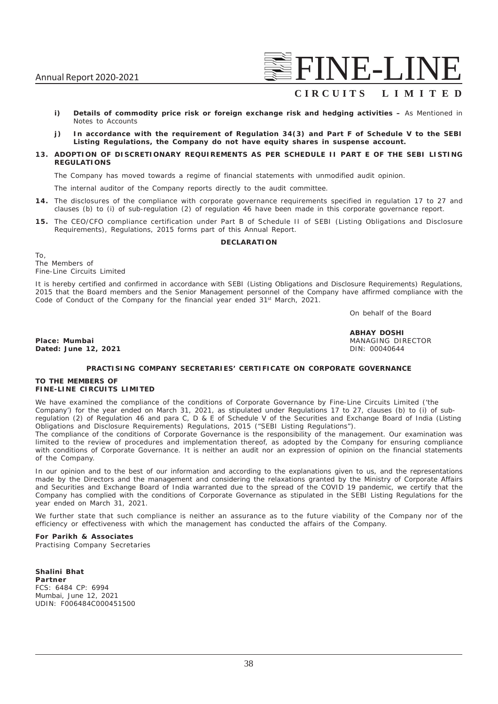### **CIRCUITS LIMITED**

- **i) Details of commodity price risk or foreign exchange risk and hedging activities** As Mentioned in Notes to Accounts
- **j) In accordance with the requirement of Regulation 34(3) and Part F of Schedule V to the SEBI Listing Regulations, the Company do not have equity shares in suspense account.**

#### **13. ADOPTION OF DISCRETIONARY REQUIREMENTS AS PER SCHEDULE II PART E OF THE SEBI LISTING REGULATIONS**

The Company has moved towards a regime of financial statements with unmodified audit opinion.

The internal auditor of the Company reports directly to the audit committee.

- **14.** The disclosures of the compliance with corporate governance requirements specified in regulation 17 to 27 and clauses (b) to (i) of sub-regulation (2) of regulation 46 have been made in this corporate governance report.
- **15.** The CEO/CFO compliance certification under Part B of Schedule II of SEBI (Listing Obligations and Disclosure Requirements), Regulations, 2015 forms part of this Annual Report.

#### **DECLARATION**

To, The Members of Fine-Line Circuits Limited

It is hereby certified and confirmed in accordance with SEBI (Listing Obligations and Disclosure Requirements) Regulations, 2015 that the Board members and the Senior Management personnel of the Company have affirmed compliance with the Code of Conduct of the Company for the financial year ended 31<sup>st</sup> March, 2021.

On behalf of the Board

**Place: Mumbai** MANAGING DIRECTOR **Dated: June 12, 2021 Dinitive Structure 2021 Dinitive Structure 2021 DIN: 00040644** 

**ABHAY DOSHI**

#### **PRACTISING COMPANY SECRETARIES' CERTIFICATE ON CORPORATE GOVERNANCE**

#### **TO THE MEMBERS OF FINE-LINE CIRCUITS LIMITED**

We have examined the compliance of the conditions of Corporate Governance by Fine-Line Circuits Limited ('the Company') for the year ended on March 31, 2021, as stipulated under Regulations 17 to 27, clauses (b) to (i) of subregulation (2) of Regulation 46 and para C, D & E of Schedule V of the Securities and Exchange Board of India (Listing Obligations and Disclosure Requirements) Regulations, 2015 ("SEBI Listing Regulations").

The compliance of the conditions of Corporate Governance is the responsibility of the management. Our examination was limited to the review of procedures and implementation thereof, as adopted by the Company for ensuring compliance with conditions of Corporate Governance. It is neither an audit nor an expression of opinion on the financial statements of the Company.

In our opinion and to the best of our information and according to the explanations given to us, and the representations made by the Directors and the management and considering the relaxations granted by the Ministry of Corporate Affairs and Securities and Exchange Board of India warranted due to the spread of the COVID 19 pandemic, we certify that the Company has complied with the conditions of Corporate Governance as stipulated in the SEBI Listing Regulations for the year ended on March 31, 2021.

We further state that such compliance is neither an assurance as to the future viability of the Company nor of the efficiency or effectiveness with which the management has conducted the affairs of the Company.

### **For Parikh & Associates**

Practising Company Secretaries

**Shalini Bhat Partner** FCS: 6484 CP: 6994 Mumbai, June 12, 2021 UDIN: F006484C000451500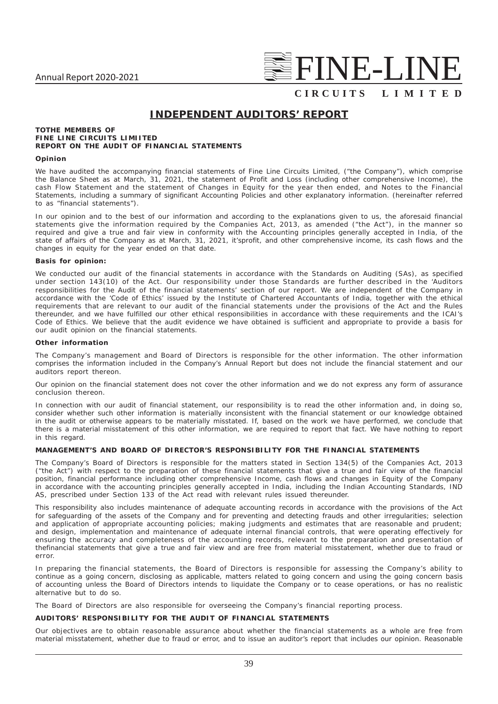Annual Report 2020-2021  $\equiv$   $\equiv$   $\sim$   $\sim$   $\sim$ 

### **CIRCUITS LIMITED**

### **INDEPENDENT AUDITORS' REPORT**

#### **TOTHE MEMBERS OF FINE LINE CIRCUITS LIMIITED REPORT ON THE AUDIT OF FINANCIAL STATEMENTS**

#### **Opinion**

We have audited the accompanying financial statements of Fine Line Circuits Limited, ("the Company"), which comprise the Balance Sheet as at March, 31, 2021, the statement of Profit and Loss (including other comprehensive Income), the cash Flow Statement and the statement of Changes in Equity for the year then ended, and Notes to the Financial Statements, including a summary of significant Accounting Policies and other explanatory information. (hereinafter referred to as "financial statements").

In our opinion and to the best of our information and according to the explanations given to us, the aforesaid financial statements give the information required by the Companies Act, 2013, as amended ("the Act"), in the manner so required and give a true and fair view in conformity with the Accounting principles generally accepted in India, of the state of affairs of the Company as at March, 31, 2021, it'sprofit, and other comprehensive income, its cash flows and the changes in equity for the year ended on that date.

#### **Basis for opinion:**

We conducted our audit of the financial statements in accordance with the Standards on Auditing (SAs), as specified under section 143(10) of the Act. Our responsibility under those Standards are further described in the 'Auditors responsibilities for the Audit of the financial statements' section of our report. We are independent of the Company in accordance with the 'Code of Ethics' issued by the Institute of Chartered Accountants of India, together with the ethical requirements that are relevant to our audit of the financial statements under the provisions of the Act and the Rules thereunder, and we have fulfilled our other ethical responsibilities in accordance with these requirements and the ICAI's Code of Ethics. We believe that the audit evidence we have obtained is sufficient and appropriate to provide a basis for our audit opinion on the financial statements.

#### **Other information**

The Company's management and Board of Directors is responsible for the other information. The other information comprises the information included in the Company's Annual Report but does not include the financial statement and our auditors report thereon.

Our opinion on the financial statement does not cover the other information and we do not express any form of assurance conclusion thereon.

In connection with our audit of financial statement, our responsibility is to read the other information and, in doing so, consider whether such other information is materially inconsistent with the financial statement or our knowledge obtained in the audit or otherwise appears to be materially misstated. If, based on the work we have performed, we conclude that there is a material misstatement of this other information, we are required to report that fact. We have nothing to report in this regard.

#### **MANAGEMENT'S AND BOARD OF DIRECTOR'S RESPONSIBILITY FOR THE FINANCIAL STATEMENTS**

The Company's Board of Directors is responsible for the matters stated in Section 134(5) of the Companies Act, 2013 ("the Act") with respect to the preparation of these financial statements that give a true and fair view of the financial position, financial performance including other comprehensive Income, cash flows and changes in Equity of the Company in accordance with the accounting principles generally accepted in India, including the Indian Accounting Standards, IND AS, prescribed under Section 133 of the Act read with relevant rules issued thereunder.

This responsibility also includes maintenance of adequate accounting records in accordance with the provisions of the Act for safeguarding of the assets of the Company and for preventing and detecting frauds and other irregularities; selection and application of appropriate accounting policies; making judgments and estimates that are reasonable and prudent; and design, implementation and maintenance of adequate internal financial controls, that were operating effectively for ensuring the accuracy and completeness of the accounting records, relevant to the preparation and presentation of thefinancial statements that give a true and fair view and are free from material misstatement, whether due to fraud or error.

In preparing the financial statements, the Board of Directors is responsible for assessing the Company's ability to continue as a going concern, disclosing as applicable, matters related to going concern and using the going concern basis of accounting unless the Board of Directors intends to liquidate the Company or to cease operations, or has no realistic alternative but to do so.

The Board of Directors are also responsible for overseeing the Company's financial reporting process.

#### **AUDITORS' RESPONSIBILITY FOR THE AUDIT OF FINANCIAL STATEMENTS**

Our objectives are to obtain reasonable assurance about whether the financial statements as a whole are free from material misstatement, whether due to fraud or error, and to issue an auditor's report that includes our opinion. Reasonable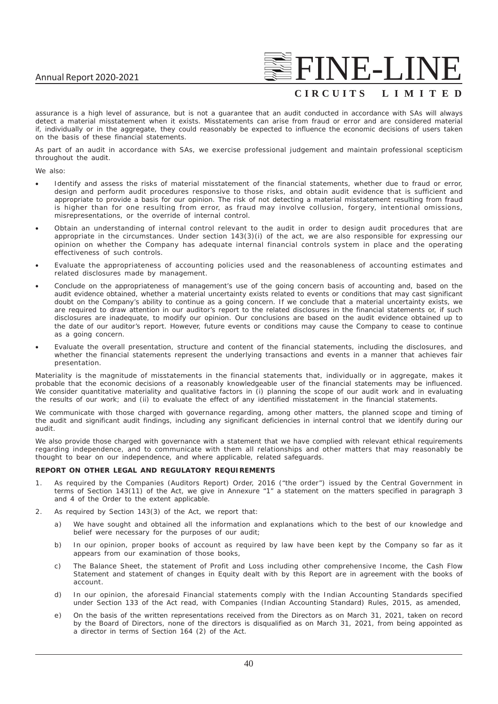### **CIRCUITS LIMITED**

assurance is a high level of assurance, but is not a guarantee that an audit conducted in accordance with SAs will always detect a material misstatement when it exists. Misstatements can arise from fraud or error and are considered material if, individually or in the aggregate, they could reasonably be expected to influence the economic decisions of users taken on the basis of these financial statements.

As part of an audit in accordance with SAs, we exercise professional judgement and maintain professional scepticism throughout the audit.

We also:

- Identify and assess the risks of material misstatement of the financial statements, whether due to fraud or error, design and perform audit procedures responsive to those risks, and obtain audit evidence that is sufficient and appropriate to provide a basis for our opinion. The risk of not detecting a material misstatement resulting from fraud is higher than for one resulting from error, as fraud may involve collusion, forgery, intentional omissions, misrepresentations, or the override of internal control.
- Obtain an understanding of internal control relevant to the audit in order to design audit procedures that are appropriate in the circumstances. Under section 143(3)(i) of the act, we are also responsible for expressing our opinion on whether the Company has adequate internal financial controls system in place and the operating effectiveness of such controls.
- Evaluate the appropriateness of accounting policies used and the reasonableness of accounting estimates and related disclosures made by management.
- Conclude on the appropriateness of management's use of the going concern basis of accounting and, based on the audit evidence obtained, whether a material uncertainty exists related to events or conditions that may cast significant doubt on the Company's ability to continue as a going concern. If we conclude that a material uncertainty exists, we are required to draw attention in our auditor's report to the related disclosures in the financial statements or, if such disclosures are inadequate, to modify our opinion. Our conclusions are based on the audit evidence obtained up to the date of our auditor's report. However, future events or conditions may cause the Company to cease to continue as a going concern.
- Evaluate the overall presentation, structure and content of the financial statements, including the disclosures, and whether the financial statements represent the underlying transactions and events in a manner that achieves fair presentation.

Materiality is the magnitude of misstatements in the financial statements that, individually or in aggregate, makes it probable that the economic decisions of a reasonably knowledgeable user of the financial statements may be influenced. We consider quantitative materiality and qualitative factors in (i) planning the scope of our audit work and in evaluating the results of our work; and (ii) to evaluate the effect of any identified misstatement in the financial statements.

We communicate with those charged with governance regarding, among other matters, the planned scope and timing of the audit and significant audit findings, including any significant deficiencies in internal control that we identify during our audit.

We also provide those charged with governance with a statement that we have complied with relevant ethical requirements regarding independence, and to communicate with them all relationships and other matters that may reasonably be thought to bear on our independence, and where applicable, related safeguards.

#### **REPORT ON OTHER LEGAL AND REGULATORY REQUIREMENTS**

- 1. As required by the Companies (Auditors Report) Order, 2016 ("the order") issued by the Central Government in terms of Section 143(11) of the Act, we give in Annexure "1" a statement on the matters specified in paragraph 3 and 4 of the Order to the extent applicable.
- 2. As required by Section 143(3) of the Act, we report that:
	- a) We have sought and obtained all the information and explanations which to the best of our knowledge and belief were necessary for the purposes of our audit;
	- b) In our opinion, proper books of account as required by law have been kept by the Company so far as it appears from our examination of those books,
	- c) The Balance Sheet, the statement of Profit and Loss including other comprehensive Income, the Cash Flow Statement and statement of changes in Equity dealt with by this Report are in agreement with the books of account.
	- d) In our opinion, the aforesaid Financial statements comply with the Indian Accounting Standards specified under Section 133 of the Act read, with Companies (Indian Accounting Standard) Rules, 2015, as amended,
	- e) On the basis of the written representations received from the Directors as on March 31, 2021, taken on record by the Board of Directors, none of the directors is disqualified as on March 31, 2021, from being appointed as a director in terms of Section 164 (2) of the Act.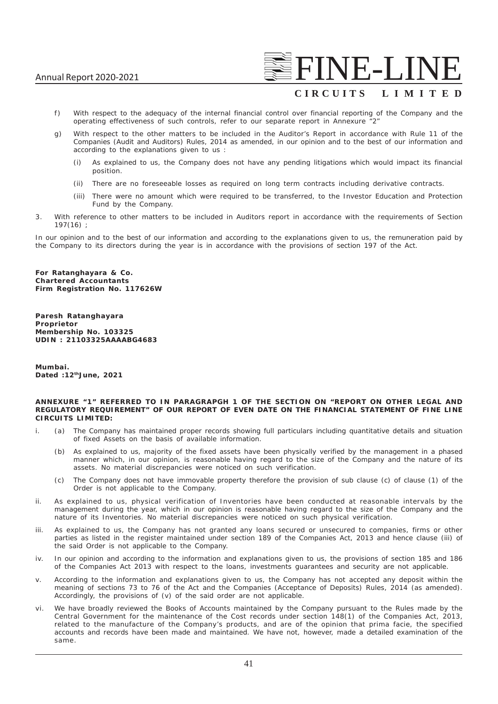### **CIRCUITS LIMITED**

- f ) With respect to the adequacy of the internal financial control over financial reporting of the Company and the operating effectiveness of such controls, refer to our separate report in Annexure "2"
- g) With respect to the other matters to be included in the Auditor's Report in accordance with Rule 11 of the Companies (Audit and Auditors) Rules, 2014 as amended, in our opinion and to the best of our information and according to the explanations given to us :
	- (i) As explained to us, the Company does not have any pending litigations which would impact its financial position.
	- (ii) There are no foreseeable losses as required on long term contracts including derivative contracts.
	- (iii) There were no amount which were required to be transferred, to the Investor Education and Protection Fund by the Company.
- 3. With reference to other matters to be included in Auditors report in accordance with the requirements of Section 197(16) ;

In our opinion and to the best of our information and according to the explanations given to us, the remuneration paid by the Company to its directors during the year is in accordance with the provisions of section 197 of the Act.

**For Ratanghayara & Co. Chartered Accountants Firm Registration No. 117626W**

**Paresh Ratanghayara Proprietor Membership No. 103325 UDIN : 21103325AAAABG4683**

**Mumbai. Dated :12thJune, 2021**

#### **ANNEXURE "1" REFERRED TO IN PARAGRAPGH 1 OF THE SECTION ON "REPORT ON OTHER LEGAL AND REGULATORY REQUIREMENT" OF OUR REPORT OF EVEN DATE ON THE FINANCIAL STATEMENT OF FINE LINE CIRCUITS LIMITED:**

- i. (a) The Company has maintained proper records showing full particulars including quantitative details and situation of fixed Assets on the basis of available information.
	- (b) As explained to us, majority of the fixed assets have been physically verified by the management in a phased manner which, in our opinion, is reasonable having regard to the size of the Company and the nature of its assets. No material discrepancies were noticed on such verification.
	- (c) The Company does not have immovable property therefore the provision of sub clause (c) of clause (1) of the Order is not applicable to the Company.
- ii. As explained to us, physical verification of Inventories have been conducted at reasonable intervals by the management during the year, which in our opinion is reasonable having regard to the size of the Company and the nature of its Inventories. No material discrepancies were noticed on such physical verification.
- iii. As explained to us, the Company has not granted any loans secured or unsecured to companies, firms or other parties as listed in the register maintained under section 189 of the Companies Act, 2013 and hence clause (iii) of the said Order is not applicable to the Company.
- iv. In our opinion and according to the information and explanations given to us, the provisions of section 185 and 186 of the Companies Act 2013 with respect to the loans, investments guarantees and security are not applicable.
- v. According to the information and explanations given to us, the Company has not accepted any deposit within the meaning of sections 73 to 76 of the Act and the Companies (Acceptance of Deposits) Rules, 2014 (as amended). Accordingly, the provisions of (v) of the said order are not applicable.
- vi. We have broadly reviewed the Books of Accounts maintained by the Company pursuant to the Rules made by the Central Government for the maintenance of the Cost records under section 148(1) of the Companies Act, 2013, related to the manufacture of the Company's products, and are of the opinion that prima facie, the specified accounts and records have been made and maintained. We have not, however, made a detailed examination of the same.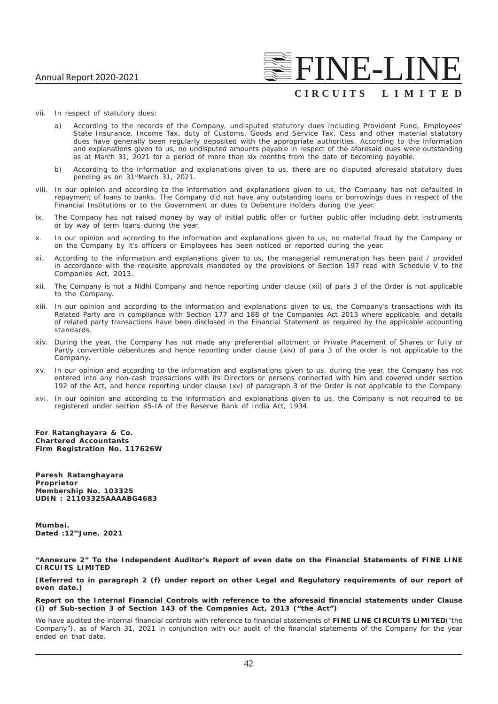## Annual Report 2020-2021 **FINE-LINE CIRCUITS LIMITED**

vii. In respect of statutory dues:

- a) According to the records of the Company, undisputed statutory dues including Provident Fund, Employees' State Insurance, Income Tax, duty of Customs, Goods and Service Tax, Cess and other material statutory dues have generally been regularly deposited with the appropriate authorities. According to the information and explanations given to us, no undisputed amounts payable in respect of the aforesaid dues were outstanding as at March 31, 2021 for a period of more than six months from the date of becoming payable.
- b) According to the information and explanations given to us, there are no disputed aforesaid statutory dues pending as on 31stMarch 31, 2021.
- viii. In our opinion and according to the information and explanations given to us, the Company has not defaulted in repayment of loans to banks. The Company did not have any outstanding loans or borrowings dues in respect of the Financial Institutions or to the Government or dues to Debenture Holders during the year.
- ix. The Company has not raised money by way of initial public offer or further public offer including debt instruments or by way of term loans during the year.
- x. In our opinion and according to the information and explanations given to us, no material fraud by the Company or on the Company by it's officers or Employees has been noticed or reported during the year.
- xi. According to the information and explanations given to us, the managerial remuneration has been paid / provided in accordance with the requisite approvals mandated by the provisions of Section 197 read with Schedule V to the Companies Act, 2013.
- xii. The Company is not a Nidhi Company and hence reporting under clause (xii) of para 3 of the Order is not applicable to the Company.
- xiii. In our opinion and according to the information and explanations given to us, the Company's transactions with its Related Party are in compliance with Section 177 and 188 of the Companies Act 2013 where applicable, and details of related party transactions have been disclosed in the Financial Statement as required by the applicable accounting standards.
- xiv. During the year, the Company has not made any preferential allotment or Private Placement of Shares or fully or Partly convertible debentures and hence reporting under clause (xiv) of para 3 of the order is not applicable to the Company.
- xv. In our opinion and according to the information and explanations given to us, during the year, the Company has not entered into any non-cash transactions with its Directors or persons connected with him and covered under section 192 of the Act, and hence reporting under clause (xv) of paragraph 3 of the Order is not applicable to the Company.
- xvi. In our opinion and according to the information and explanations given to us, the Company is not required to be registered under section 45-IA of the Reserve Bank of India Act, 1934.

**For Ratanghayara & Co. Chartered Accountants Firm Registration No. 117626W**

**Paresh Ratanghayara Proprietor Membership No. 103325 UDIN : 21103325AAAABG4683**

**Mumbai. Dated :12thJune, 2021**

**"Annexure 2" To the Independent Auditor's Report of even date on the Financial Statements of FINE LINE CIRCUITS LIMITED**

**(Referred to in paragraph 2 (f) under report on other Legal and Regulatory requirements of our report of even date.)**

**Report on the Internal Financial Controls with reference to the aforesaid financial statements under Clause (i) of Sub-section 3 of Section 143 of the Companies Act, 2013 ("the Act")**

We have audited the internal financial controls with reference to financial statements of **FINE LINE CIRCUITS LIMITED**("the Company"), as of March 31, 2021 in conjunction with our audit of the financial statements of the Company for the year ended on that date.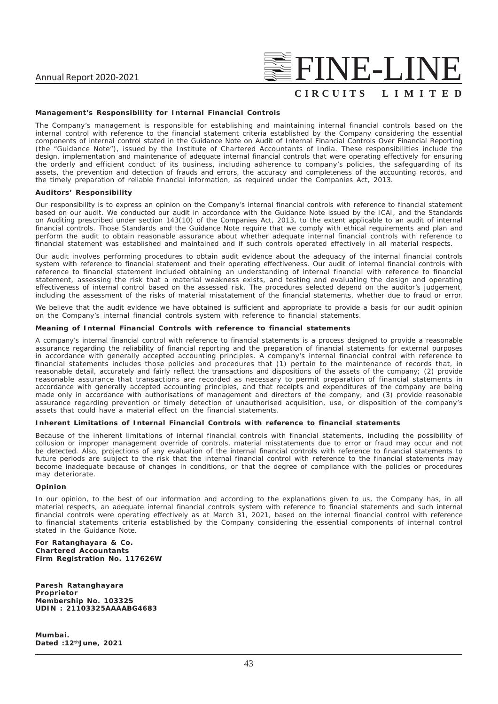## Annual Report 2020-2021  $\blacksquare$

### **CIRCUITS LIMITED**

#### **Management's Responsibility for Internal Financial Controls**

The Company's management is responsible for establishing and maintaining internal financial controls based on the internal control with reference to the financial statement criteria established by the Company considering the essential components of internal control stated in the Guidance Note on Audit of Internal Financial Controls Over Financial Reporting (the "Guidance Note"), issued by the Institute of Chartered Accountants of India. These responsibilities include the design, implementation and maintenance of adequate internal financial controls that were operating effectively for ensuring the orderly and efficient conduct of its business, including adherence to company's policies, the safeguarding of its assets, the prevention and detection of frauds and errors, the accuracy and completeness of the accounting records, and the timely preparation of reliable financial information, as required under the Companies Act, 2013.

#### **Auditors' Responsibility**

Our responsibility is to express an opinion on the Company's internal financial controls with reference to financial statement based on our audit. We conducted our audit in accordance with the Guidance Note issued by the ICAI, and the Standards on Auditing prescribed under section 143(10) of the Companies Act, 2013, to the extent applicable to an audit of internal financial controls. Those Standards and the Guidance Note require that we comply with ethical requirements and plan and perform the audit to obtain reasonable assurance about whether adequate internal financial controls with reference to financial statement was established and maintained and if such controls operated effectively in all material respects.

Our audit involves performing procedures to obtain audit evidence about the adequacy of the internal financial controls system with reference to financial statement and their operating effectiveness. Our audit of internal financial controls with reference to financial statement included obtaining an understanding of internal financial with reference to financial statement, assessing the risk that a material weakness exists, and testing and evaluating the design and operating effectiveness of internal control based on the assessed risk. The procedures selected depend on the auditor's judgement, including the assessment of the risks of material misstatement of the financial statements, whether due to fraud or error.

We believe that the audit evidence we have obtained is sufficient and appropriate to provide a basis for our audit opinion on the Company's internal financial controls system with reference to financial statements.

#### **Meaning of Internal Financial Controls with reference to financial statements**

A company's internal financial control with reference to financial statements is a process designed to provide a reasonable assurance regarding the reliability of financial reporting and the preparation of financial statements for external purposes in accordance with generally accepted accounting principles. A company's internal financial control with reference to financial statements includes those policies and procedures that (1) pertain to the maintenance of records that, in reasonable detail, accurately and fairly reflect the transactions and dispositions of the assets of the company; (2) provide reasonable assurance that transactions are recorded as necessary to permit preparation of financial statements in accordance with generally accepted accounting principles, and that receipts and expenditures of the company are being made only in accordance with authorisations of management and directors of the company; and (3) provide reasonable assurance regarding prevention or timely detection of unauthorised acquisition, use, or disposition of the company's assets that could have a material effect on the financial statements.

#### **Inherent Limitations of Internal Financial Controls with reference to financial statements**

Because of the inherent limitations of internal financial controls with financial statements, including the possibility of collusion or improper management override of controls, material misstatements due to error or fraud may occur and not be detected. Also, projections of any evaluation of the internal financial controls with reference to financial statements to future periods are subject to the risk that the internal financial control with reference to the financial statements may become inadequate because of changes in conditions, or that the degree of compliance with the policies or procedures may deteriorate.

#### **Opinion**

In our opinion, to the best of our information and according to the explanations given to us, the Company has, in all material respects, an adequate internal financial controls system with reference to financial statements and such internal financial controls were operating effectively as at March 31, 2021, based on the internal financial control with reference to financial statements criteria established by the Company considering the essential components of internal control stated in the Guidance Note.

#### **For Ratanghayara & Co. Chartered Accountants Firm Registration No. 117626W**

**Paresh Ratanghayara Proprietor Membership No. 103325 UDIN : 21103325AAAABG4683**

**Mumbai. Dated :12thJune, 2021**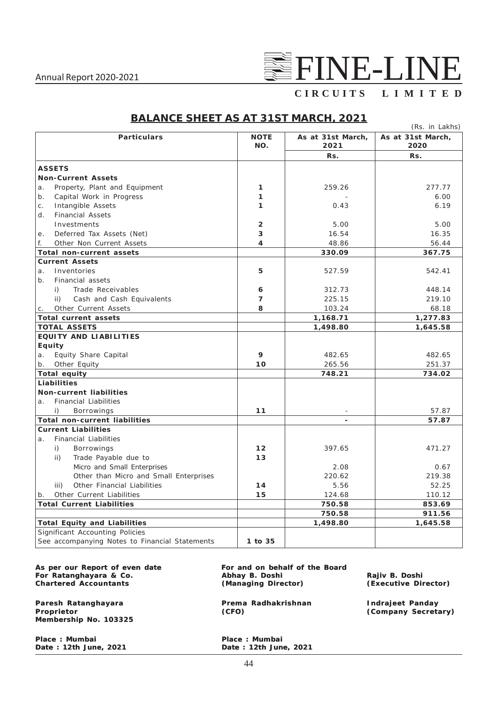### **CIRCUITS LIMITED**

| <u>BALANCE SHEET AS AT 3 IST MARCH, 2021</u><br>(Rs. in Lakhs) |                    |                           |                           |  |  |  |
|----------------------------------------------------------------|--------------------|---------------------------|---------------------------|--|--|--|
| <b>Particulars</b>                                             | <b>NOTE</b><br>NO. | As at 31st March,<br>2021 | As at 31st March,<br>2020 |  |  |  |
|                                                                |                    | Rs.                       | Rs.                       |  |  |  |
| <b>ASSETS</b>                                                  |                    |                           |                           |  |  |  |
| <b>Non-Current Assets</b>                                      |                    |                           |                           |  |  |  |
| Property, Plant and Equipment<br>а.                            | 1                  | 259.26                    | 277.77                    |  |  |  |
| Capital Work in Progress<br>$b$ .                              | 1                  |                           | 6.00                      |  |  |  |
| Intangible Assets<br>$\mathsf{C}$ .                            | 1                  | 0.43                      | 6.19                      |  |  |  |
| <b>Financial Assets</b><br>d.                                  |                    |                           |                           |  |  |  |
| Investments                                                    | $\overline{2}$     | 5.00                      | 5.00                      |  |  |  |
| Deferred Tax Assets (Net)<br>е.                                | 3                  | 16.54                     | 16.35                     |  |  |  |
| f.<br>Other Non Current Assets                                 | 4                  | 48.86                     | 56.44                     |  |  |  |
| Total non-current assets                                       |                    | 330.09                    | 367.75                    |  |  |  |
| <b>Current Assets</b>                                          |                    |                           |                           |  |  |  |
| Inventories<br>a <sub>x</sub>                                  | 5                  | 527.59                    | 542.41                    |  |  |  |
| b <sub>1</sub><br>Financial assets                             |                    |                           |                           |  |  |  |
| Trade Receivables<br>i)                                        | 6                  | 312.73                    | 448.14                    |  |  |  |
| $\mathsf{ii}$<br>Cash and Cash Equivalents                     | $\overline{7}$     | 225.15                    | 219.10                    |  |  |  |
| Other Current Assets<br>$C$ .                                  | 8                  | 103.24                    | 68.18                     |  |  |  |
| <b>Total current assets</b>                                    |                    | 1,168.71                  | 1,277.83                  |  |  |  |
| <b>TOTAL ASSETS</b>                                            |                    | 1,498.80                  | 1,645.58                  |  |  |  |
| <b>EQUITY AND LIABILITIES</b>                                  |                    |                           |                           |  |  |  |
| Equity                                                         |                    |                           |                           |  |  |  |
| Equity Share Capital<br>a.                                     | 9                  | 482.65                    | 482.65                    |  |  |  |
| Other Equity<br>b.                                             | 10                 | 265.56                    | 251.37                    |  |  |  |
| Total equity                                                   |                    | 748.21                    | 734.02                    |  |  |  |
| Liabilities                                                    |                    |                           |                           |  |  |  |
| <b>Non-current liabilities</b>                                 |                    |                           |                           |  |  |  |
| <b>Financial Liabilities</b><br>a.                             |                    |                           |                           |  |  |  |
| i)<br>Borrowings                                               | 11                 |                           | 57.87                     |  |  |  |
| <b>Total non-current liabilities</b>                           |                    |                           | 57.87                     |  |  |  |
| <b>Current Liabilities</b>                                     |                    |                           |                           |  |  |  |
| <b>Financial Liabilities</b><br>a.                             |                    |                           |                           |  |  |  |
| i)<br><b>Borrowings</b>                                        | 12                 | 397.65                    | 471.27                    |  |  |  |
| ii)<br>Trade Payable due to                                    | 13                 |                           |                           |  |  |  |
| Micro and Small Enterprises                                    |                    | 2.08                      | 0.67                      |  |  |  |
| Other than Micro and Small Enterprises                         |                    | 220.62                    | 219.38                    |  |  |  |
| Other Financial Liabilities<br>iii)                            | 14                 | 5.56                      | 52.25                     |  |  |  |
| Other Current Liabilities<br>$b$ .                             | 15                 | 124.68                    | 110.12                    |  |  |  |
| <b>Total Current Liabilities</b>                               |                    | 750.58                    | 853.69                    |  |  |  |
|                                                                |                    | 750.58                    | 911.56                    |  |  |  |
| <b>Total Equity and Liabilities</b>                            |                    | 1,498.80                  | 1,645.58                  |  |  |  |
| Significant Accounting Policies                                |                    |                           |                           |  |  |  |
| See accompanying Notes to Financial Statements                 | 1 to 35            |                           |                           |  |  |  |

### **BALANCE SHEET AS AT 31ST MARCH, 2021**

**For Ratanghayara & Co. Abhay B. Doshi Rajiv B. Doshi Chartered Accountants (Managing Director) (Executive Director)**

Paresh Ratanghayara **Prema Radhakrishnan Indrajeet Panday**<br>Proprietor (CFO) (CFO) (Company Secreta **Membership No. 103325**

**Place : Mumbai Place : Mumbai**

As per our Report of even date **For and on behalf of the Board**<br>For Ratanghayara & Co. **Abhay B. Doshi** 

**Proprietor (CFO) (Company Secretary)**

**Date : 12th June, 2021 Date : 12th June, 2021**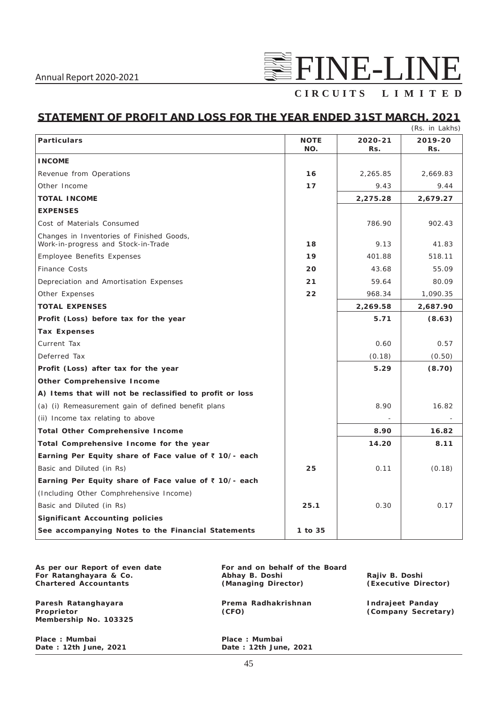**CIRCUITS LIMITED**

### **STATEMENT OF PROFIT AND LOSS FOR THE YEAR ENDED 31ST MARCH, 2021**

|                                                                                  |                    |                | (Rs. in Lakhs) |
|----------------------------------------------------------------------------------|--------------------|----------------|----------------|
| <b>Particulars</b>                                                               | <b>NOTE</b><br>NO. | 2020-21<br>Rs. | 2019-20<br>Rs. |
| <b>INCOME</b>                                                                    |                    |                |                |
| Revenue from Operations                                                          | 16                 | 2,265.85       | 2,669.83       |
| Other Income                                                                     | 17                 | 9.43           | 9.44           |
| <b>TOTAL INCOME</b>                                                              |                    | 2,275.28       | 2,679.27       |
| <b>EXPENSES</b>                                                                  |                    |                |                |
| Cost of Materials Consumed                                                       |                    | 786.90         | 902.43         |
| Changes in Inventories of Finished Goods,<br>Work-in-progress and Stock-in-Trade | 18                 | 9.13           | 41.83          |
| <b>Employee Benefits Expenses</b>                                                | 19                 | 401.88         | 518.11         |
| <b>Finance Costs</b>                                                             | 20                 | 43.68          | 55.09          |
| Depreciation and Amortisation Expenses                                           | 21                 | 59.64          | 80.09          |
| Other Expenses                                                                   | 22                 | 968.34         | 1,090.35       |
| <b>TOTAL EXPENSES</b>                                                            |                    | 2,269.58       | 2,687.90       |
| Profit (Loss) before tax for the year                                            |                    | 5.71           | (8.63)         |
| <b>Tax Expenses</b>                                                              |                    |                |                |
| Current Tax                                                                      |                    | 0.60           | 0.57           |
| Deferred Tax                                                                     |                    | (0.18)         | (0.50)         |
| Profit (Loss) after tax for the year                                             |                    | 5.29           | (8.70)         |
| Other Comprehensive Income                                                       |                    |                |                |
| A) I tems that will not be reclassified to profit or loss                        |                    |                |                |
| (a) (i) Remeasurement gain of defined benefit plans                              |                    | 8.90           | 16.82          |
| (ii) Income tax relating to above                                                |                    |                |                |
| <b>Total Other Comprehensive Income</b>                                          |                    | 8.90           | 16.82          |
| Total Comprehensive Income for the year                                          |                    | 14.20          | 8.11           |
| Earning Per Equity share of Face value of $\bar{\xi}$ 10/- each                  |                    |                |                |
| Basic and Diluted (in Rs)                                                        | 25                 | 0.11           | (0.18)         |
| Earning Per Equity share of Face value of ₹ 10/- each                            |                    |                |                |
| (Including Other Comphrehensive Income)                                          |                    |                |                |
| Basic and Diluted (in Rs)                                                        | 25.1               | 0.30           | 0.17           |
| <b>Significant Accounting policies</b>                                           |                    |                |                |
| See accompanying Notes to the Financial Statements                               | 1 to 35            |                |                |

As per our Report of even date **For and on behalf of the Board**<br>For Ratanghayara & Co. **Abhay B. Doshi For Ratanghayara & Co. Abhay B. Doshi Rajiv B. Doshi**

Paresh Ratanghayara **Prema Radhakrishnan Indrajeet Panday**<br>Proprietor (CFO) (CFO) (Company Secreta **Membership No. 103325**

**Place : Mumbai Place : Mumbai**

**Chartered Accountants (Managing Director) (Executive Director)**

**Proprietor (CFO) (Company Secretary)**

**Date : 12th June, 2021 Date : 12th June, 2021**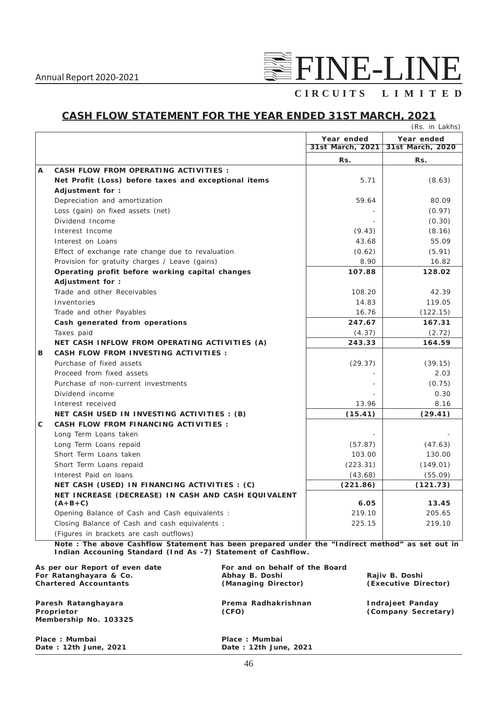### **CIRCUITS LIMITED**

### **CASH FLOW STATEMENT FOR THE YEAR ENDED 31ST MARCH, 2021**

|                                                      | Year ended<br>31st March, 2021                                                                                                                                                                                                                                                                                                                    | Year ended                                                                                                                                                                            |
|------------------------------------------------------|---------------------------------------------------------------------------------------------------------------------------------------------------------------------------------------------------------------------------------------------------------------------------------------------------------------------------------------------------|---------------------------------------------------------------------------------------------------------------------------------------------------------------------------------------|
|                                                      |                                                                                                                                                                                                                                                                                                                                                   |                                                                                                                                                                                       |
|                                                      |                                                                                                                                                                                                                                                                                                                                                   | 31st March, 2020                                                                                                                                                                      |
|                                                      | Rs.                                                                                                                                                                                                                                                                                                                                               | Rs.                                                                                                                                                                                   |
| CASH FLOW FROM OPERATING ACTIVITIES :                |                                                                                                                                                                                                                                                                                                                                                   |                                                                                                                                                                                       |
| Net Profit (Loss) before taxes and exceptional items | 5.71                                                                                                                                                                                                                                                                                                                                              | (8.63)                                                                                                                                                                                |
| Adjustment for:                                      |                                                                                                                                                                                                                                                                                                                                                   |                                                                                                                                                                                       |
| Depreciation and amortization                        | 59.64                                                                                                                                                                                                                                                                                                                                             | 80.09                                                                                                                                                                                 |
| Loss (gain) on fixed assets (net)                    |                                                                                                                                                                                                                                                                                                                                                   | (0.97)                                                                                                                                                                                |
| Dividend Income                                      |                                                                                                                                                                                                                                                                                                                                                   | (0.30)                                                                                                                                                                                |
| Interest Income                                      | (9.43)                                                                                                                                                                                                                                                                                                                                            | (8.16)                                                                                                                                                                                |
| Interest on Loans                                    | 43.68                                                                                                                                                                                                                                                                                                                                             | 55.09                                                                                                                                                                                 |
| Effect of exchange rate change due to revaluation    | (0.62)                                                                                                                                                                                                                                                                                                                                            | (5.91)                                                                                                                                                                                |
| Provision for gratuity charges / Leave (gains)       | 8.90                                                                                                                                                                                                                                                                                                                                              | 16.82                                                                                                                                                                                 |
| Operating profit before working capital changes      | 107.88                                                                                                                                                                                                                                                                                                                                            | 128.02                                                                                                                                                                                |
| Adjustment for :                                     |                                                                                                                                                                                                                                                                                                                                                   |                                                                                                                                                                                       |
| Trade and other Receivables                          | 108.20                                                                                                                                                                                                                                                                                                                                            | 42.39                                                                                                                                                                                 |
| Inventories                                          | 14.83                                                                                                                                                                                                                                                                                                                                             | 119.05                                                                                                                                                                                |
| Trade and other Payables                             | 16.76                                                                                                                                                                                                                                                                                                                                             | (122.15)                                                                                                                                                                              |
| Cash generated from operations                       | 247.67                                                                                                                                                                                                                                                                                                                                            | 167.31                                                                                                                                                                                |
| Taxes paid                                           | (4.37)                                                                                                                                                                                                                                                                                                                                            | (2.72)                                                                                                                                                                                |
| NET CASH INFLOW FROM OPERATING ACTIVITIES (A)        | 243.33                                                                                                                                                                                                                                                                                                                                            | 164.59                                                                                                                                                                                |
|                                                      |                                                                                                                                                                                                                                                                                                                                                   |                                                                                                                                                                                       |
|                                                      | (29.37)                                                                                                                                                                                                                                                                                                                                           | (39.15)                                                                                                                                                                               |
|                                                      |                                                                                                                                                                                                                                                                                                                                                   | 2.03                                                                                                                                                                                  |
| Purchase of non-current investments                  |                                                                                                                                                                                                                                                                                                                                                   | (0.75)                                                                                                                                                                                |
| Dividend income                                      |                                                                                                                                                                                                                                                                                                                                                   | 0.30                                                                                                                                                                                  |
| Interest received                                    | 13.96                                                                                                                                                                                                                                                                                                                                             | 8.16                                                                                                                                                                                  |
|                                                      | (15.41)                                                                                                                                                                                                                                                                                                                                           | (29.41)                                                                                                                                                                               |
|                                                      |                                                                                                                                                                                                                                                                                                                                                   |                                                                                                                                                                                       |
|                                                      |                                                                                                                                                                                                                                                                                                                                                   |                                                                                                                                                                                       |
|                                                      | (57.87)                                                                                                                                                                                                                                                                                                                                           | (47.63)                                                                                                                                                                               |
| Short Term Loans taken                               | 103.00                                                                                                                                                                                                                                                                                                                                            | 130.00                                                                                                                                                                                |
| Short Term Loans repaid                              | (223.31)                                                                                                                                                                                                                                                                                                                                          | (149.01)                                                                                                                                                                              |
| Interest Paid on loans                               |                                                                                                                                                                                                                                                                                                                                                   | (55.09)                                                                                                                                                                               |
|                                                      |                                                                                                                                                                                                                                                                                                                                                   | (121.73)                                                                                                                                                                              |
|                                                      |                                                                                                                                                                                                                                                                                                                                                   |                                                                                                                                                                                       |
| $(A+B+C)$                                            | 6.05                                                                                                                                                                                                                                                                                                                                              | 13.45                                                                                                                                                                                 |
| Opening Balance of Cash and Cash equivalents :       | 219.10                                                                                                                                                                                                                                                                                                                                            | 205.65                                                                                                                                                                                |
| Closing Balance of Cash and cash equivalents :       | 225.15                                                                                                                                                                                                                                                                                                                                            | 219.10                                                                                                                                                                                |
| (Figures in brackets are cash outflows)              |                                                                                                                                                                                                                                                                                                                                                   |                                                                                                                                                                                       |
|                                                      | CASH FLOW FROM INVESTING ACTIVITIES :<br>Purchase of fixed assets<br>Proceed from fixed assets<br>NET CASH USED IN INVESTING ACTIVITIES : (B)<br>CASH FLOW FROM FINANCING ACTIVITIES :<br>Long Term Loans taken<br>Long Term Loans repaid<br>NET CASH (USED) IN FINANCING ACTIVITIES : (C)<br>NET INCREASE (DECREASE) IN CASH AND CASH EQUIVALENT | (43.68)<br>(221.86)<br>Note: The above Cashflow Statement has been prepared under the "Indirect method" as set out in<br>Indian Accouning Standard (Ind As -7) Statement of Cashflow. |

As per our Report of even date **For and on behalf of the Board**<br>For Ratanghayara & Co. **Abhay B. Doshi For Ratanghayara & Co. Abhay B. Doshi Rajiv B. Doshi Chartered Accountants (Managing Director) (Executive Director)**

Paresh Ratanghayara **Prema Radhakrishnan Indrajeet Panday**<br>Proprietor (CFO) (CFO) (Company Secreta **Membership No. 103325**

**Proprietor (CFO) (Company Secretary)**

**Place : Mumbai Place : Mumbai Date : 12th June, 2021 Date : 12th June, 2021**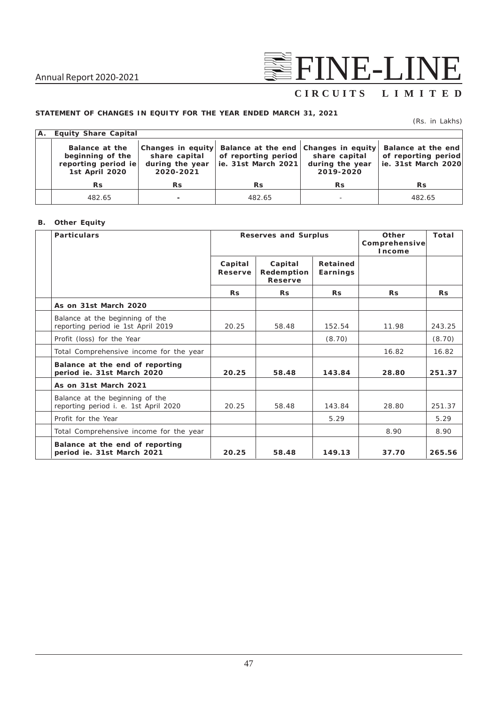# Annual Report 2020-2021 **Example 1**

### **CIRCUITS LIMITED**

#### **STATEMENT OF CHANGES IN EQUITY FOR THE YEAR ENDED MARCH 31, 2021**

(Rs. in Lakhs)

| IA. | <b>Equity Share Capital</b>                                                 |                                               |                                                                                                      |                                               |                                                                  |
|-----|-----------------------------------------------------------------------------|-----------------------------------------------|------------------------------------------------------------------------------------------------------|-----------------------------------------------|------------------------------------------------------------------|
|     | Balance at the<br>beginning of the<br>reporting period ie<br>1st April 2020 | share capital<br>during the year<br>2020-2021 | Changes in equity Balance at the end Changes in equity<br>of reporting period<br>ie. 31st March 2021 | share capital<br>during the year<br>2019-2020 | Balance at the end<br>of reporting period<br>ie. 31st March 2020 |
|     | <b>Rs</b>                                                                   | <b>Rs</b>                                     | <b>Rs</b>                                                                                            | <b>Rs</b>                                     | <b>Rs</b>                                                        |
|     | 482.65                                                                      |                                               | 482.65                                                                                               |                                               | 482.65                                                           |

#### **B. Other Equity**

| <b>Particulars</b>                                                       |                           | <b>Reserves and Surplus</b>      | Other<br>Comprehensive<br>Income | Total     |           |
|--------------------------------------------------------------------------|---------------------------|----------------------------------|----------------------------------|-----------|-----------|
|                                                                          | Capital<br><b>Reserve</b> | Capital<br>Redemption<br>Reserve | Retained<br>Earnings             |           |           |
|                                                                          | <b>Rs</b>                 | <b>Rs</b>                        | <b>Rs</b>                        | <b>Rs</b> | <b>Rs</b> |
| As on 31st March 2020                                                    |                           |                                  |                                  |           |           |
| Balance at the beginning of the<br>reporting period ie 1st April 2019    | 20.25                     | 58.48                            | 152.54                           | 11.98     | 243.25    |
| Profit (loss) for the Year                                               |                           |                                  | (8.70)                           |           | (8.70)    |
| Total Comprehensive income for the year                                  |                           |                                  |                                  | 16.82     | 16.82     |
| Balance at the end of reporting<br>period ie. 31st March 2020            | 20.25                     | 58.48                            | 143.84                           | 28.80     | 251.37    |
| As on 31st March 2021                                                    |                           |                                  |                                  |           |           |
| Balance at the beginning of the<br>reporting period i. e. 1st April 2020 | 20.25                     | 58.48                            | 143.84                           | 28.80     | 251.37    |
| Profit for the Year                                                      |                           |                                  | 5.29                             |           | 5.29      |
| Total Comprehensive income for the year                                  |                           |                                  |                                  | 8.90      | 8.90      |
| Balance at the end of reporting<br>period ie. 31st March 2021            | 20.25                     | 58.48                            | 149.13                           | 37.70     | 265.56    |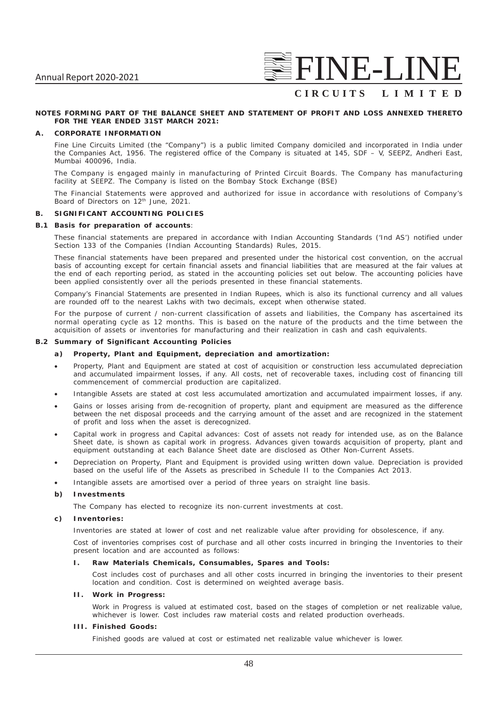## Annual Report 2020-2021  $\equiv$   $\equiv$   $\sim$   $\sim$

### **CIRCUITS LIMITED**

#### **NOTES FORMING PART OF THE BALANCE SHEET AND STATEMENT OF PROFIT AND LOSS ANNEXED THERETO FOR THE YEAR ENDED 31ST MARCH 2021:**

#### **A. CORPORATE INFORMATION**

Fine Line Circuits Limited (the "Company") is a public limited Company domiciled and incorporated in India under the Companies Act, 1956. The registered office of the Company is situated at 145, SDF – V, SEEPZ, Andheri East, Mumbai 400096, India.

The Company is engaged mainly in manufacturing of Printed Circuit Boards. The Company has manufacturing facility at SEEPZ. The Company is listed on the Bombay Stock Exchange (BSE)

The Financial Statements were approved and authorized for issue in accordance with resolutions of Company's Board of Directors on 12<sup>th</sup> June, 2021.

#### **B. SIGNIFICANT ACCOUNTING POLICIES**

#### **B.1 Basis for preparation of accounts**:

These financial statements are prepared in accordance with Indian Accounting Standards ('Ind AS') notified under Section 133 of the Companies (Indian Accounting Standards) Rules, 2015.

These financial statements have been prepared and presented under the historical cost convention, on the accrual basis of accounting except for certain financial assets and financial liabilities that are measured at the fair values at the end of each reporting period, as stated in the accounting policies set out below. The accounting policies have been applied consistently over all the periods presented in these financial statements.

Company's Financial Statements are presented in Indian Rupees, which is also its functional currency and all values are rounded off to the nearest Lakhs with two decimals, except when otherwise stated.

For the purpose of current / non-current classification of assets and liabilities, the Company has ascertained its normal operating cycle as 12 months. This is based on the nature of the products and the time between the acquisition of assets or inventories for manufacturing and their realization in cash and cash equivalents.

#### **B.2 Summary of Significant Accounting Policies**

#### **a) Property, Plant and Equipment, depreciation and amortization:**

- Property, Plant and Equipment are stated at cost of acquisition or construction less accumulated depreciation and accumulated impairment losses, if any. All costs, net of recoverable taxes, including cost of financing till commencement of commercial production are capitalized.
- Intangible Assets are stated at cost less accumulated amortization and accumulated impairment losses, if any.
- Gains or losses arising from de-recognition of property, plant and equipment are measured as the difference between the net disposal proceeds and the carrying amount of the asset and are recognized in the statement of profit and loss when the asset is derecognized.
- Capital work in progress and Capital advances: Cost of assets not ready for intended use, as on the Balance Sheet date, is shown as capital work in progress. Advances given towards acquisition of property, plant and equipment outstanding at each Balance Sheet date are disclosed as Other Non-Current Assets.
- Depreciation on Property, Plant and Equipment is provided using written down value. Depreciation is provided based on the useful life of the Assets as prescribed in Schedule II to the Companies Act 2013.
- Intangible assets are amortised over a period of three years on straight line basis.

#### **b) Investments**

The Company has elected to recognize its non-current investments at cost.

#### **c) Inventories:**

Inventories are stated at lower of cost and net realizable value after providing for obsolescence, if any.

Cost of inventories comprises cost of purchase and all other costs incurred in bringing the Inventories to their present location and are accounted as follows:

#### **I. Raw Materials Chemicals, Consumables, Spares and Tools:**

Cost includes cost of purchases and all other costs incurred in bringing the inventories to their present location and condition. Cost is determined on weighted average basis.

#### **II. Work in Progress:**

Work in Progress is valued at estimated cost, based on the stages of completion or net realizable value, whichever is lower. Cost includes raw material costs and related production overheads.

#### **III. Finished Goods:**

Finished goods are valued at cost or estimated net realizable value whichever is lower.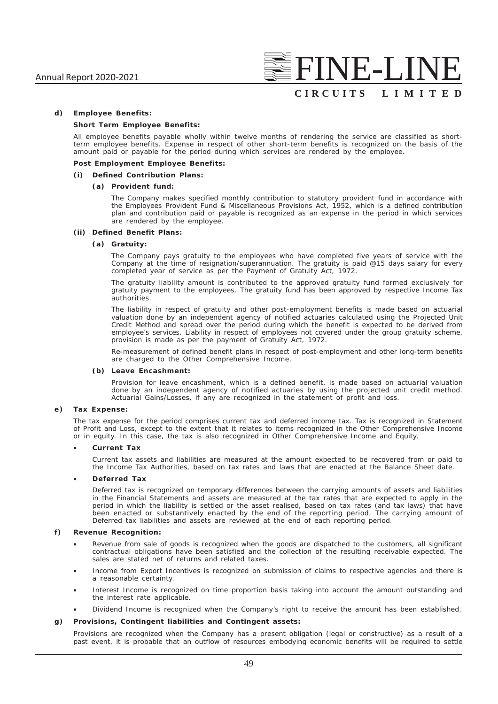# Annual Report 2020-2021  $\blacksquare$

### **CIRCUITS LIMITED**

#### **d) Employee Benefits:**

#### **Short Term Employee Benefits:**

All employee benefits payable wholly within twelve months of rendering the service are classified as shortterm employee benefits. Expense in respect of other short-term benefits is recognized on the basis of the amount paid or payable for the period during which services are rendered by the employee.

#### **Post Employment Employee Benefits:**

#### **(i) Defined Contribution Plans:**

#### **(a) Provident fund:**

The Company makes specified monthly contribution to statutory provident fund in accordance with the Employees Provident Fund & Miscellaneous Provisions Act, 1952, which is a defined contribution plan and contribution paid or payable is recognized as an expense in the period in which services are rendered by the employee.

#### **(ii) Defined Benefit Plans:**

#### **(a) Gratuity:**

The Company pays gratuity to the employees who have completed five years of service with the Company at the time of resignation/superannuation. The gratuity is paid @15 days salary for every completed year of service as per the Payment of Gratuity Act, 1972.

The gratuity liability amount is contributed to the approved gratuity fund formed exclusively for gratuity payment to the employees. The gratuity fund has been approved by respective Income Tax authorities.

The liability in respect of gratuity and other post-employment benefits is made based on actuarial valuation done by an independent agency of notified actuaries calculated using the Projected Unit Credit Method and spread over the period during which the benefit is expected to be derived from employee's services. Liability in respect of employees not covered under the group gratuity scheme, provision is made as per the payment of Gratuity Act, 1972.

Re-measurement of defined benefit plans in respect of post-employment and other long-term benefits are charged to the Other Comprehensive Income.

#### **(b) Leave Encashment:**

Provision for leave encashment, which is a defined benefit, is made based on actuarial valuation done by an independent agency of notified actuaries by using the projected unit credit method. Actuarial Gains/Losses, if any are recognized in the statement of profit and loss.

#### **e) Tax Expense:**

The tax expense for the period comprises current tax and deferred income tax. Tax is recognized in Statement of Profit and Loss, except to the extent that it relates to items recognized in the Other Comprehensive Income or in equity. In this case, the tax is also recognized in Other Comprehensive Income and Equity.

#### • **Current Tax**

Current tax assets and liabilities are measured at the amount expected to be recovered from or paid to the Income Tax Authorities, based on tax rates and laws that are enacted at the Balance Sheet date.

#### • **Deferred Tax**

Deferred tax is recognized on temporary differences between the carrying amounts of assets and liabilities in the Financial Statements and assets are measured at the tax rates that are expected to apply in the period in which the liability is settled or the asset realised, based on tax rates (and tax laws) that have been enacted or substantively enacted by the end of the reporting period. The carrying amount of Deferred tax liabilities and assets are reviewed at the end of each reporting period.

#### **f) Revenue Recognition:**

- Revenue from sale of goods is recognized when the goods are dispatched to the customers, all significant contractual obligations have been satisfied and the collection of the resulting receivable expected. The sales are stated net of returns and related taxes.
- Income from Export Incentives is recognized on submission of claims to respective agencies and there is a reasonable certainty.
- Interest Income is recognized on time proportion basis taking into account the amount outstanding and the interest rate applicable.
- Dividend Income is recognized when the Company's right to receive the amount has been established.

#### **g) Provisions, Contingent liabilities and Contingent assets:**

Provisions are recognized when the Company has a present obligation (legal or constructive) as a result of a past event, it is probable that an outflow of resources embodying economic benefits will be required to settle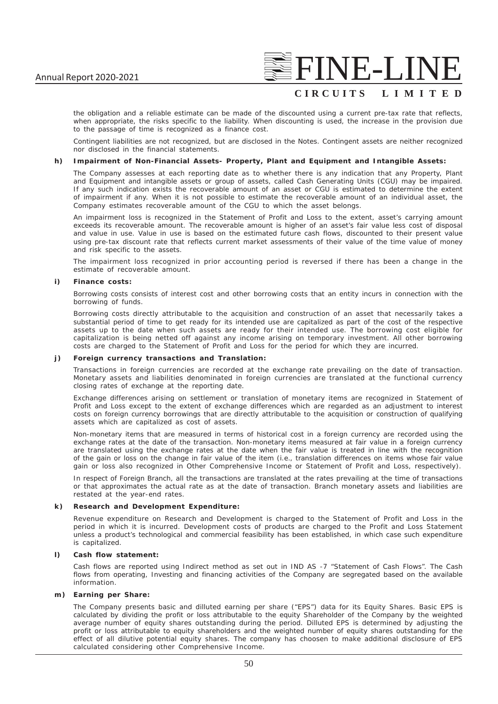### **CIRCUITS LIMITED**

the obligation and a reliable estimate can be made of the discounted using a current pre-tax rate that reflects, when appropriate, the risks specific to the liability. When discounting is used, the increase in the provision due to the passage of time is recognized as a finance cost.

Contingent liabilities are not recognized, but are disclosed in the Notes. Contingent assets are neither recognized nor disclosed in the financial statements.

#### **h) Impairment of Non-Financial Assets- Property, Plant and Equipment and Intangible Assets:**

The Company assesses at each reporting date as to whether there is any indication that any Property, Plant and Equipment and intangible assets or group of assets, called Cash Generating Units (CGU) may be impaired. If any such indication exists the recoverable amount of an asset or CGU is estimated to determine the extent of impairment if any. When it is not possible to estimate the recoverable amount of an individual asset, the Company estimates recoverable amount of the CGU to which the asset belongs.

An impairment loss is recognized in the Statement of Profit and Loss to the extent, asset's carrying amount exceeds its recoverable amount. The recoverable amount is higher of an asset's fair value less cost of disposal and value in use. Value in use is based on the estimated future cash flows, discounted to their present value using pre-tax discount rate that reflects current market assessments of their value of the time value of money and risk specific to the assets.

The impairment loss recognized in prior accounting period is reversed if there has been a change in the estimate of recoverable amount.

#### **i) Finance costs:**

Borrowing costs consists of interest cost and other borrowing costs that an entity incurs in connection with the borrowing of funds.

Borrowing costs directly attributable to the acquisition and construction of an asset that necessarily takes a substantial period of time to get ready for its intended use are capitalized as part of the cost of the respective assets up to the date when such assets are ready for their intended use. The borrowing cost eligible for capitalization is being netted off against any income arising on temporary investment. All other borrowing costs are charged to the Statement of Profit and Loss for the period for which they are incurred.

#### **j) Foreign currency transactions and Translation:**

Transactions in foreign currencies are recorded at the exchange rate prevailing on the date of transaction. Monetary assets and liabilities denominated in foreign currencies are translated at the functional currency closing rates of exchange at the reporting date.

Exchange differences arising on settlement or translation of monetary items are recognized in Statement of Profit and Loss except to the extent of exchange differences which are regarded as an adjustment to interest costs on foreign currency borrowings that are directly attributable to the acquisition or construction of qualifying assets which are capitalized as cost of assets.

Non-monetary items that are measured in terms of historical cost in a foreign currency are recorded using the exchange rates at the date of the transaction. Non-monetary items measured at fair value in a foreign currency are translated using the exchange rates at the date when the fair value is treated in line with the recognition of the gain or loss on the change in fair value of the item (i.e., translation differences on items whose fair value gain or loss also recognized in Other Comprehensive Income or Statement of Profit and Loss, respectively).

In respect of Foreign Branch, all the transactions are translated at the rates prevailing at the time of transactions or that approximates the actual rate as at the date of transaction. Branch monetary assets and liabilities are restated at the year-end rates.

#### **k) Research and Development Expenditure:**

Revenue expenditure on Research and Development is charged to the Statement of Profit and Loss in the period in which it is incurred. Development costs of products are charged to the Profit and Loss Statement unless a product's technological and commercial feasibility has been established, in which case such expenditure is capitalized.

#### **l) Cash flow statement:**

Cash flows are reported using Indirect method as set out in IND AS -7 "Statement of Cash Flows". The Cash flows from operating, Investing and financing activities of the Company are segregated based on the available information.

#### **m) Earning per Share:**

The Company presents basic and dilluted earning per share ("EPS") data for its Equity Shares. Basic EPS is calculated by dividing the profit or loss attributable to the equity Shareholder of the Company by the weighted average number of equity shares outstanding during the period. Dilluted EPS is determined by adjusting the profit or loss attributable to equity shareholders and the weighted number of equity shares outstanding for the effect of all dilutive potential equity shares. The company has choosen to make additional disclosure of EPS calculated considering other Comprehensive Income.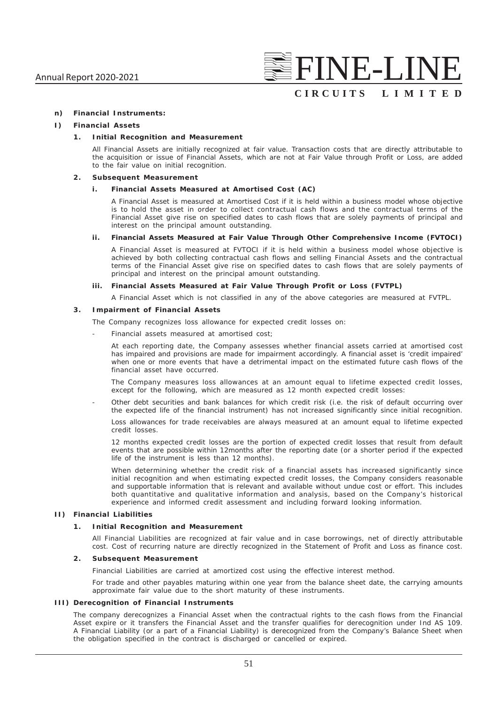# Annual Report 2020-2021  $\equiv$   $\equiv$   $\sim$   $\sim$

### **CIRCUITS LIMITED**

#### **n) Financial Instruments:**

#### **I) Financial Assets**

#### **1. Initial Recognition and Measurement**

All Financial Assets are initially recognized at fair value. Transaction costs that are directly attributable to the acquisition or issue of Financial Assets, which are not at Fair Value through Profit or Loss, are added to the fair value on initial recognition.

#### **2. Subsequent Measurement**

#### **i. Financial Assets Measured at Amortised Cost (AC)**

A Financial Asset is measured at Amortised Cost if it is held within a business model whose objective is to hold the asset in order to collect contractual cash flows and the contractual terms of the Financial Asset give rise on specified dates to cash flows that are solely payments of principal and interest on the principal amount outstanding.

#### **ii. Financial Assets Measured at Fair Value Through Other Comprehensive Income (FVTOCI)**

A Financial Asset is measured at FVTOCI if it is held within a business model whose objective is achieved by both collecting contractual cash flows and selling Financial Assets and the contractual terms of the Financial Asset give rise on specified dates to cash flows that are solely payments of principal and interest on the principal amount outstanding.

#### **iii. Financial Assets Measured at Fair Value Through Profit or Loss (FVTPL)**

A Financial Asset which is not classified in any of the above categories are measured at FVTPL.

#### **3. Impairment of Financial Assets**

The Company recognizes loss allowance for expected credit losses on:

- Financial assets measured at amortised cost;
	- At each reporting date, the Company assesses whether financial assets carried at amortised cost has impaired and provisions are made for impairment accordingly. A financial asset is 'credit impaired' when one or more events that have a detrimental impact on the estimated future cash flows of the financial asset have occurred.

The Company measures loss allowances at an amount equal to lifetime expected credit losses, except for the following, which are measured as 12 month expected credit losses:

Other debt securities and bank balances for which credit risk (i.e. the risk of default occurring over the expected life of the financial instrument) has not increased significantly since initial recognition.

Loss allowances for trade receivables are always measured at an amount equal to lifetime expected credit losses.

12 months expected credit losses are the portion of expected credit losses that result from default events that are possible within 12months after the reporting date (or a shorter period if the expected life of the instrument is less than 12 months).

When determining whether the credit risk of a financial assets has increased significantly since initial recognition and when estimating expected credit losses, the Company considers reasonable and supportable information that is relevant and available without undue cost or effort. This includes both quantitative and qualitative information and analysis, based on the Company's historical experience and informed credit assessment and including forward looking information.

#### **II) Financial Liabilities**

#### **1. Initial Recognition and Measurement**

All Financial Liabilities are recognized at fair value and in case borrowings, net of directly attributable cost. Cost of recurring nature are directly recognized in the Statement of Profit and Loss as finance cost.

#### **2. Subsequent Measurement**

Financial Liabilities are carried at amortized cost using the effective interest method.

For trade and other payables maturing within one year from the balance sheet date, the carrying amounts approximate fair value due to the short maturity of these instruments.

#### **III) Derecognition of Financial Instruments**

The company derecognizes a Financial Asset when the contractual rights to the cash flows from the Financial Asset expire or it transfers the Financial Asset and the transfer qualifies for derecognition under Ind AS 109. A Financial Liability (or a part of a Financial Liability) is derecognized from the Company's Balance Sheet when the obligation specified in the contract is discharged or cancelled or expired.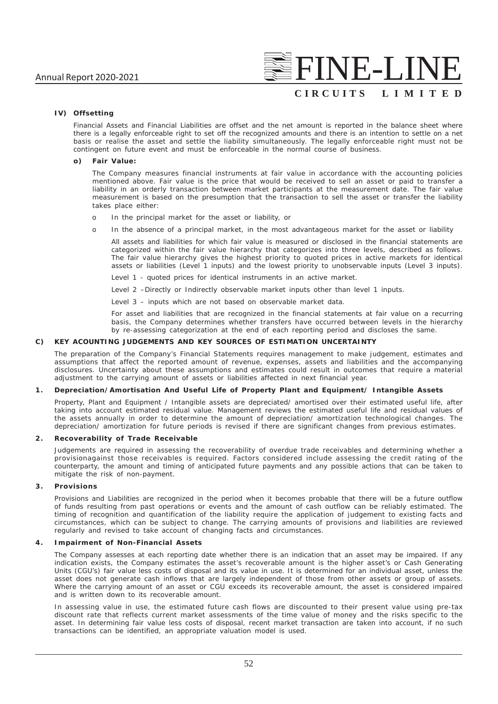# Annual Report 2020-2021  $\blacksquare$

### **CIRCUITS LIMITED**

#### **IV) Offsetting**

Financial Assets and Financial Liabilities are offset and the net amount is reported in the balance sheet where there is a legally enforceable right to set off the recognized amounts and there is an intention to settle on a net basis or realise the asset and settle the liability simultaneously. The legally enforceable right must not be contingent on future event and must be enforceable in the normal course of business.

#### **o) Fair Value:**

The Company measures financial instruments at fair value in accordance with the accounting policies mentioned above. Fair value is the price that would be received to sell an asset or paid to transfer a liability in an orderly transaction between market participants at the measurement date. The fair value measurement is based on the presumption that the transaction to sell the asset or transfer the liability takes place either:

- o In the principal market for the asset or liability, or
- o In the absence of a principal market, in the most advantageous market for the asset or liability

All assets and liabilities for which fair value is measured or disclosed in the financial statements are categorized within the fair value hierarchy that categorizes into three levels, described as follows. The fair value hierarchy gives the highest priority to quoted prices in active markets for identical assets or liabilities (Level 1 inputs) and the lowest priority to unobservable inputs (Level 3 inputs).

Level 1 - quoted prices for identical instruments in an active market.

Level 2 –Directly or Indirectly observable market inputs other than level 1 inputs.

Level 3 – inputs which are not based on observable market data.

For asset and liabilities that are recognized in the financial statements at fair value on a recurring basis, the Company determines whether transfers have occurred between levels in the hierarchy by re-assessing categorization at the end of each reporting period and discloses the same.

#### **C) KEY ACOUNTING JUDGEMENTS AND KEY SOURCES OF ESTIMATION UNCERTAINTY**

The preparation of the Company's Financial Statements requires management to make judgement, estimates and assumptions that affect the reported amount of revenue, expenses, assets and liabilities and the accompanying disclosures. Uncertainty about these assumptions and estimates could result in outcomes that require a material adjustment to the carrying amount of assets or liabilities affected in next financial year.

#### **1. Depreciation/Amortisation And Useful Life of Property Plant and Equipment/ Intangible Assets**

Property, Plant and Equipment / Intangible assets are depreciated/ amortised over their estimated useful life, after taking into account estimated residual value. Management reviews the estimated useful life and residual values of the assets annually in order to determine the amount of depreciation/ amortization technological changes. The depreciation/ amortization for future periods is revised if there are significant changes from previous estimates.

#### **2. Recoverability of Trade Receivable**

Judgements are required in assessing the recoverability of overdue trade receivables and determining whether a provisionagainst those receivables is required. Factors considered include assessing the credit rating of the counterparty, the amount and timing of anticipated future payments and any possible actions that can be taken to mitigate the risk of non-payment.

#### **3. Provisions**

Provisions and Liabilities are recognized in the period when it becomes probable that there will be a future outflow of funds resulting from past operations or events and the amount of cash outflow can be reliably estimated. The timing of recognition and quantification of the liability require the application of judgement to existing facts and circumstances, which can be subject to change. The carrying amounts of provisions and liabilities are reviewed regularly and revised to take account of changing facts and circumstances.

#### **4. Impairment of Non-Financial Assets**

The Company assesses at each reporting date whether there is an indication that an asset may be impaired. If any indication exists, the Company estimates the asset's recoverable amount is the higher asset's or Cash Generating Units (CGU's) fair value less costs of disposal and its value in use. It is determined for an individual asset, unless the asset does not generate cash inflows that are largely independent of those from other assets or group of assets. Where the carrying amount of an asset or CGU exceeds its recoverable amount, the asset is considered impaired and is written down to its recoverable amount.

In assessing value in use, the estimated future cash flows are discounted to their present value using pre-tax discount rate that reflects current market assessments of the time value of money and the risks specific to the asset. In determining fair value less costs of disposal, recent market transaction are taken into account, if no such transactions can be identified, an appropriate valuation model is used.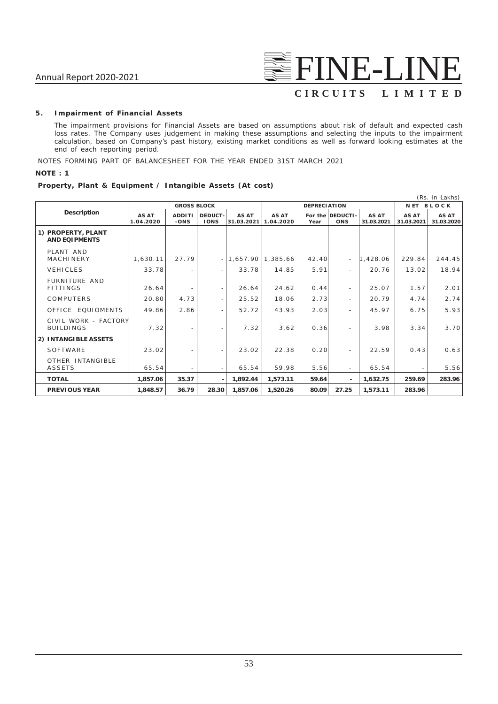## Annual Report 2020-2021 **FINE-LINE CIRCUITS LIMITED**

#### **5. Impairment of Financial Assets**

The impairment provisions for Financial Assets are based on assumptions about risk of default and expected cash loss rates. The Company uses judgement in making these assumptions and selecting the inputs to the impairment calculation, based on Company's past history, existing market conditions as well as forward looking estimates at the end of each reporting period.

NOTES FORMING PART OF BALANCESHEET FOR THE YEAR ENDED 31ST MARCH 2021

#### **NOTE : 1**

#### **Property, Plant & Equipment / Intangible Assets (At cost)**

|             | (Rs. in Lakhs)                             |                           |                          |                          |                            |                           |                     |                                |                            |                            |                            |
|-------------|--------------------------------------------|---------------------------|--------------------------|--------------------------|----------------------------|---------------------------|---------------------|--------------------------------|----------------------------|----------------------------|----------------------------|
|             |                                            |                           | <b>GROSS BLOCK</b>       |                          |                            |                           | <b>DEPRECIATION</b> |                                |                            | NET BLOCK                  |                            |
| Description |                                            | <b>AS AT</b><br>1.04.2020 | <b>ADDITI</b><br>-ONS    | DEDUCT-<br><b>IONS</b>   | <b>AS AT</b><br>31.03.2021 | <b>AS AT</b><br>1.04.2020 | Year                | For the DEDUCTI-<br><b>ONS</b> | <b>AS AT</b><br>31.03.2021 | <b>AS AT</b><br>31.03.2021 | <b>AS AT</b><br>31.03.2020 |
|             | 1) PROPERTY, PLANT<br><b>AND EQIPMENTS</b> |                           |                          |                          |                            |                           |                     |                                |                            |                            |                            |
|             | PLANT AND<br>MACHINERY                     | 1,630.11                  | 27.79                    | $\overline{\phantom{a}}$ | 1,657.90 1,385.66          |                           | 42.40               | $\overline{\phantom{0}}$       | 1.428.06                   | 229.84                     | 244.45                     |
|             | VEHICLES                                   | 33.78                     |                          |                          | 33.78                      | 14.85                     | 5.91                | $\overline{a}$                 | 20.76                      | 13.02                      | 18.94                      |
|             | <b>FURNITURE AND</b><br><b>FITTINGS</b>    | 26.64                     | $\overline{\phantom{a}}$ | $\overline{\phantom{a}}$ | 26.64                      | 24.62                     | 0.44                | $\overline{\phantom{0}}$       | 25.07                      | 1.57                       | 2.01                       |
|             | COMPUTERS                                  | 20.80                     | 4.73                     | $\overline{\phantom{a}}$ | 25.52                      | 18.06                     | 2.73                | ÷.                             | 20.79                      | 4.74                       | 2.74                       |
|             | OFFICE EQUIOMENTS                          | 49.86                     | 2.86                     |                          | 52.72                      | 43.93                     | 2.03                | ۰                              | 45.97                      | 6.75                       | 5.93                       |
|             | CIVIL WORK - FACTORY<br><b>BUILDINGS</b>   | 7.32                      | $\overline{\phantom{a}}$ |                          | 7.32                       | 3.62                      | 0.36                |                                | 3.98                       | 3.34                       | 3.70                       |
|             | 2) INTANGIBLE ASSETS                       |                           |                          |                          |                            |                           |                     |                                |                            |                            |                            |
|             | SOFTWARE                                   | 23.02                     |                          |                          | 23.02                      | 22.38                     | 0.20                |                                | 22.59                      | 0.43                       | 0.63                       |
|             | OTHER INTANGIBLE<br><b>ASSETS</b>          | 65.54                     | $\overline{\phantom{a}}$ | $\overline{\phantom{a}}$ | 65.54                      | 59.98                     | 5.56                | $\overline{\phantom{0}}$       | 65.54                      |                            | 5.56                       |
|             | <b>TOTAL</b>                               | 1,857.06                  | 35.37                    |                          | 1,892.44                   | 1,573.11                  | 59.64               | $\blacksquare$                 | 1,632.75                   | 259.69                     | 283.96                     |
|             | <b>PREVIOUS YEAR</b>                       | 1.848.57                  | 36.79                    | 28.30                    | 1,857.06                   | 1,520.26                  | 80.09               | 27.25                          | 1,573.11                   | 283.96                     |                            |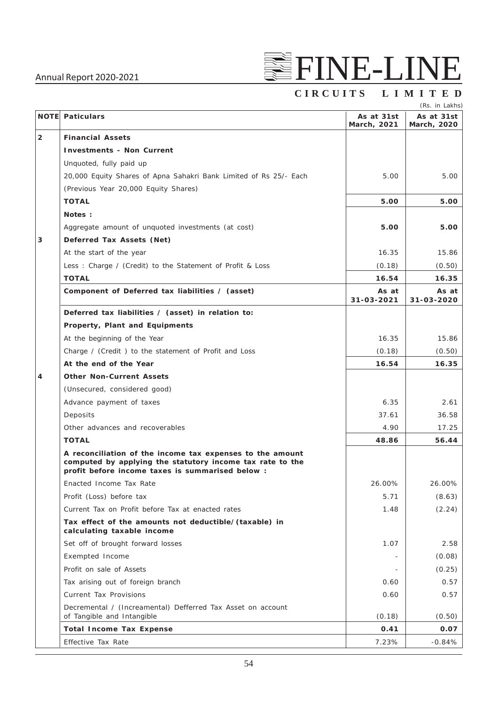|                | <b>NOTE Paticulars</b>                                                                                                                                                     | As at 31st<br>March, 2021 | As at 31st<br>March, 2020 |
|----------------|----------------------------------------------------------------------------------------------------------------------------------------------------------------------------|---------------------------|---------------------------|
| $\overline{2}$ | <b>Financial Assets</b>                                                                                                                                                    |                           |                           |
|                | <b>Investments - Non Current</b>                                                                                                                                           |                           |                           |
|                | Unquoted, fully paid up                                                                                                                                                    |                           |                           |
|                | 20,000 Equity Shares of Apna Sahakri Bank Limited of Rs 25/- Each                                                                                                          | 5.00                      | 5.00                      |
|                | (Previous Year 20,000 Equity Shares)                                                                                                                                       |                           |                           |
|                | <b>TOTAL</b>                                                                                                                                                               | 5.00                      | 5.00                      |
|                | Notes:                                                                                                                                                                     |                           |                           |
|                | Aggregate amount of unquoted investments (at cost)                                                                                                                         | 5.00                      | 5.00                      |
| 3              | Deferred Tax Assets (Net)                                                                                                                                                  |                           |                           |
|                | At the start of the year                                                                                                                                                   | 16.35                     | 15.86                     |
|                | Less : Charge / (Credit) to the Statement of Profit & Loss                                                                                                                 | (0.18)                    | (0.50)                    |
|                | <b>TOTAL</b>                                                                                                                                                               | 16.54                     | 16.35                     |
|                | Component of Deferred tax liabilities / (asset)                                                                                                                            | As at<br>31-03-2021       | As at<br>31-03-2020       |
|                | Deferred tax liabilities / (asset) in relation to:                                                                                                                         |                           |                           |
|                | Property, Plant and Equipments                                                                                                                                             |                           |                           |
|                | At the beginning of the Year                                                                                                                                               | 16.35                     | 15.86                     |
|                | Charge / (Credit) to the statement of Profit and Loss                                                                                                                      | (0.18)                    | (0.50)                    |
|                | At the end of the Year                                                                                                                                                     | 16.54                     | 16.35                     |
| 4              | <b>Other Non-Current Assets</b>                                                                                                                                            |                           |                           |
|                | (Unsecured, considered good)                                                                                                                                               |                           |                           |
|                | Advance payment of taxes                                                                                                                                                   | 6.35                      | 2.61                      |
|                | Deposits                                                                                                                                                                   | 37.61                     | 36.58                     |
|                | Other advances and recoverables                                                                                                                                            | 4.90                      | 17.25                     |
|                | <b>TOTAL</b>                                                                                                                                                               | 48.86                     | 56.44                     |
|                | A reconciliation of the income tax expenses to the amount<br>computed by applying the statutory income tax rate to the<br>profit before income taxes is summarised below : |                           |                           |
|                | Enacted Income Tax Rate                                                                                                                                                    | 26.00%                    | 26.00%                    |
|                | Profit (Loss) before tax                                                                                                                                                   | 5.71                      | (8.63)                    |
|                | Current Tax on Profit before Tax at enacted rates                                                                                                                          | 1.48                      | (2.24)                    |
|                | Tax effect of the amounts not deductible/(taxable) in<br>calculating taxable income                                                                                        |                           |                           |
|                | Set off of brought forward losses                                                                                                                                          | 1.07                      | 2.58                      |
|                | Exempted Income                                                                                                                                                            |                           | (0.08)                    |
|                | Profit on sale of Assets                                                                                                                                                   |                           | (0.25)                    |
|                | Tax arising out of foreign branch                                                                                                                                          | 0.60                      | 0.57                      |
|                | Current Tax Provisions                                                                                                                                                     | 0.60                      | 0.57                      |
|                | Decremental / (Increamental) Defferred Tax Asset on account<br>of Tangible and Intangible                                                                                  | (0.18)                    | (0.50)                    |
|                | <b>Total Income Tax Expense</b>                                                                                                                                            | 0.41                      | 0.07                      |
|                | Effective Tax Rate                                                                                                                                                         | 7.23%                     | $-0.84%$                  |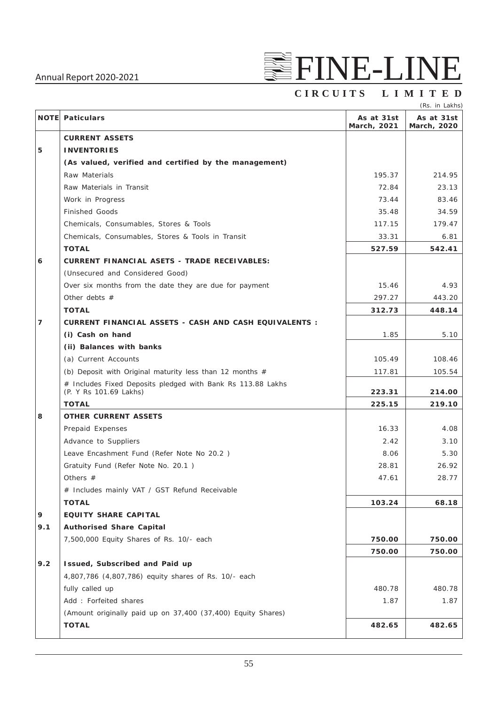| $\overline{\phantom{a}}$<br>VI |              |        |   |
|--------------------------------|--------------|--------|---|
|                                | $\mathbf{1}$ | $\sim$ | - |

|     |                                                                                       |                           | (Rs. in Lakhs)            |
|-----|---------------------------------------------------------------------------------------|---------------------------|---------------------------|
|     | <b>NOTE Paticulars</b>                                                                | As at 31st<br>March, 2021 | As at 31st<br>March, 2020 |
|     | <b>CURRENT ASSETS</b>                                                                 |                           |                           |
| 5   | <b>INVENTORIES</b>                                                                    |                           |                           |
|     | (As valued, verified and certified by the management)                                 |                           |                           |
|     | Raw Materials                                                                         | 195.37                    | 214.95                    |
|     | Raw Materials in Transit                                                              | 72.84                     | 23.13                     |
|     | Work in Progress                                                                      | 73.44                     | 83.46                     |
|     | Finished Goods                                                                        | 35.48                     | 34.59                     |
|     | Chemicals, Consumables, Stores & Tools                                                | 117.15                    | 179.47                    |
|     | Chemicals, Consumables, Stores & Tools in Transit                                     | 33.31                     | 6.81                      |
|     | <b>TOTAL</b>                                                                          | 527.59                    | 542.41                    |
| 6   | <b>CURRENT FINANCIAL ASETS - TRADE RECEIVABLES:</b>                                   |                           |                           |
|     | (Unsecured and Considered Good)                                                       |                           |                           |
|     | Over six months from the date they are due for payment                                | 15.46                     | 4.93                      |
|     | Other debts $#$                                                                       | 297.27                    | 443.20                    |
|     | <b>TOTAL</b>                                                                          | 312.73                    | 448.14                    |
| 7   | CURRENT FINANCIAL ASSETS - CASH AND CASH EQUIVALENTS :                                |                           |                           |
|     | (i) Cash on hand                                                                      | 1.85                      | 5.10                      |
|     | (ii) Balances with banks                                                              |                           |                           |
|     | (a) Current Accounts                                                                  | 105.49                    | 108.46                    |
|     | (b) Deposit with Original maturity less than 12 months $#$                            | 117.81                    | 105.54                    |
|     | # Includes Fixed Deposits pledged with Bank Rs 113.88 Lakhs<br>(P. Y Rs 101.69 Lakhs) | 223.31                    | 214.00                    |
|     | <b>TOTAL</b>                                                                          | 225.15                    | 219.10                    |
| 8   | <b>OTHER CURRENT ASSETS</b>                                                           |                           |                           |
|     | Prepaid Expenses                                                                      | 16.33                     | 4.08                      |
|     | Advance to Suppliers                                                                  | 2.42                      | 3.10                      |
|     | Leave Encashment Fund (Refer Note No 20.2)                                            | 8.06                      | 5.30                      |
|     | Gratuity Fund (Refer Note No. 20.1)                                                   | 28.81                     | 26.92                     |
|     | Others $#$                                                                            | 47.61                     | 28.77                     |
|     | # Includes mainly VAT / GST Refund Receivable                                         |                           |                           |
|     | <b>TOTAL</b>                                                                          | 103.24                    | 68.18                     |
| 9   | <b>EQUITY SHARE CAPITAL</b>                                                           |                           |                           |
| 9.1 | <b>Authorised Share Capital</b>                                                       |                           |                           |
|     | 7,500,000 Equity Shares of Rs. 10/- each                                              | 750.00                    | 750.00                    |
|     |                                                                                       | 750.00                    | 750.00                    |
| 9.2 | Issued, Subscribed and Paid up                                                        |                           |                           |
|     | 4,807,786 (4,807,786) equity shares of Rs. 10/- each                                  |                           |                           |
|     | fully called up                                                                       | 480.78                    | 480.78                    |
|     | Add: Forfeited shares                                                                 | 1.87                      | 1.87                      |
|     | (Amount originally paid up on 37,400 (37,400) Equity Shares)                          |                           |                           |
|     | <b>TOTAL</b>                                                                          | 482.65                    | 482.65                    |
|     |                                                                                       |                           |                           |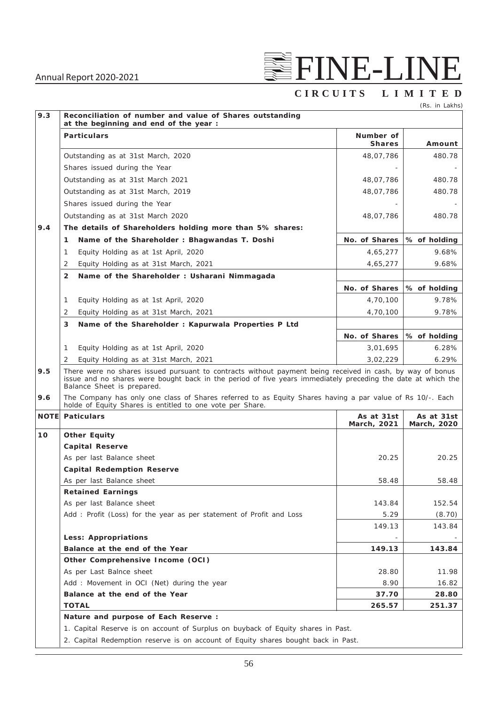# Annual Report 2020-2021 **Example 1 FINE-LINE**

## **CIRCUITS LIMITED**

(Rs. in Lakhs)

| 9.3 | Reconciliation of number and value of Shares outstanding<br>at the beginning and end of the year :                                                                                                                                                      |                            |                           |  |
|-----|---------------------------------------------------------------------------------------------------------------------------------------------------------------------------------------------------------------------------------------------------------|----------------------------|---------------------------|--|
|     | <b>Particulars</b>                                                                                                                                                                                                                                      | Number of<br><b>Shares</b> | Amount                    |  |
|     | Outstanding as at 31st March, 2020                                                                                                                                                                                                                      | 48,07,786                  | 480.78                    |  |
|     | Shares issued during the Year                                                                                                                                                                                                                           |                            |                           |  |
|     | Outstanding as at 31st March 2021                                                                                                                                                                                                                       | 48,07,786                  | 480.78                    |  |
|     | Outstanding as at 31st March, 2019                                                                                                                                                                                                                      | 48,07,786                  | 480.78                    |  |
|     | Shares issued during the Year                                                                                                                                                                                                                           |                            |                           |  |
|     | Outstanding as at 31st March 2020                                                                                                                                                                                                                       | 48,07,786                  | 480.78                    |  |
| 9.4 | The details of Shareholders holding more than 5% shares:                                                                                                                                                                                                |                            |                           |  |
|     | Name of the Shareholder: Bhagwandas T. Doshi<br>1                                                                                                                                                                                                       | No. of Shares              | % of holding              |  |
|     | Equity Holding as at 1st April, 2020<br>1                                                                                                                                                                                                               | 4,65,277                   | 9.68%                     |  |
|     | 2<br>Equity Holding as at 31st March, 2021                                                                                                                                                                                                              | 4,65,277                   | 9.68%                     |  |
|     | $\overline{2}$<br>Name of the Shareholder: Usharani Nimmagada                                                                                                                                                                                           |                            |                           |  |
|     |                                                                                                                                                                                                                                                         | No. of Shares              | % of holding              |  |
|     | Equity Holding as at 1st April, 2020<br>1                                                                                                                                                                                                               | 4,70,100                   | 9.78%                     |  |
|     | Equity Holding as at 31st March, 2021<br>2                                                                                                                                                                                                              | 4,70,100                   | 9.78%                     |  |
|     | 3<br>Name of the Shareholder: Kapurwala Properties P Ltd                                                                                                                                                                                                |                            |                           |  |
|     |                                                                                                                                                                                                                                                         | No. of Shares              | % of holding              |  |
|     | Equity Holding as at 1st April, 2020<br>1                                                                                                                                                                                                               | 3,01,695                   | 6.28%                     |  |
|     | Equity Holding as at 31st March, 2021<br>2                                                                                                                                                                                                              | 3,02,229                   | 6.29%                     |  |
| 9.5 | There were no shares issued pursuant to contracts without payment being received in cash, by way of bonus<br>issue and no shares were bought back in the period of five years immediately preceding the date at which the<br>Balance Sheet is prepared. |                            |                           |  |
| 9.6 | The Company has only one class of Shares referred to as Equity Shares having a par value of Rs 10/-. Each<br>holde of Equity Shares is entitled to one vote per Share.                                                                                  |                            |                           |  |
|     | <b>NOTE Paticulars</b>                                                                                                                                                                                                                                  | As at 31st<br>March, 2021  | As at 31st<br>March, 2020 |  |
| 10  | <b>Other Equity</b>                                                                                                                                                                                                                                     |                            |                           |  |
|     | <b>Capital Reserve</b>                                                                                                                                                                                                                                  |                            |                           |  |
|     | As per last Balance sheet                                                                                                                                                                                                                               | 20.25                      | 20.25                     |  |
|     | <b>Capital Redemption Reserve</b>                                                                                                                                                                                                                       |                            |                           |  |
|     | As per last Balance sheet                                                                                                                                                                                                                               | 58.48                      | 58.48                     |  |
|     | <b>Retained Earnings</b>                                                                                                                                                                                                                                |                            |                           |  |
|     | As per last Balance sheet                                                                                                                                                                                                                               | 143.84                     | 152.54                    |  |
|     | Add: Profit (Loss) for the year as per statement of Profit and Loss                                                                                                                                                                                     | 5.29                       | (8.70)                    |  |
|     |                                                                                                                                                                                                                                                         | 149.13                     | 143.84                    |  |
|     | <b>Less: Appropriations</b>                                                                                                                                                                                                                             |                            |                           |  |
|     | Balance at the end of the Year                                                                                                                                                                                                                          | 149.13                     | 143.84                    |  |
|     | Other Comprehensive Income (OCI)<br>As per Last Balnce sheet                                                                                                                                                                                            | 28.80                      | 11.98                     |  |
|     | Add : Movement in OCI (Net) during the year                                                                                                                                                                                                             | 8.90                       | 16.82                     |  |
|     | Balance at the end of the Year                                                                                                                                                                                                                          | 37.70                      | 28.80                     |  |
|     | <b>TOTAL</b>                                                                                                                                                                                                                                            | 265.57                     | 251.37                    |  |
|     | Nature and purpose of Each Reserve :                                                                                                                                                                                                                    |                            |                           |  |
|     | 1. Capital Reserve is on account of Surplus on buyback of Equity shares in Past.                                                                                                                                                                        |                            |                           |  |
|     | 2. Capital Redemption reserve is on account of Equity shares bought back in Past.                                                                                                                                                                       |                            |                           |  |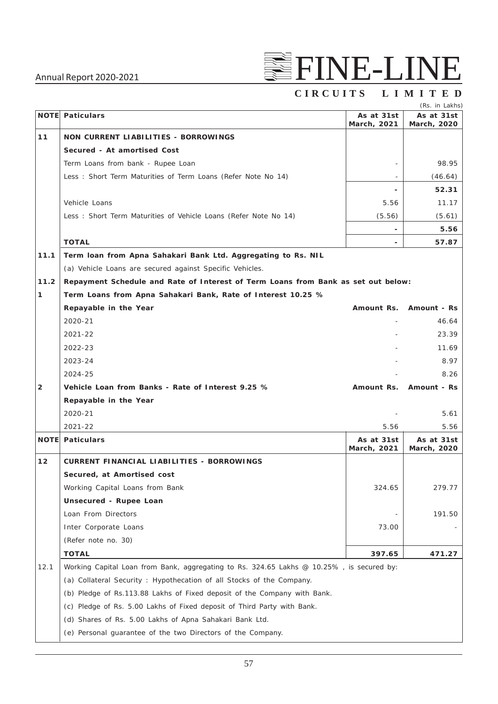|                         |                                                                                          |                           | (Rs. in Lakhs)            |
|-------------------------|------------------------------------------------------------------------------------------|---------------------------|---------------------------|
|                         | <b>NOTE Paticulars</b>                                                                   | As at 31st<br>March, 2021 | As at 31st<br>March, 2020 |
| 11                      | NON CURRENT LIABILITIES - BORROWINGS                                                     |                           |                           |
|                         | Secured - At amortised Cost                                                              |                           |                           |
|                         | Term Loans from bank - Rupee Loan                                                        |                           | 98.95                     |
|                         | Less: Short Term Maturities of Term Loans (Refer Note No 14)                             |                           | (46.64)                   |
|                         |                                                                                          | $\overline{\phantom{a}}$  | 52.31                     |
|                         | Vehicle Loans                                                                            | 5.56                      | 11.17                     |
|                         | Less: Short Term Maturities of Vehicle Loans (Refer Note No 14)                          | (5.56)                    | (5.61)                    |
|                         |                                                                                          | ٠                         | 5.56                      |
|                         | <b>TOTAL</b>                                                                             |                           | 57.87                     |
| 11.1                    | Term loan from Apna Sahakari Bank Ltd. Aggregating to Rs. NIL                            |                           |                           |
|                         | (a) Vehicle Loans are secured against Specific Vehicles.                                 |                           |                           |
| 11.2                    | Repayment Schedule and Rate of Interest of Term Loans from Bank as set out below:        |                           |                           |
| 1                       | Term Loans from Apna Sahakari Bank, Rate of Interest 10.25 %                             |                           |                           |
|                         | Repayable in the Year                                                                    |                           | Amount Rs. Amount - Rs.   |
|                         | 2020-21                                                                                  |                           | 46.64                     |
|                         | 2021-22                                                                                  |                           | 23.39                     |
|                         | 2022-23                                                                                  |                           | 11.69                     |
|                         | 2023-24                                                                                  |                           | 8.97                      |
|                         | 2024-25                                                                                  |                           | 8.26                      |
| $\overline{\mathbf{2}}$ | Vehicle Loan from Banks - Rate of Interest 9.25 %                                        |                           | Amount Rs. Amount - Rs    |
|                         | Repayable in the Year                                                                    |                           |                           |
|                         | 2020-21                                                                                  |                           | 5.61                      |
|                         | 2021-22                                                                                  | 5.56                      | 5.56                      |
|                         | <b>NOTE Paticulars</b>                                                                   | As at 31st<br>March, 2021 | As at 31st<br>March, 2020 |
| 12                      | <b>CURRENT FINANCIAL LIABILITIES - BORROWINGS</b>                                        |                           |                           |
|                         | Secured, at Amortised cost                                                               |                           |                           |
|                         | Working Capital Loans from Bank                                                          | 324.65                    | 279.77                    |
|                         | Unsecured - Rupee Loan                                                                   |                           |                           |
|                         | Loan From Directors                                                                      |                           | 191.50                    |
|                         | Inter Corporate Loans                                                                    | 73.00                     |                           |
|                         | (Refer note no. 30)                                                                      |                           |                           |
|                         | <b>TOTAL</b>                                                                             | 397.65                    | 471.27                    |
| 12.1                    | Working Capital Loan from Bank, aggregating to Rs. 324.65 Lakhs @ 10.25%, is secured by: |                           |                           |
|                         | (a) Collateral Security : Hypothecation of all Stocks of the Company.                    |                           |                           |
|                         | (b) Pledge of Rs.113.88 Lakhs of Fixed deposit of the Company with Bank.                 |                           |                           |
|                         | (c) Pledge of Rs. 5.00 Lakhs of Fixed deposit of Third Party with Bank.                  |                           |                           |
|                         | (d) Shares of Rs. 5.00 Lakhs of Apna Sahakari Bank Ltd.                                  |                           |                           |
|                         | (e) Personal guarantee of the two Directors of the Company.                              |                           |                           |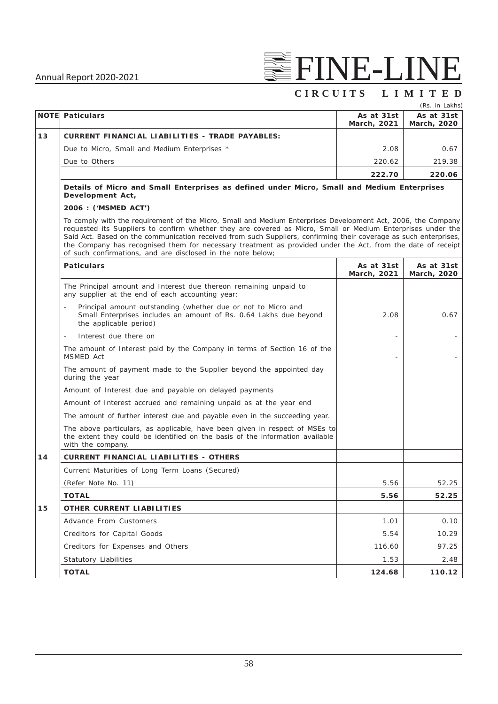### **CIRCUITS LIMITED**

(Rs. in Lakhs)

|    |                                                        |                    | (RS. In Lakns |
|----|--------------------------------------------------------|--------------------|---------------|
|    | NOTE Paticulars                                        | As at 31st         | As at 31st    |
|    |                                                        | <b>March, 2021</b> | March, 2020   |
| 13 | <b>CURRENT FINANCIAL LIABILITIES - TRADE PAYABLES:</b> |                    |               |
|    | Due to Micro, Small and Medium Enterprises *           | 2.08               | 0.67          |
|    | Due to Others                                          | 220.62             | 219.38        |
|    |                                                        | 222.70             | 220.06        |

#### **Details of Micro and Small Enterprises as defined under Micro, Small and Medium Enterprises Development Act,**

#### **2006 : ('MSMED ACT')**

To comply with the requirement of the Micro, Small and Medium Enterprises Development Act, 2006, the Company requested its Suppliers to confirm whether they are covered as Micro, Small or Medium Enterprises under the Said Act. Based on the communication received from such Suppliers, confirming their coverage as such enterprises, the Company has recognised them for necessary treatment as provided under the Act, from the date of receipt of such confirmations, and are disclosed in the note below;

| <b>Paticulars</b>                                                                                                                                                                 | As at 31st<br>March, 2021 | As at 31st<br>March, 2020 |
|-----------------------------------------------------------------------------------------------------------------------------------------------------------------------------------|---------------------------|---------------------------|
| The Principal amount and Interest due thereon remaining unpaid to<br>any supplier at the end of each accounting year:                                                             |                           |                           |
| Principal amount outstanding (whether due or not to Micro and<br>$\sim$<br>Small Enterprises includes an amount of Rs. 0.64 Lakhs due beyond<br>the applicable period)            | 2.08                      | 0.67                      |
| Interest due there on<br>$\sim$                                                                                                                                                   |                           |                           |
| The amount of Interest paid by the Company in terms of Section 16 of the<br><b>MSMED Act</b>                                                                                      |                           |                           |
| The amount of payment made to the Supplier beyond the appointed day<br>during the year                                                                                            |                           |                           |
| Amount of Interest due and payable on delayed payments                                                                                                                            |                           |                           |
| Amount of Interest accrued and remaining unpaid as at the year end                                                                                                                |                           |                           |
| The amount of further interest due and payable even in the succeeding year.                                                                                                       |                           |                           |
| The above particulars, as applicable, have been given in respect of MSEs to<br>the extent they could be identified on the basis of the information available<br>with the company. |                           |                           |
| <b>CURRENT FINANCIAL LIABILITIES - OTHERS</b>                                                                                                                                     |                           |                           |
| Current Maturities of Long Term Loans (Secured)                                                                                                                                   |                           |                           |
| (Refer Note No. 11)                                                                                                                                                               | 5.56                      | 52.25                     |
| <b>TOTAL</b>                                                                                                                                                                      | 5.56                      | 52.25                     |
| OTHER CURRENT LIABILITIES                                                                                                                                                         |                           |                           |
| Advance From Customers                                                                                                                                                            | 1.01                      | 0.10                      |
| Creditors for Capital Goods                                                                                                                                                       | 5.54                      | 10.29                     |
| Creditors for Expenses and Others                                                                                                                                                 | 116.60                    | 97.25                     |
| <b>Statutory Liabilities</b>                                                                                                                                                      | 1.53                      | 2.48                      |
| <b>TOTAL</b>                                                                                                                                                                      | 124.68                    | 110.12                    |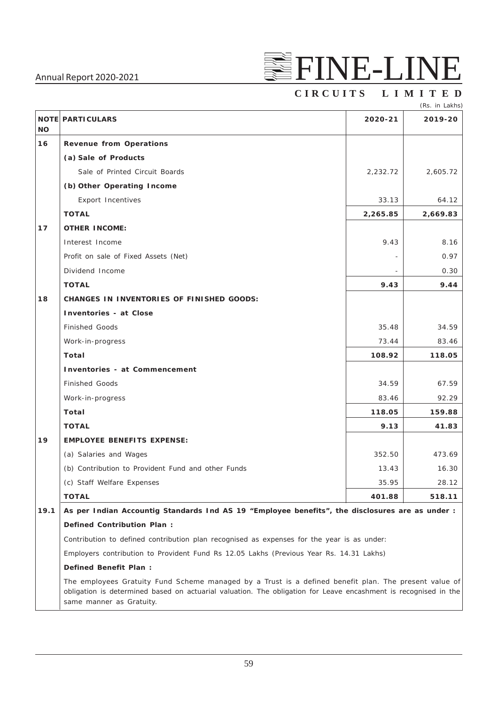**NO**

# Annual Report 2020-2021 **FINE-LINE**

### **CIRCUITS LIMITED**

|           |                                                    | CIRCUIIS LIMITED | (Rs. in Lakhs) |
|-----------|----------------------------------------------------|------------------|----------------|
| <b>NO</b> | <b>NOTE PARTICULARS</b>                            | 2020-21          | 2019-20        |
| 16        | <b>Revenue from Operations</b>                     |                  |                |
|           | (a) Sale of Products                               |                  |                |
|           | Sale of Printed Circuit Boards                     | 2,232.72         | 2,605.72       |
|           | (b) Other Operating Income                         |                  |                |
|           | Export Incentives                                  | 33.13            | 64.12          |
|           | <b>TOTAL</b>                                       | 2,265.85         | 2,669.83       |
| 17        | <b>OTHER INCOME:</b>                               |                  |                |
|           | Interest Income                                    | 9.43             | 8.16           |
|           | Profit on sale of Fixed Assets (Net)               |                  | 0.97           |
|           | Dividend Income                                    |                  | 0.30           |
|           | <b>TOTAL</b>                                       | 9.43             | 9.44           |
| 18        | <b>CHANGES IN INVENTORIES OF FINISHED GOODS:</b>   |                  |                |
|           | <b>Inventories - at Close</b>                      |                  |                |
|           | <b>Finished Goods</b>                              | 35.48            | 34.59          |
|           | Work-in-progress                                   | 73.44            | 83.46          |
|           | Total                                              | 108.92           | 118.05         |
|           | Inventories - at Commencement                      |                  |                |
|           | <b>Finished Goods</b>                              | 34.59            | 67.59          |
|           | Work-in-progress                                   | 83.46            | 92.29          |
|           | Total                                              | 118.05           | 159.88         |
|           | <b>TOTAL</b>                                       | 9.13             | 41.83          |
| 19        | <b>EMPLOYEE BENEFITS EXPENSE:</b>                  |                  |                |
|           | (a) Salaries and Wages                             | 352.50           | 473.69         |
|           | (b) Contribution to Provident Fund and other Funds | 13.43            | 16.30          |
|           | (c) Staff Welfare Expenses                         | 35.95            | 28.12          |
|           | <b>TOTAL</b>                                       | 401.88           | 518.11         |

**19.1 As per Indian Accountig Standards Ind AS 19 "Employee benefits", the disclosures are as under : Defined Contribution Plan :**

Contribution to defined contribution plan recognised as expenses for the year is as under:

Employers contribution to Provident Fund Rs 12.05 Lakhs (Previous Year Rs. 14.31 Lakhs)

### **Defined Benefit Plan :**

The employees Gratuity Fund Scheme managed by a Trust is a defined benefit plan. The present value of obligation is determined based on actuarial valuation. The obligation for Leave encashment is recognised in the same manner as Gratuity.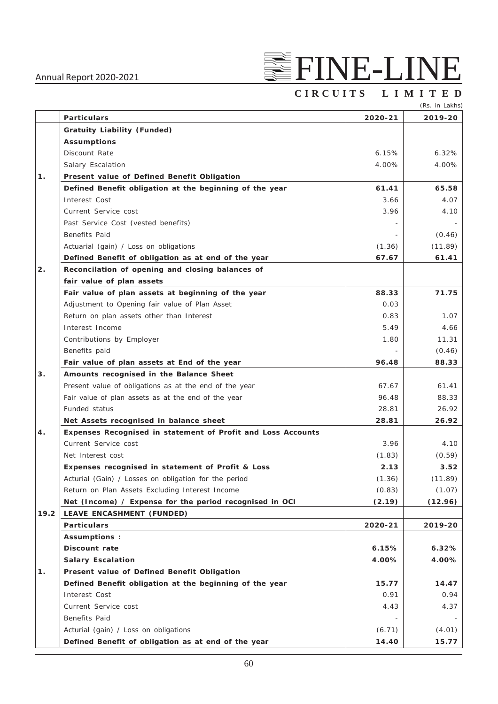# Annual Report 2020-2021 **Example 1**

## **CIRCUITS LIMITED**

(Rs. in Lakhs)

|      |                                                              |         | (Rs. in Lakhs) |
|------|--------------------------------------------------------------|---------|----------------|
|      | <b>Particulars</b>                                           | 2020-21 | 2019-20        |
|      | <b>Gratuity Liability (Funded)</b>                           |         |                |
|      | <b>Assumptions</b>                                           |         |                |
|      | Discount Rate                                                | 6.15%   | 6.32%          |
|      | Salary Escalation                                            | 4.00%   | 4.00%          |
| 1.   | Present value of Defined Benefit Obligation                  |         |                |
|      | Defined Benefit obligation at the beginning of the year      | 61.41   | 65.58          |
|      | Interest Cost                                                | 3.66    | 4.07           |
|      | Current Service cost                                         | 3.96    | 4.10           |
|      | Past Service Cost (vested benefits)                          |         |                |
|      | <b>Benefits Paid</b>                                         |         | (0.46)         |
|      | Actuarial (gain) / Loss on obligations                       | (1.36)  | (11.89)        |
|      | Defined Benefit of obligation as at end of the year          | 67.67   | 61.41          |
| 2.   | Reconcilation of opening and closing balances of             |         |                |
|      | fair value of plan assets                                    |         |                |
|      | Fair value of plan assets at beginning of the year           | 88.33   | 71.75          |
|      | Adjustment to Opening fair value of Plan Asset               | 0.03    |                |
|      | Return on plan assets other than Interest                    | 0.83    | 1.07           |
|      | Interest Income                                              | 5.49    | 4.66           |
|      | Contributions by Employer                                    | 1.80    | 11.31          |
|      | Benefits paid                                                |         | (0.46)         |
|      | Fair value of plan assets at End of the year                 | 96.48   | 88.33          |
| З.   | Amounts recognised in the Balance Sheet                      |         |                |
|      | Present value of obligations as at the end of the year       | 67.67   | 61.41          |
|      | Fair value of plan assets as at the end of the year          | 96.48   | 88.33          |
|      | Funded status                                                | 28.81   | 26.92          |
|      | Net Assets recognised in balance sheet                       | 28.81   | 26.92          |
| 4.   | Expenses Recognised in statement of Profit and Loss Accounts |         |                |
|      | Current Service cost                                         | 3.96    | 4.10           |
|      | Net Interest cost                                            | (1.83)  | (0.59)         |
|      | Expenses recognised in statement of Profit & Loss            | 2.13    | 3.52           |
|      | Acturial (Gain) / Losses on obligation for the period        | (1.36)  | (11.89)        |
|      | Return on Plan Assets Excluding Interest Income              | (0.83)  | (1.07)         |
|      | Net (Income) / Expense for the period recognised in OCI      | (2.19)  | (12.96)        |
| 19.2 | LEAVE ENCASHMENT (FUNDED)                                    |         |                |
|      | <b>Particulars</b>                                           | 2020-21 | 2019-20        |
|      | Assumptions:                                                 |         |                |
|      | Discount rate                                                | 6.15%   | 6.32%          |
|      | <b>Salary Escalation</b>                                     | 4.00%   | 4.00%          |
| 1.   | Present value of Defined Benefit Obligation                  |         |                |
|      | Defined Benefit obligation at the beginning of the year      | 15.77   | 14.47          |
|      | Interest Cost                                                | 0.91    | 0.94           |
|      | Current Service cost                                         | 4.43    | 4.37           |
|      | <b>Benefits Paid</b>                                         |         |                |
|      | Acturial (gain) / Loss on obligations                        | (6.71)  | (4.01)         |
|      | Defined Benefit of obligation as at end of the year          | 14.40   | 15.77          |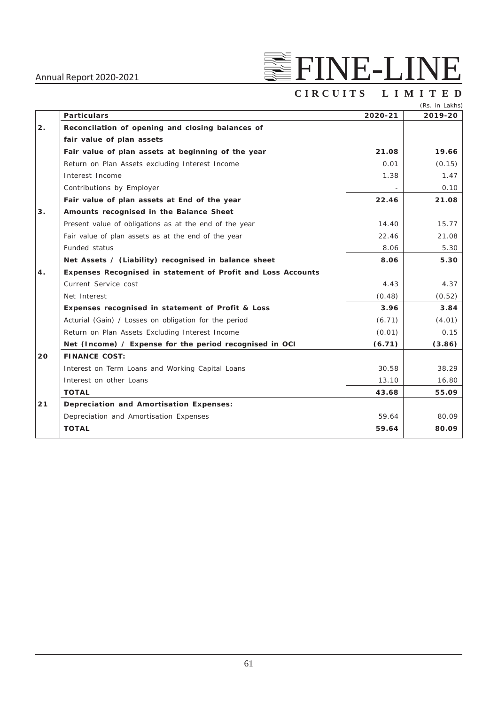# Annual Report 2020-2021 **Example 1 FINE-LINE**

## **CIRCUITS LIMITED**

(Rs. in Lakhs)

|    | <b>Particulars</b>                                           | 2020-21 | $(13.11)$ Lanis)<br>2019-20 |
|----|--------------------------------------------------------------|---------|-----------------------------|
| 2. | Reconcilation of opening and closing balances of             |         |                             |
|    | fair value of plan assets                                    |         |                             |
|    | Fair value of plan assets at beginning of the year           | 21.08   | 19.66                       |
|    | Return on Plan Assets excluding Interest Income              | 0.01    | (0.15)                      |
|    | Interest Income                                              | 1.38    | 1.47                        |
|    | Contributions by Employer                                    |         | 0.10                        |
|    | Fair value of plan assets at End of the year                 | 22.46   | 21.08                       |
| 3. | Amounts recognised in the Balance Sheet                      |         |                             |
|    | Present value of obligations as at the end of the year       | 14.40   | 15.77                       |
|    | Fair value of plan assets as at the end of the year          | 22.46   | 21.08                       |
|    | <b>Funded status</b>                                         | 8.06    | 5.30                        |
|    | Net Assets / (Liability) recognised in balance sheet         | 8.06    | 5.30                        |
| 4. | Expenses Recognised in statement of Profit and Loss Accounts |         |                             |
|    | Current Service cost                                         | 4.43    | 4.37                        |
|    | Net Interest                                                 | (0.48)  | (0.52)                      |
|    | Expenses recognised in statement of Profit & Loss            | 3.96    | 3.84                        |
|    | Acturial (Gain) / Losses on obligation for the period        | (6.71)  | (4.01)                      |
|    | Return on Plan Assets Excluding Interest Income              | (0.01)  | 0.15                        |
|    | Net (Income) / Expense for the period recognised in OCI      | (6.71)  | (3.86)                      |
| 20 | <b>FINANCE COST:</b>                                         |         |                             |
|    | Interest on Term Loans and Working Capital Loans             | 30.58   | 38.29                       |
|    | Interest on other Loans                                      | 13.10   | 16.80                       |
|    | <b>TOTAL</b>                                                 | 43.68   | 55.09                       |
| 21 | Depreciation and Amortisation Expenses:                      |         |                             |
|    | Depreciation and Amortisation Expenses                       | 59.64   | 80.09                       |
|    | <b>TOTAL</b>                                                 | 59.64   | 80.09                       |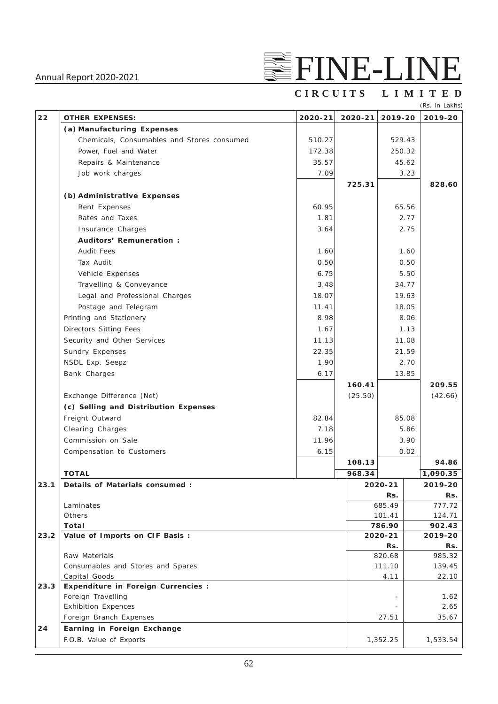# Annual Report 2020-2021 **Example 1**

|      |                                                             |         |         |          | (Rs. in Lakhs) |
|------|-------------------------------------------------------------|---------|---------|----------|----------------|
| 22   | <b>OTHER EXPENSES:</b>                                      | 2020-21 | 2020-21 | 2019-20  | 2019-20        |
|      | (a) Manufacturing Expenses                                  |         |         |          |                |
|      | Chemicals, Consumables and Stores consumed                  | 510.27  |         | 529.43   |                |
|      | Power, Fuel and Water                                       | 172.38  |         | 250.32   |                |
|      | Repairs & Maintenance                                       | 35.57   |         | 45.62    |                |
|      | Job work charges                                            | 7.09    |         | 3.23     |                |
|      |                                                             |         | 725.31  |          | 828.60         |
|      | (b) Administrative Expenses                                 |         |         |          |                |
|      | Rent Expenses                                               | 60.95   |         | 65.56    |                |
|      | Rates and Taxes                                             | 1.81    |         | 2.77     |                |
|      | Insurance Charges                                           | 3.64    |         | 2.75     |                |
|      | Auditors' Remuneration :                                    |         |         |          |                |
|      | Audit Fees                                                  | 1.60    |         | 1.60     |                |
|      | Tax Audit                                                   | 0.50    |         | 0.50     |                |
|      | Vehicle Expenses                                            | 6.75    |         | 5.50     |                |
|      | Travelling & Conveyance                                     | 3.48    |         | 34.77    |                |
|      | Legal and Professional Charges                              | 18.07   |         | 19.63    |                |
|      | Postage and Telegram                                        | 11.41   |         | 18.05    |                |
|      | Printing and Stationery                                     | 8.98    |         | 8.06     |                |
|      | Directors Sitting Fees                                      | 1.67    |         | 1.13     |                |
|      | Security and Other Services                                 | 11.13   |         | 11.08    |                |
|      | Sundry Expenses                                             | 22.35   |         | 21.59    |                |
|      | NSDL Exp. Seepz                                             | 1.90    |         | 2.70     |                |
|      | <b>Bank Charges</b>                                         | 6.17    |         | 13.85    |                |
|      |                                                             |         | 160.41  |          | 209.55         |
|      | Exchange Difference (Net)                                   |         | (25.50) |          | (42.66)        |
|      | (c) Selling and Distribution Expenses                       |         |         |          |                |
|      | Freight Outward                                             | 82.84   |         | 85.08    |                |
|      | Clearing Charges                                            | 7.18    |         | 5.86     |                |
|      | Commission on Sale                                          | 11.96   |         | 3.90     |                |
|      | Compensation to Customers                                   | 6.15    |         | 0.02     |                |
|      |                                                             |         | 108.13  |          | 94.86          |
|      | <b>TOTAL</b>                                                |         | 968.34  |          | 1,090.35       |
| 23.1 | Details of Materials consumed :                             |         |         | 2020-21  | 2019-20        |
|      |                                                             |         |         | Rs.      | Rs.            |
|      | Laminates                                                   |         |         | 685.49   | 777.72         |
|      | Others                                                      |         |         | 101.41   | 124.71         |
|      | Total                                                       |         |         | 786.90   | 902.43         |
| 23.2 | Value of Imports on CIF Basis :                             |         |         | 2020-21  | 2019-20        |
|      |                                                             |         |         | Rs.      | Rs.            |
|      | Raw Materials                                               |         |         | 820.68   | 985.32         |
|      | Consumables and Stores and Spares                           |         |         | 111.10   | 139.45         |
| 23.3 | Capital Goods<br><b>Expenditure in Foreign Currencies :</b> |         |         | 4.11     | 22.10          |
|      | Foreign Travelling                                          |         |         |          | 1.62           |
|      | <b>Exhibition Expences</b>                                  |         |         |          | 2.65           |
|      | Foreign Branch Expenses                                     |         | 27.51   | 35.67    |                |
| 24   | Earning in Foreign Exchange                                 |         |         |          |                |
|      | F.O.B. Value of Exports                                     |         |         | 1,352.25 | 1,533.54       |
|      |                                                             |         |         |          |                |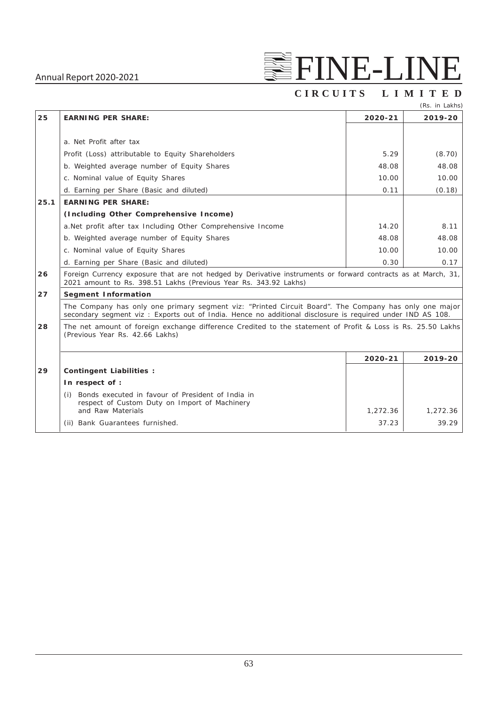# Annual Report 2020-2021 **Example 1**

|      |                                                                                                                                                                                                                    |          | (Rs. in Lakhs) |
|------|--------------------------------------------------------------------------------------------------------------------------------------------------------------------------------------------------------------------|----------|----------------|
| 25   | <b>EARNING PER SHARE:</b>                                                                                                                                                                                          | 2020-21  | 2019-20        |
|      |                                                                                                                                                                                                                    |          |                |
|      | a. Net Profit after tax                                                                                                                                                                                            |          |                |
|      | Profit (Loss) attributable to Equity Shareholders                                                                                                                                                                  | 5.29     | (8.70)         |
|      | b. Weighted average number of Equity Shares                                                                                                                                                                        | 48.08    | 48.08          |
|      | c. Nominal value of Equity Shares                                                                                                                                                                                  | 10.00    | 10.00          |
|      | d. Earning per Share (Basic and diluted)                                                                                                                                                                           | 0.11     | (0.18)         |
| 25.1 | <b>EARNING PER SHARE:</b>                                                                                                                                                                                          |          |                |
|      | (Including Other Comprehensive Income)                                                                                                                                                                             |          |                |
|      | a. Net profit after tax Including Other Comprehensive Income                                                                                                                                                       | 14.20    | 8.11           |
|      | b. Weighted average number of Equity Shares                                                                                                                                                                        | 48.08    | 48.08          |
|      | c. Nominal value of Equity Shares                                                                                                                                                                                  | 10.00    | 10.00          |
|      | d. Earning per Share (Basic and diluted)                                                                                                                                                                           | 0.30     | 0.17           |
| 26   | Foreign Currency exposure that are not hedged by Derivative instruments or forward contracts as at March, 31,<br>2021 amount to Rs. 398.51 Lakhs (Previous Year Rs. 343.92 Lakhs)                                  |          |                |
| 27   | Segment Information                                                                                                                                                                                                |          |                |
|      | The Company has only one primary segment viz: "Printed Circuit Board". The Company has only one major<br>secondary segment viz: Exports out of India. Hence no additional disclosure is required under IND AS 108. |          |                |
| 28   | The net amount of foreign exchange difference Credited to the statement of Profit & Loss is Rs. 25.50 Lakhs<br>(Previous Year Rs. 42.66 Lakhs)                                                                     |          |                |
|      |                                                                                                                                                                                                                    | 2020-21  | 2019-20        |
| 29   | <b>Contingent Liabilities:</b>                                                                                                                                                                                     |          |                |
|      | In respect of :                                                                                                                                                                                                    |          |                |
|      | (i) Bonds executed in favour of President of India in                                                                                                                                                              |          |                |
|      | respect of Custom Duty on Import of Machinery<br>and Raw Materials                                                                                                                                                 | 1,272.36 | 1,272.36       |
|      | (ii) Bank Guarantees furnished.                                                                                                                                                                                    | 37.23    | 39.29          |
|      |                                                                                                                                                                                                                    |          |                |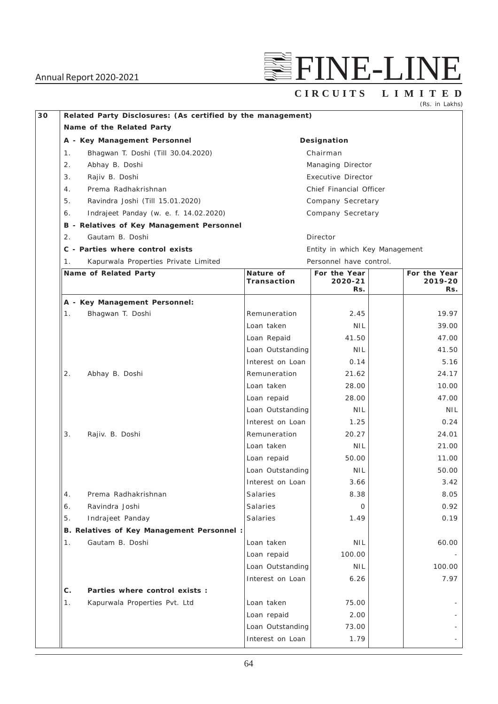|                                                             |                                      |                                | (Rs. in Lakhs) |
|-------------------------------------------------------------|--------------------------------------|--------------------------------|----------------|
| Related Party Disclosures: (As certified by the management) |                                      |                                |                |
| Name of the Related Party                                   |                                      |                                |                |
| A - Key Management Personnel                                |                                      | Designation                    |                |
| Bhagwan T. Doshi (Till 30.04.2020)<br>1.                    |                                      | Chairman                       |                |
| 2.<br>Abhay B. Doshi                                        |                                      | Managing Director              |                |
| 3 <sub>1</sub><br>Rajiv B. Doshi                            |                                      | Executive Director             |                |
| 4.<br>Prema Radhakrishnan                                   |                                      | Chief Financial Officer        |                |
| 5.<br>Ravindra Joshi (Till 15.01.2020)                      |                                      | Company Secretary              |                |
| Indrajeet Panday (w. e. f. 14.02.2020)<br>6.                |                                      | Company Secretary              |                |
| B - Relatives of Key Management Personnel                   |                                      |                                |                |
| Gautam B. Doshi<br>2.                                       |                                      | Director                       |                |
| C - Parties where control exists                            |                                      | Entity in which Key Management |                |
| 1.<br>Kapurwala Properties Private Limited                  |                                      | Personnel have control.        |                |
| Name of Related Party                                       | Nature of                            | For the Year                   | For the Year   |
|                                                             | Transaction                          | 2020-21<br>Rs.                 | 2019-20        |
| A - Key Management Personnel:                               |                                      |                                |                |
| 1.<br>Bhagwan T. Doshi                                      | Remuneration                         | 2.45                           |                |
|                                                             | Loan taken                           | <b>NIL</b>                     |                |
|                                                             | Loan Repaid                          | 41.50                          |                |
|                                                             | Loan Outstanding                     | <b>NIL</b>                     |                |
|                                                             | Interest on Loan                     | 0.14                           |                |
| 2.<br>Abhay B. Doshi                                        | Remuneration                         | 21.62                          |                |
|                                                             | Loan taken                           | 28.00                          |                |
|                                                             | Loan repaid                          | 28.00                          |                |
|                                                             | Loan Outstanding                     | <b>NIL</b>                     |                |
|                                                             | Interest on Loan                     | 1.25                           |                |
| 3.<br>Rajiv. B. Doshi                                       | Remuneration                         | 20.27                          |                |
|                                                             | Loan taken                           | <b>NIL</b>                     |                |
|                                                             | Loan repaid                          | 50.00                          |                |
|                                                             | Loan Outstanding                     | <b>NIL</b>                     |                |
|                                                             | Interest on Loan                     | 3.66                           |                |
| Prema Radhakrishnan<br>4.                                   | <b>Salaries</b>                      | 8.38                           |                |
| 6.<br>Ravindra Joshi                                        | Salaries                             | 0                              |                |
| 5.<br>Indrajeet Panday                                      | <b>Salaries</b>                      | 1.49                           |                |
| B. Relatives of Key Management Personnel :                  |                                      |                                |                |
| Gautam B. Doshi<br>1.                                       | Loan taken                           | <b>NIL</b>                     |                |
|                                                             | Loan repaid                          | 100.00                         |                |
|                                                             | Loan Outstanding                     | <b>NIL</b>                     | 100.00         |
|                                                             | Interest on Loan                     | 6.26                           |                |
| C.<br>Parties where control exists :                        |                                      |                                |                |
| 1.<br>Kapurwala Properties Pvt. Ltd                         | Loan taken                           | 75.00                          |                |
|                                                             | Loan repaid                          | 2.00                           |                |
|                                                             |                                      |                                |                |
|                                                             |                                      |                                |                |
|                                                             | Loan Outstanding<br>Interest on Loan | 73.00<br>1.79                  |                |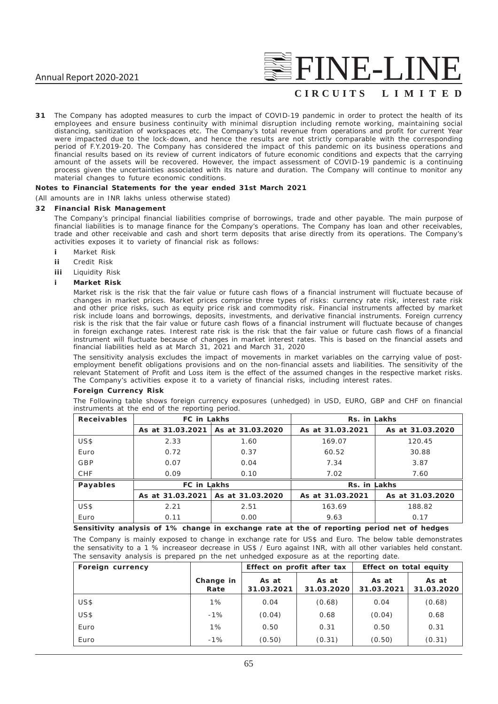### **CIRCUITS LIMITE**

**31** The Company has adopted measures to curb the impact of COVID-19 pandemic in order to protect the health of its employees and ensure business continuity with minimal disruption including remote working, maintaining social distancing, sanitization of workspaces etc. The Company's total revenue from operations and profit for current Year were impacted due to the lock-down, and hence the results are not strictly comparable with the corresponding period of F.Y.2019-20. The Company has considered the impact of this pandemic on its business operations and financial results based on its review of current indicators of future economic conditions and expects that the carrying amount of the assets will be recovered. However, the impact assessment of COVID-19 pandemic is a continuing process given the uncertainties associated with its nature and duration. The Company will continue to monitor any material changes to future economic conditions.

#### **Notes to Financial Statements for the year ended 31st March 2021**

*(All amounts are in INR lakhs unless otherwise stated)*

#### **32 Financial Risk Management**

The Company's principal financial liabilities comprise of borrowings, trade and other payable. The main purpose of financial liabilities is to manage finance for the Company's operations. The Company has loan and other receivables, trade and other receivable and cash and short term deposits that arise directly from its operations. The Company's activities exposes it to variety of financial risk as follows:

- **i** Market Risk
- **ii** Credit Risk
- **iii** Liquidity Risk
- **i Market Risk**

Market risk is the risk that the fair value or future cash flows of a financial instrument will fluctuate because of changes in market prices. Market prices comprise three types of risks: currency rate risk, interest rate risk and other price risks, such as equity price risk and commodity risk. Financial instruments affected by market risk include loans and borrowings, deposits, investments, and derivative financial instruments. Foreign currency risk is the risk that the fair value or future cash flows of a financial instrument will fluctuate because of changes in foreign exchange rates. Interest rate risk is the risk that the fair value or future cash flows of a financial instrument will fluctuate because of changes in market interest rates. This is based on the financial assets and financial liabilities held as at March 31, 2021 and March 31, 2020

The sensitivity analysis excludes the impact of movements in market variables on the carrying value of postemployment benefit obligations provisions and on the non-financial assets and liabilities. The sensitivity of the relevant Statement of Profit and Loss item is the effect of the assumed changes in the respective market risks. The Company's activities expose it to a variety of financial risks, including interest rates.

#### **Foreign Currency Risk**

The Following table shows foreign currency exposures (unhedged) in USD, EURO, GBP and CHF on financial instruments at the end of the reporting period.

| <b>Receivables</b> | FC in Lakhs      |                  | Rs. in Lakhs     |                  |
|--------------------|------------------|------------------|------------------|------------------|
|                    | As at 31.03.2021 | As at 31.03.2020 | As at 31.03.2021 | As at 31.03.2020 |
| US\$               | 2.33             | 1.60             | 169.07           | 120.45           |
| Euro               | 0.72             | 0.37             | 60.52            | 30.88            |
| GBP                | 0.07             | 0.04             | 7.34             | 3.87             |
| <b>CHF</b>         | 0.09             | 0.10             | 7.02             | 7.60             |
| Payables           | FC in Lakhs      |                  | Rs. in Lakhs     |                  |
|                    | As at 31.03.2021 | As at 31.03.2020 | As at 31.03.2021 | As at 31.03.2020 |
| US\$               | 2.21             | 2.51             | 163.69           | 188.82           |
| Euro               | 0.11             | 0.00             | 9.63             | 0.17             |

#### **Sensitivity analysis of 1% change in exchange rate at the of reporting period net of hedges**

The Company is mainly exposed to change in exchange rate for US\$ and Euro. The below table demonstrates the sensativity to a 1 % increaseor decrease in US\$ / Euro against INR, with all other variables held constant. The sensavity analysis is prepared pn the net unhedged exposure as at the reporting date.

| Foreign currency |                   | Effect on profit after tax |                     | Effect on total equity |                     |
|------------------|-------------------|----------------------------|---------------------|------------------------|---------------------|
|                  | Change in<br>Rate | As at<br>31.03.2021        | As at<br>31.03.2020 | As at<br>31.03.2021    | As at<br>31.03.2020 |
| US\$             | 1%                | 0.04                       | (0.68)              | 0.04                   | (0.68)              |
| US\$             | $-1%$             | (0.04)                     | 0.68                | (0.04)                 | 0.68                |
| Euro             | 1%                | 0.50                       | 0.31                | 0.50                   | 0.31                |
| Euro             | $-1%$             | (0.50)                     | (0.31)              | (0.50)                 | (0.31)              |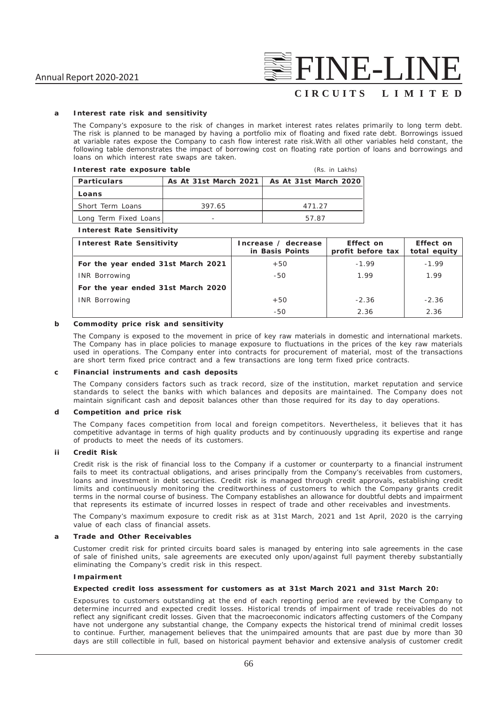### **CIRCUITS LIMITED**

#### **a Interest rate risk and sensitivity**

The Company's exposure to the risk of changes in market interest rates relates primarily to long term debt. The risk is planned to be managed by having a portfolio mix of floating and fixed rate debt. Borrowings issued at variable rates expose the Company to cash flow interest rate risk.With all other variables held constant, the following table demonstrates the impact of borrowing cost on floating rate portion of loans and borrowings and loans on which interest rate swaps are taken.

#### **Interest rate exposure table** (Rs. in Lakhs)

**Particulars As At 31st March 2021 As At 31st March 2020 Loans** Short Term Loans | 397.65 | 471.27 Long Term Fixed Loans | The Congress of the Congress of the St. 87.87

#### **Interest Rate Sensitivity**

| <b>Interest Rate Sensitivity</b>   | Increase / decrease<br>in Basis Points | Effect on<br>profit before tax | Effect on<br>total equity |  |
|------------------------------------|----------------------------------------|--------------------------------|---------------------------|--|
| For the year ended 31st March 2021 | $+50$                                  | $-1.99$                        | $-1.99$                   |  |
| <b>INR Borrowing</b>               | -50                                    | 1.99                           | 1.99                      |  |
| For the year ended 31st March 2020 |                                        |                                |                           |  |
| <b>INR Borrowing</b>               | $+50$                                  | $-2.36$                        | $-2.36$                   |  |
|                                    | -50                                    | 2.36                           | 2.36                      |  |

#### **b Commodity price risk and sensitivity**

The Company is exposed to the movement in price of key raw materials in domestic and international markets. The Company has in place policies to manage exposure to fluctuations in the prices of the key raw materials used in operations. The Company enter into contracts for procurement of material, most of the transactions are short term fixed price contract and a few transactions are long term fixed price contracts.

#### **c Financial instruments and cash deposits**

The Company considers factors such as track record, size of the institution, market reputation and service standards to select the banks with which balances and deposits are maintained. The Company does not maintain significant cash and deposit balances other than those required for its day to day operations.

#### **d Competition and price risk**

The Company faces competition from local and foreign competitors. Nevertheless, it believes that it has competitive advantage in terms of high quality products and by continuously upgrading its expertise and range of products to meet the needs of its customers.

#### **ii Credit Risk**

Credit risk is the risk of financial loss to the Company if a customer or counterparty to a financial instrument fails to meet its contractual obligations, and arises principally from the Company's receivables from customers, loans and investment in debt securities. Credit risk is managed through credit approvals, establishing credit limits and continuously monitoring the creditworthiness of customers to which the Company grants credit terms in the normal course of business. The Company establishes an allowance for doubtful debts and impairment that represents its estimate of incurred losses in respect of trade and other receivables and investments.

The Company's maximum exposure to credit risk as at 31st March, 2021 and 1st April, 2020 is the carrying value of each class of financial assets.

#### **a Trade and Other Receivables**

Customer credit risk for printed circuits board sales is managed by entering into sale agreements in the case of sale of finished units, sale agreements are executed only upon/against full payment thereby substantially eliminating the Company's credit risk in this respect.

#### **Impairment**

#### **Expected credit loss assessment for customers as at 31st March 2021 and 31st March 20:**

Exposures to customers outstanding at the end of each reporting period are reviewed by the Company to determine incurred and expected credit losses. Historical trends of impairment of trade receivables do not reflect any significant credit losses. Given that the macroeconomic indicators affecting customers of the Company have not undergone any substantial change, the Company expects the historical trend of minimal credit losses to continue. Further, management believes that the unimpaired amounts that are past due by more than 30 days are still collectible in full, based on historical payment behavior and extensive analysis of customer credit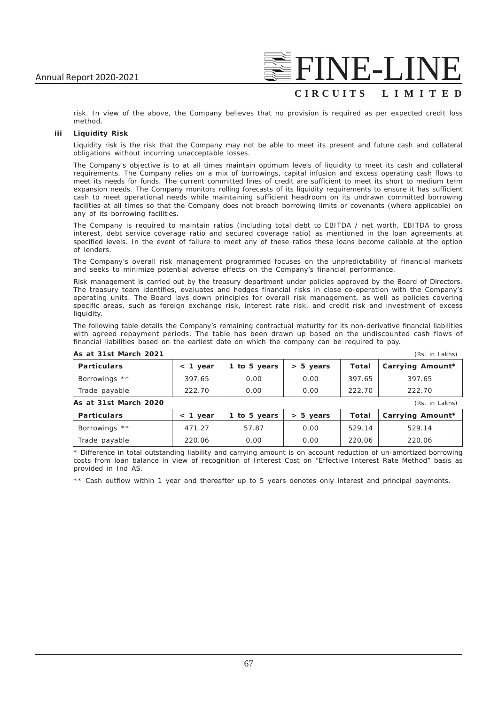Annual Report 2020-2021 **FINE-LINE CIRCUITS LIMITED**

risk. In view of the above, the Company believes that no provision is required as per expected credit loss method.

#### **iii Liquidity Risk**

Liquidity risk is the risk that the Company may not be able to meet its present and future cash and collateral obligations without incurring unacceptable losses.

The Company's objective is to at all times maintain optimum levels of liquidity to meet its cash and collateral requirements. The Company relies on a mix of borrowings, capital infusion and excess operating cash flows to meet its needs for funds. The current committed lines of credit are sufficient to meet its short to medium term expansion needs. The Company monitors rolling forecasts of its liquidity requirements to ensure it has sufficient cash to meet operational needs while maintaining sufficient headroom on its undrawn committed borrowing facilities at all times so that the Company does not breach borrowing limits or covenants (where applicable) on any of its borrowing facilities.

The Company is required to maintain ratios (including total debt to EBITDA / net worth, EBITDA to gross interest, debt service coverage ratio and secured coverage ratio) as mentioned in the loan agreements at specified levels. In the event of failure to meet any of these ratios these loans become callable at the option of lenders.

The Company's overall risk management programmed focuses on the unpredictability of financial markets and seeks to minimize potential adverse effects on the Company's financial performance.

Risk management is carried out by the treasury department under policies approved by the Board of Directors. The treasury team identifies, evaluates and hedges financial risks in close co-operation with the Company's operating units. The Board lays down principles for overall risk management, as well as policies covering specific areas, such as foreign exchange risk, interest rate risk, and credit risk and investment of excess liquidity.

The following table details the Company's remaining contractual maturity for its non-derivative financial liabilities with agreed repayment periods. The table has been drawn up based on the undiscounted cash flows of financial liabilities based on the earliest date on which the company can be required to pay.

| As at 31st March 2021<br>(Rs. in Lakhs) |            |              |             |        |                  |  |  |
|-----------------------------------------|------------|--------------|-------------|--------|------------------|--|--|
| <b>Particulars</b>                      | $<$ 1 year | 1 to 5 years | $> 5$ years | Total  | Carrying Amount* |  |  |
| Borrowings **                           | 397.65     | 0.00         | 0.00        | 397.65 | 397.65           |  |  |
| Trade payable                           | 222.70     | 0.00         | 0.00        | 222.70 | 222.70           |  |  |
| As at 31st March 2020                   |            |              |             |        | (Rs. in Lakhs)   |  |  |
| <b>Particulars</b>                      | $<$ 1 year | 1 to 5 years | $> 5$ years | Total  | Carrying Amount* |  |  |
| Borrowings **                           | 471.27     | 57.87        | 0.00        | 529.14 | 529.14           |  |  |
| Trade payable                           | 220.06     | 0.00         | 0.00        | 220.06 | 220.06           |  |  |

\* Difference in total outstanding liability and carrying amount is on account reduction of un-amortized borrowing costs from loan balance in view of recognition of Interest Cost on "Effective Interest Rate Method" basis as provided in Ind AS.

\*\* Cash outflow within 1 year and thereafter up to 5 years denotes only interest and principal payments.